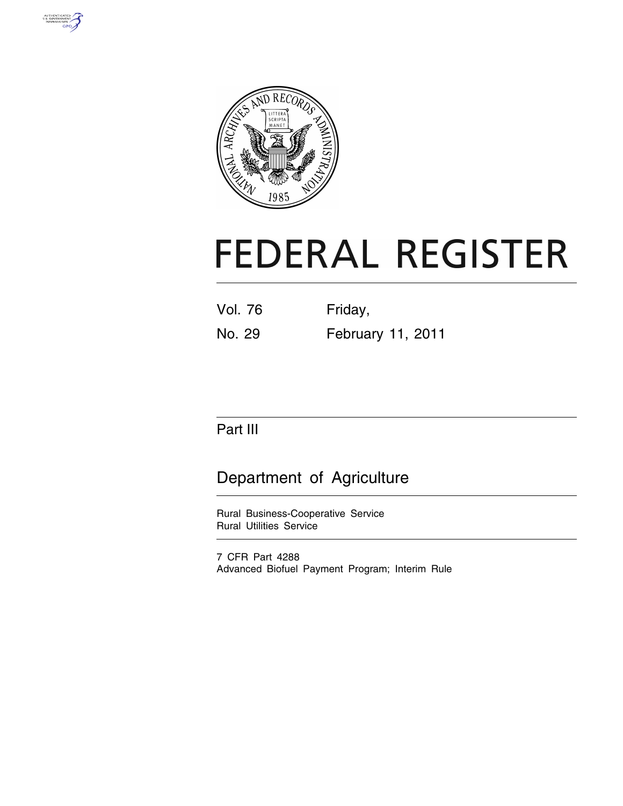



# **FEDERAL REGISTER**

| Vol. 76 | Friday, |  |
|---------|---------|--|
|         |         |  |

No. 29 February 11, 2011

## Part III

# Department of Agriculture

Rural Business-Cooperative Service Rural Utilities Service

7 CFR Part 4288 Advanced Biofuel Payment Program; Interim Rule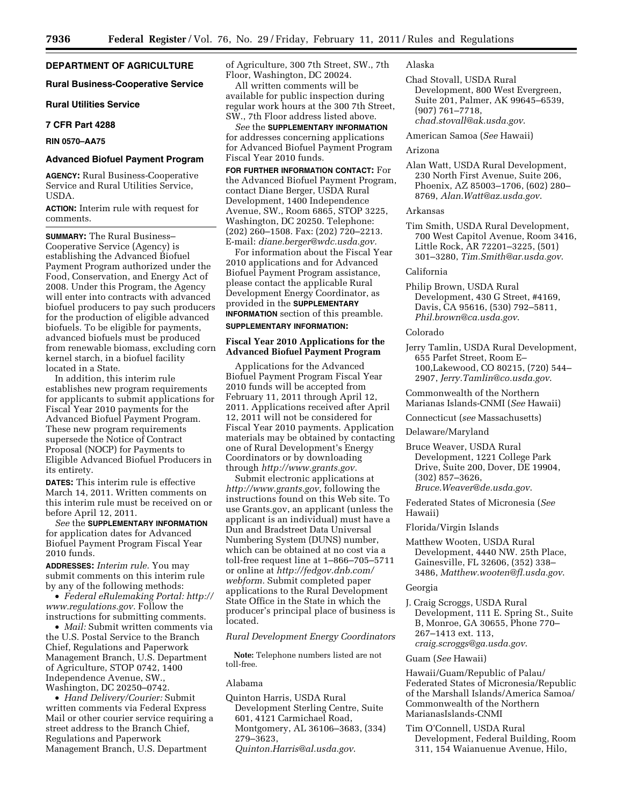**DEPARTMENT OF AGRICULTURE** 

**Rural Business-Cooperative Service** 

**Rural Utilities Service** 

## **7 CFR Part 4288**

## **RIN 0570–AA75**

## **Advanced Biofuel Payment Program**

**AGENCY:** Rural Business-Cooperative Service and Rural Utilities Service, USDA.

**ACTION:** Interim rule with request for comments.

**SUMMARY:** The Rural Business– Cooperative Service (Agency) is establishing the Advanced Biofuel Payment Program authorized under the Food, Conservation, and Energy Act of 2008. Under this Program, the Agency will enter into contracts with advanced biofuel producers to pay such producers for the production of eligible advanced biofuels. To be eligible for payments, advanced biofuels must be produced from renewable biomass, excluding corn kernel starch, in a biofuel facility located in a State.

In addition, this interim rule establishes new program requirements for applicants to submit applications for Fiscal Year 2010 payments for the Advanced Biofuel Payment Program. These new program requirements supersede the Notice of Contract Proposal (NOCP) for Payments to Eligible Advanced Biofuel Producers in its entirety.

**DATES:** This interim rule is effective March 14, 2011. Written comments on this interim rule must be received on or before April 12, 2011.

*See* the **SUPPLEMENTARY INFORMATION** for application dates for Advanced Biofuel Payment Program Fiscal Year 2010 funds.

**ADDRESSES:** *Interim rule.* You may submit comments on this interim rule by any of the following methods:

• *Federal eRulemaking Portal: [http://](http://www.regulations.gov)  [www.regulations.gov.](http://www.regulations.gov)* Follow the instructions for submitting comments.

• *Mail:* Submit written comments via the U.S. Postal Service to the Branch Chief, Regulations and Paperwork Management Branch, U.S. Department of Agriculture, STOP 0742, 1400 Independence Avenue, SW., Washington, DC 20250–0742.

• *Hand Delivery/Courier:* Submit written comments via Federal Express Mail or other courier service requiring a street address to the Branch Chief, Regulations and Paperwork Management Branch, U.S. Department

of Agriculture, 300 7th Street, SW., 7th Floor, Washington, DC 20024.

All written comments will be available for public inspection during regular work hours at the 300 7th Street, SW., 7th Floor address listed above.

*See* the **SUPPLEMENTARY INFORMATION** for addresses concerning applications for Advanced Biofuel Payment Program Fiscal Year 2010 funds.

**FOR FURTHER INFORMATION CONTACT:** For the Advanced Biofuel Payment Program, contact Diane Berger, USDA Rural Development, 1400 Independence Avenue, SW., Room 6865, STOP 3225, Washington, DC 20250. Telephone: (202) 260–1508. Fax: (202) 720–2213. E-mail: *[diane.berger@wdc.usda.gov.](mailto:diane.berger@wdc.usda.gov)* 

For information about the Fiscal Year 2010 applications and for Advanced Biofuel Payment Program assistance, please contact the applicable Rural Development Energy Coordinator, as provided in the **SUPPLEMENTARY**

**INFORMATION** section of this preamble.

## **SUPPLEMENTARY INFORMATION:**

## **Fiscal Year 2010 Applications for the Advanced Biofuel Payment Program**

Applications for the Advanced Biofuel Payment Program Fiscal Year 2010 funds will be accepted from February 11, 2011 through April 12, 2011. Applications received after April 12, 2011 will not be considered for Fiscal Year 2010 payments. Application materials may be obtained by contacting one of Rural Development's Energy Coordinators or by downloading through *[http://www.grants.gov.](http://www.grants.gov)* 

Submit electronic applications at *[http://www.grants.gov,](http://www.grants.gov)* following the instructions found on this Web site. To use Grants.gov, an applicant (unless the applicant is an individual) must have a Dun and Bradstreet Data Universal Numbering System (DUNS) number, which can be obtained at no cost via a toll-free request line at 1–866–705–5711 or online at *[http://fedgov.dnb.com/](http://fedgov.dnb.com/webform)  [webform.](http://fedgov.dnb.com/webform)* Submit completed paper applications to the Rural Development State Office in the State in which the producer's principal place of business is located.

## *Rural Development Energy Coordinators*

**Note:** Telephone numbers listed are not toll-free.

#### Alabama

Quinton Harris, USDA Rural Development Sterling Centre, Suite 601, 4121 Carmichael Road, Montgomery, AL 36106–3683, (334) 279–3623, *[Quinton.Harris@al.usda.gov](mailto:Quinton.Harris@al.usda.gov)*.

## Alaska

Chad Stovall, USDA Rural Development, 800 West Evergreen, Suite 201, Palmer, AK 99645–6539, (907) 761–7718, *[chad.stovall@ak.usda.gov](mailto:chad.stovall@ak.usda.gov)*.

American Samoa (*See* Hawaii)

## Arizona

Alan Watt, USDA Rural Development, 230 North First Avenue, Suite 206, Phoenix, AZ 85003–1706, (602) 280– 8769, *[Alan.Watt@az.usda.gov](mailto:Alan.Watt@az.usda.gov)*.

## Arkansas

Tim Smith, USDA Rural Development, 700 West Capitol Avenue, Room 3416, Little Rock, AR 72201–3225, (501) 301–3280, *[Tim.Smith@ar.usda.gov](mailto:Tim.Smith@ar.usda.gov)*.

## California

Philip Brown, USDA Rural Development, 430 G Street, #4169, Davis, CA 95616, (530) 792–5811, *[Phil.brown@ca.usda.gov](mailto:Phil.brown@ca.usda.gov)*.

#### Colorado

Jerry Tamlin, USDA Rural Development, 655 Parfet Street, Room E– 100,Lakewood, CO 80215, (720) 544– 2907, *[Jerry.Tamlin@co.usda.gov](mailto:Jerry.Tamlin@co.usda.gov)*.

Commonwealth of the Northern Marianas Islands-CNMI (*See* Hawaii)

Connecticut (*see* Massachusetts)

## Delaware/Maryland

Bruce Weaver, USDA Rural Development, 1221 College Park Drive, Suite 200, Dover, DE 19904, (302) 857–3626, *[Bruce.Weaver@de.usda.gov](mailto:Bruce.Weaver@de.usda.gov)*.

Federated States of Micronesia (*See*  Hawaii)

## Florida/Virgin Islands

Matthew Wooten, USDA Rural Development, 4440 NW. 25th Place, Gainesville, FL 32606, (352) 338– 3486, *[Matthew.wooten@fl.usda.gov](mailto:Matthew.wooten@fl.usda.gov)*.

## Georgia

J. Craig Scroggs, USDA Rural Development, 111 E. Spring St., Suite B, Monroe, GA 30655, Phone 770– 267–1413 ext. 113, *[craig.scroggs@ga.usda.gov](mailto:craig.scroggs@ga.usda.gov)*.

## Guam (*See* Hawaii)

Hawaii/Guam/Republic of Palau/ Federated States of Micronesia/Republic of the Marshall Islands/America Samoa/ Commonwealth of the Northern MarianasIslands-CNMI

Tim O'Connell, USDA Rural Development, Federal Building, Room 311, 154 Waianuenue Avenue, Hilo,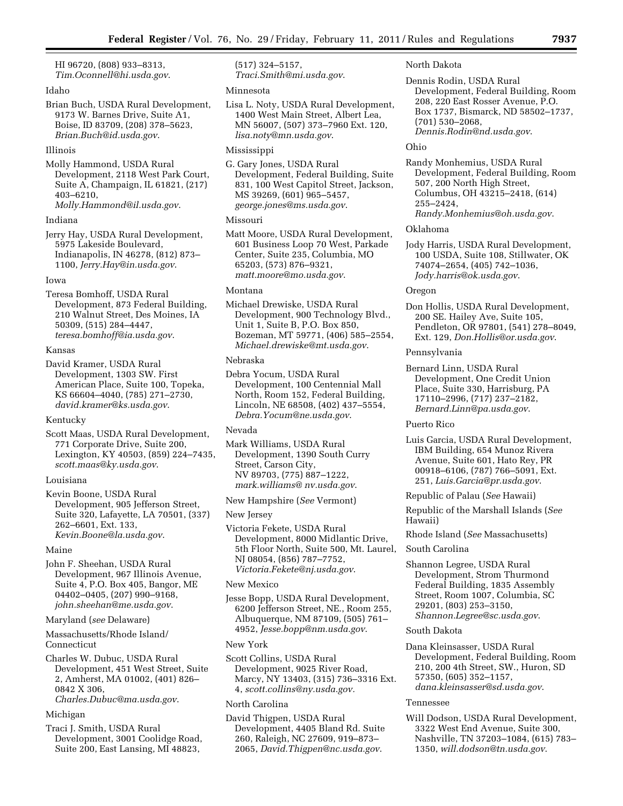HI 96720, (808) 933–8313, *[Tim.Oconnell@hi.usda.gov](mailto:Tim.Oconnell@hi.usda.gov)*.

## Idaho

Brian Buch, USDA Rural Development, 9173 W. Barnes Drive, Suite A1, Boise, ID 83709, (208) 378–5623, *[Brian.Buch@id.usda.gov](mailto:Brian.Buch@id.usda.gov)*.

#### Illinois

Molly Hammond, USDA Rural Development, 2118 West Park Court, Suite A, Champaign, IL 61821, (217) 403–6210, *[Molly.Hammond@il.usda.gov](mailto:Molly.Hammond@il.usda.gov)*.

#### Indiana

Jerry Hay, USDA Rural Development, 5975 Lakeside Boulevard, Indianapolis, IN 46278, (812) 873– 1100, *[Jerry.Hay@in.usda.gov](mailto:Jerry.Hay@in.usda.gov)*.

#### Iowa

Teresa Bomhoff, USDA Rural Development, 873 Federal Building, 210 Walnut Street, Des Moines, IA 50309, (515) 284–4447, *[teresa.bomhoff@ia.usda.gov](mailto:teresa.bomhoff@ia.usda.gov)*.

#### Kansas

David Kramer, USDA Rural Development, 1303 SW. First American Place, Suite 100, Topeka, KS 66604–4040, (785) 271–2730, *[david.kramer@ks.usda.gov](mailto:david.kramer@ks.usda.gov)*.

## Kentucky

Scott Maas, USDA Rural Development, 771 Corporate Drive, Suite 200, Lexington, KY 40503, (859) 224–7435, *[scott.maas@ky.usda.gov](mailto:scott.maas@ky.usda.gov)*.

## Louisiana

Kevin Boone, USDA Rural Development, 905 Jefferson Street, Suite 320, Lafayette, LA 70501, (337) 262–6601, Ext. 133, *[Kevin.Boone@la.usda.gov](mailto:Kevin.Boone@la.usda.gov)*.

## Maine

John F. Sheehan, USDA Rural Development, 967 Illinois Avenue, Suite 4, P.O. Box 405, Bangor, ME 04402–0405, (207) 990–9168, *[john.sheehan@me.usda.gov](mailto:john.sheehan@me.usda.gov)*.

## Maryland (*see* Delaware)

Massachusetts/Rhode Island/ Connecticut

Charles W. Dubuc, USDA Rural Development, 451 West Street, Suite 2, Amherst, MA 01002, (401) 826– 0842 X 306, *[Charles.Dubuc@ma.usda.gov](mailto:Charles.Dubuc@ma.usda.gov)*.

## Michigan

Traci J. Smith, USDA Rural Development, 3001 Coolidge Road, Suite 200, East Lansing, MI 48823,

(517) 324–5157, *[Traci.Smith@mi.usda.gov](mailto:Traci.Smith@mi.usda.gov)*.

#### Minnesota

Lisa L. Noty, USDA Rural Development, 1400 West Main Street, Albert Lea, MN 56007, (507) 373–7960 Ext. 120, *[lisa.noty@mn.usda.gov](mailto:lisa.noty@mn.usda.gov)*.

## Mississippi

G. Gary Jones, USDA Rural Development, Federal Building, Suite 831, 100 West Capitol Street, Jackson, MS 39269, (601) 965–5457, *[george.jones@ms.usda.gov](mailto:george.jones@ms.usda.gov)*.

## Missouri

Matt Moore, USDA Rural Development, 601 Business Loop 70 West, Parkade Center, Suite 235, Columbia, MO 65203, (573) 876–9321, *[matt.moore@mo.usda.gov](mailto:matt.moore@mo.usda.gov)*.

## Montana

Michael Drewiske, USDA Rural Development, 900 Technology Blvd., Unit 1, Suite B, P.O. Box 850, Bozeman, MT 59771, (406) 585–2554, *[Michael.drewiske@mt.usda.gov](mailto:Michael.drewiske@mt.usda.gov)*.

## Nebraska

Debra Yocum, USDA Rural Development, 100 Centennial Mall North, Room 152, Federal Building, Lincoln, NE 68508, (402) 437–5554, *[Debra.Yocum@ne.usda.gov](mailto:Debra.Yocum@ne.usda.gov)*.

#### Nevada

Mark Williams, USDA Rural Development, 1390 South Curry Street, Carson City, NV 89703, (775) 887–1222, *mark.williams@ nv.usda.gov*.

## New Hampshire (*See* Vermont)

## New Jersey

Victoria Fekete, USDA Rural Development, 8000 Midlantic Drive, 5th Floor North, Suite 500, Mt. Laurel, NJ 08054, (856) 787–7752, *[Victoria.Fekete@nj.usda.gov](mailto:Victoria.Fekete@nj.usda.gov)*.

## New Mexico

Jesse Bopp, USDA Rural Development, 6200 Jefferson Street, NE., Room 255, Albuquerque, NM 87109, (505) 761– 4952, *[Jesse.bopp@nm.usda.gov](mailto:Jesse.bopp@nm.usda.gov)*.

#### New York

Scott Collins, USDA Rural Development, 9025 River Road, Marcy, NY 13403, (315) 736–3316 Ext. 4, *[scott.collins@ny.usda.gov.](mailto:scott.collins@ny.usda.gov)* 

## North Carolina

David Thigpen, USDA Rural Development, 4405 Bland Rd. Suite 260, Raleigh, NC 27609, 919–873– 2065, *[David.Thigpen@nc.usda.gov](mailto:David.Thigpen@nc.usda.gov)*.

North Dakota

Dennis Rodin, USDA Rural Development, Federal Building, Room 208, 220 East Rosser Avenue, P.O. Box 1737, Bismarck, ND 58502–1737, (701) 530–2068,

## *[Dennis.Rodin@nd.usda.gov](mailto:Dennis.Rodin@nd.usda.gov)*.

#### Ohio

Randy Monhemius, USDA Rural Development, Federal Building, Room 507, 200 North High Street, Columbus, OH 43215–2418, (614) 255–2424, *[Randy.Monhemius@oh.usda.gov](mailto:Randy.Monhemius@oh.usda.gov)*.

#### Oklahoma

Jody Harris, USDA Rural Development, 100 USDA, Suite 108, Stillwater, OK 74074–2654, (405) 742–1036, *[Jody.harris@ok.usda.gov](mailto:Jody.harris@ok.usda.gov)*.

## Oregon

Don Hollis, USDA Rural Development, 200 SE. Hailey Ave, Suite 105, Pendleton, OR 97801, (541) 278–8049, Ext. 129, *[Don.Hollis@or.usda.gov](mailto:Don.Hollis@or.usda.gov)*.

#### Pennsylvania

Bernard Linn, USDA Rural Development, One Credit Union Place, Suite 330, Harrisburg, PA 17110–2996, (717) 237–2182, *[Bernard.Linn@pa.usda.gov](mailto:Bernard.Linn@pa.usda.gov)*.

## Puerto Rico

Luis Garcia, USDA Rural Development, IBM Building, 654 Munoz Rivera Avenue, Suite 601, Hato Rey, PR 00918–6106, (787) 766–5091, Ext. 251, *[Luis.Garcia@pr.usda.gov](mailto:Luis.Garcia@pr.usda.gov)*.

Republic of Palau (*See* Hawaii)

Republic of the Marshall Islands (*See*  Hawaii)

Rhode Island (*See* Massachusetts)

## South Carolina

Shannon Legree, USDA Rural Development, Strom Thurmond Federal Building, 1835 Assembly Street, Room 1007, Columbia, SC 29201, (803) 253–3150, *[Shannon.Legree@sc.usda.gov](mailto:Shannon.Legree@sc.usda.gov)*.

## South Dakota

Dana Kleinsasser, USDA Rural Development, Federal Building, Room 210, 200 4th Street, SW., Huron, SD 57350, (605) 352–1157, *[dana.kleinsasser@sd.usda.gov](mailto:dana.kleinsasser@sd.usda.gov)*.

## Tennessee

Will Dodson, USDA Rural Development, 3322 West End Avenue, Suite 300, Nashville, TN 37203–1084, (615) 783– 1350, *[will.dodson@tn.usda.gov](mailto:will.dodson@tn.usda.gov)*.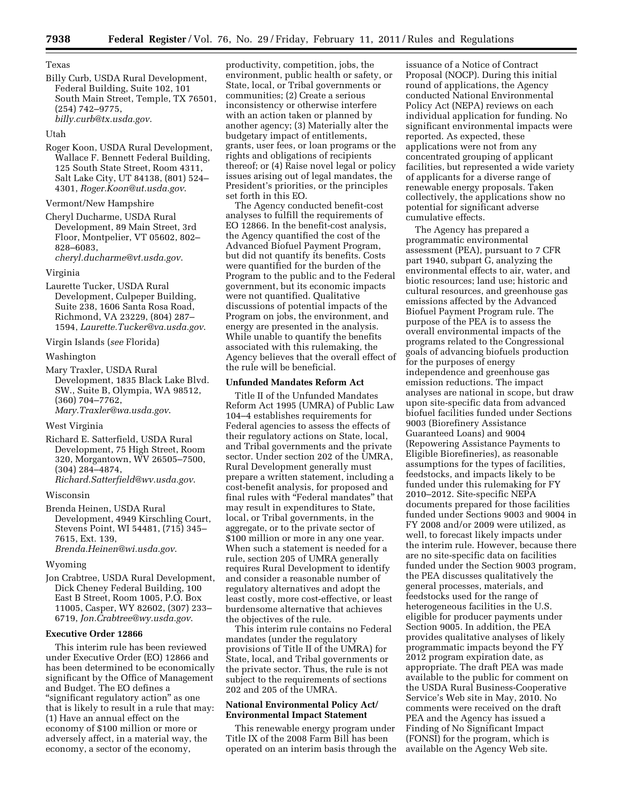Texas

Billy Curb, USDA Rural Development, Federal Building, Suite 102, 101 South Main Street, Temple, TX 76501, (254) 742–9775, *[billy.curb@tx.usda.gov](mailto:billy.curb@tx.usda.gov)*.

## Utah

Roger Koon, USDA Rural Development, Wallace F. Bennett Federal Building, 125 South State Street, Room 4311, Salt Lake City, UT 84138, (801) 524– 4301, *[Roger.Koon@ut.usda.gov](mailto:Roger.Koon@ut.usda.gov)*.

## Vermont/New Hampshire

Cheryl Ducharme, USDA Rural Development, 89 Main Street, 3rd Floor, Montpelier, VT 05602, 802– 828–6083, *[cheryl.ducharme@vt.usda.gov](mailto:cheryl.ducharme@vt.usda.gov)*.

## Virginia

Laurette Tucker, USDA Rural Development, Culpeper Building, Suite 238, 1606 Santa Rosa Road, Richmond, VA 23229, (804) 287– 1594, *[Laurette.Tucker@va.usda.gov](mailto:Laurette.Tucker@va.usda.gov)*.

Virgin Islands (*see* Florida)

#### Washington

Mary Traxler, USDA Rural Development, 1835 Black Lake Blvd. SW., Suite B, Olympia, WA 98512, (360) 704–7762, *[Mary.Traxler@wa.usda.gov](mailto:Mary.Traxler@wa.usda.gov)*.

## West Virginia

Richard E. Satterfield, USDA Rural Development, 75 High Street, Room 320, Morgantown, WV 26505–7500, (304) 284–4874, *[Richard.Satterfield@wv.usda.gov](mailto:Richard.Satterfield@wv.usda.gov)*.

Wisconsin

Brenda Heinen, USDA Rural Development, 4949 Kirschling Court, Stevens Point, WI 54481, (715) 345– 7615, Ext. 139, *[Brenda.Heinen@wi.usda.gov](mailto:Brenda.Heinen@wi.usda.gov)*.

## Wyoming

Jon Crabtree, USDA Rural Development, Dick Cheney Federal Building, 100 East B Street, Room 1005, P.O. Box 11005, Casper, WY 82602, (307) 233– 6719, *[Jon.Crabtree@wy.usda.gov](mailto:Jon.Crabtree@wy.usda.gov)*.

## **Executive Order 12866**

This interim rule has been reviewed under Executive Order (EO) 12866 and has been determined to be economically significant by the Office of Management and Budget. The EO defines a "significant regulatory action" as one that is likely to result in a rule that may: (1) Have an annual effect on the economy of \$100 million or more or adversely affect, in a material way, the economy, a sector of the economy,

productivity, competition, jobs, the environment, public health or safety, or State, local, or Tribal governments or communities; (2) Create a serious inconsistency or otherwise interfere with an action taken or planned by another agency; (3) Materially alter the budgetary impact of entitlements, grants, user fees, or loan programs or the rights and obligations of recipients thereof; or (4) Raise novel legal or policy issues arising out of legal mandates, the President's priorities, or the principles set forth in this EO.

The Agency conducted benefit-cost analyses to fulfill the requirements of EO 12866. In the benefit-cost analysis, the Agency quantified the cost of the Advanced Biofuel Payment Program, but did not quantify its benefits. Costs were quantified for the burden of the Program to the public and to the Federal government, but its economic impacts were not quantified. Qualitative discussions of potential impacts of the Program on jobs, the environment, and energy are presented in the analysis. While unable to quantify the benefits associated with this rulemaking, the Agency believes that the overall effect of the rule will be beneficial.

## **Unfunded Mandates Reform Act**

Title II of the Unfunded Mandates Reform Act 1995 (UMRA) of Public Law 104–4 establishes requirements for Federal agencies to assess the effects of their regulatory actions on State, local, and Tribal governments and the private sector. Under section 202 of the UMRA, Rural Development generally must prepare a written statement, including a cost-benefit analysis, for proposed and final rules with ''Federal mandates'' that may result in expenditures to State, local, or Tribal governments, in the aggregate, or to the private sector of \$100 million or more in any one year. When such a statement is needed for a rule, section 205 of UMRA generally requires Rural Development to identify and consider a reasonable number of regulatory alternatives and adopt the least costly, more cost-effective, or least burdensome alternative that achieves the objectives of the rule.

This interim rule contains no Federal mandates (under the regulatory provisions of Title II of the UMRA) for State, local, and Tribal governments or the private sector. Thus, the rule is not subject to the requirements of sections 202 and 205 of the UMRA.

## **National Environmental Policy Act/ Environmental Impact Statement**

This renewable energy program under Title IX of the 2008 Farm Bill has been operated on an interim basis through the

issuance of a Notice of Contract Proposal (NOCP). During this initial round of applications, the Agency conducted National Environmental Policy Act (NEPA) reviews on each individual application for funding. No significant environmental impacts were reported. As expected, these applications were not from any concentrated grouping of applicant facilities, but represented a wide variety of applicants for a diverse range of renewable energy proposals. Taken collectively, the applications show no potential for significant adverse cumulative effects.

The Agency has prepared a programmatic environmental assessment (PEA), pursuant to 7 CFR part 1940, subpart G, analyzing the environmental effects to air, water, and biotic resources; land use; historic and cultural resources, and greenhouse gas emissions affected by the Advanced Biofuel Payment Program rule. The purpose of the PEA is to assess the overall environmental impacts of the programs related to the Congressional goals of advancing biofuels production for the purposes of energy independence and greenhouse gas emission reductions. The impact analyses are national in scope, but draw upon site-specific data from advanced biofuel facilities funded under Sections 9003 (Biorefinery Assistance Guaranteed Loans) and 9004 (Repowering Assistance Payments to Eligible Biorefineries), as reasonable assumptions for the types of facilities, feedstocks, and impacts likely to be funded under this rulemaking for FY 2010–2012. Site-specific NEPA documents prepared for those facilities funded under Sections 9003 and 9004 in FY 2008 and/or 2009 were utilized, as well, to forecast likely impacts under the interim rule. However, because there are no site-specific data on facilities funded under the Section 9003 program, the PEA discusses qualitatively the general processes, materials, and feedstocks used for the range of heterogeneous facilities in the U.S. eligible for producer payments under Section 9005. In addition, the PEA provides qualitative analyses of likely programmatic impacts beyond the FY 2012 program expiration date, as appropriate. The draft PEA was made available to the public for comment on the USDA Rural Business-Cooperative Service's Web site in May, 2010. No comments were received on the draft PEA and the Agency has issued a Finding of No Significant Impact (FONSI) for the program, which is available on the Agency Web site.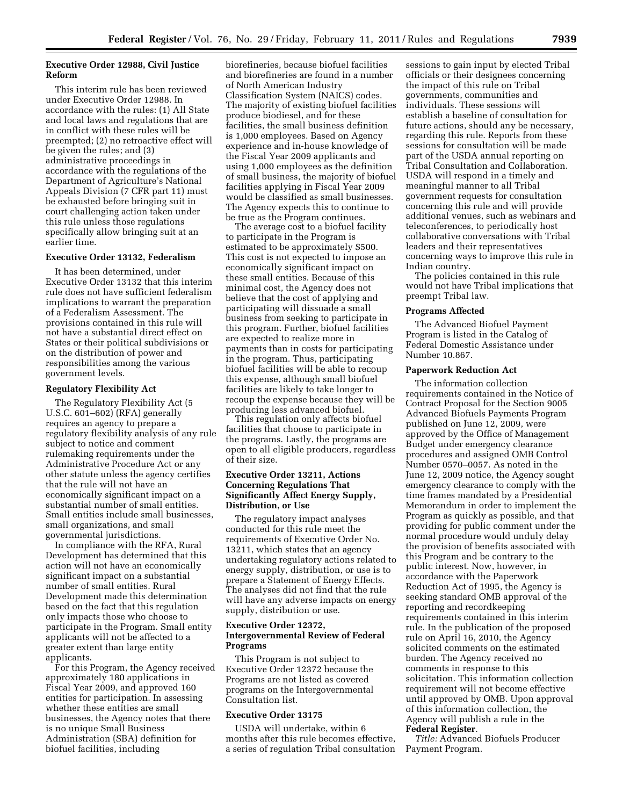## **Executive Order 12988, Civil Justice Reform**

This interim rule has been reviewed under Executive Order 12988. In accordance with the rules: (1) All State and local laws and regulations that are in conflict with these rules will be preempted; (2) no retroactive effect will be given the rules; and (3) administrative proceedings in accordance with the regulations of the Department of Agriculture's National Appeals Division (7 CFR part 11) must be exhausted before bringing suit in court challenging action taken under this rule unless those regulations specifically allow bringing suit at an earlier time.

## **Executive Order 13132, Federalism**

It has been determined, under Executive Order 13132 that this interim rule does not have sufficient federalism implications to warrant the preparation of a Federalism Assessment. The provisions contained in this rule will not have a substantial direct effect on States or their political subdivisions or on the distribution of power and responsibilities among the various government levels.

#### **Regulatory Flexibility Act**

The Regulatory Flexibility Act (5 U.S.C. 601–602) (RFA) generally requires an agency to prepare a regulatory flexibility analysis of any rule subject to notice and comment rulemaking requirements under the Administrative Procedure Act or any other statute unless the agency certifies that the rule will not have an economically significant impact on a substantial number of small entities. Small entities include small businesses, small organizations, and small governmental jurisdictions.

In compliance with the RFA, Rural Development has determined that this action will not have an economically significant impact on a substantial number of small entities. Rural Development made this determination based on the fact that this regulation only impacts those who choose to participate in the Program. Small entity applicants will not be affected to a greater extent than large entity applicants.

For this Program, the Agency received approximately 180 applications in Fiscal Year 2009, and approved 160 entities for participation. In assessing whether these entities are small businesses, the Agency notes that there is no unique Small Business Administration (SBA) definition for biofuel facilities, including

biorefineries, because biofuel facilities and biorefineries are found in a number of North American Industry Classification System (NAICS) codes. The majority of existing biofuel facilities produce biodiesel, and for these facilities, the small business definition is 1,000 employees. Based on Agency experience and in-house knowledge of the Fiscal Year 2009 applicants and using 1,000 employees as the definition of small business, the majority of biofuel facilities applying in Fiscal Year 2009 would be classified as small businesses. The Agency expects this to continue to be true as the Program continues.

The average cost to a biofuel facility to participate in the Program is estimated to be approximately \$500. This cost is not expected to impose an economically significant impact on these small entities. Because of this minimal cost, the Agency does not believe that the cost of applying and participating will dissuade a small business from seeking to participate in this program. Further, biofuel facilities are expected to realize more in payments than in costs for participating in the program. Thus, participating biofuel facilities will be able to recoup this expense, although small biofuel facilities are likely to take longer to recoup the expense because they will be producing less advanced biofuel.

This regulation only affects biofuel facilities that choose to participate in the programs. Lastly, the programs are open to all eligible producers, regardless of their size.

## **Executive Order 13211, Actions Concerning Regulations That Significantly Affect Energy Supply, Distribution, or Use**

The regulatory impact analyses conducted for this rule meet the requirements of Executive Order No. 13211, which states that an agency undertaking regulatory actions related to energy supply, distribution, or use is to prepare a Statement of Energy Effects. The analyses did not find that the rule will have any adverse impacts on energy supply, distribution or use.

## **Executive Order 12372, Intergovernmental Review of Federal Programs**

This Program is not subject to Executive Order 12372 because the Programs are not listed as covered programs on the Intergovernmental Consultation list.

## **Executive Order 13175**

USDA will undertake, within 6 months after this rule becomes effective, a series of regulation Tribal consultation

sessions to gain input by elected Tribal officials or their designees concerning the impact of this rule on Tribal governments, communities and individuals. These sessions will establish a baseline of consultation for future actions, should any be necessary, regarding this rule. Reports from these sessions for consultation will be made part of the USDA annual reporting on Tribal Consultation and Collaboration. USDA will respond in a timely and meaningful manner to all Tribal government requests for consultation concerning this rule and will provide additional venues, such as webinars and teleconferences, to periodically host collaborative conversations with Tribal leaders and their representatives concerning ways to improve this rule in Indian country.

The policies contained in this rule would not have Tribal implications that preempt Tribal law.

#### **Programs Affected**

The Advanced Biofuel Payment Program is listed in the Catalog of Federal Domestic Assistance under Number 10.867.

## **Paperwork Reduction Act**

The information collection requirements contained in the Notice of Contract Proposal for the Section 9005 Advanced Biofuels Payments Program published on June 12, 2009, were approved by the Office of Management Budget under emergency clearance procedures and assigned OMB Control Number 0570–0057. As noted in the June 12, 2009 notice, the Agency sought emergency clearance to comply with the time frames mandated by a Presidential Memorandum in order to implement the Program as quickly as possible, and that providing for public comment under the normal procedure would unduly delay the provision of benefits associated with this Program and be contrary to the public interest. Now, however, in accordance with the Paperwork Reduction Act of 1995, the Agency is seeking standard OMB approval of the reporting and recordkeeping requirements contained in this interim rule. In the publication of the proposed rule on April 16, 2010, the Agency solicited comments on the estimated burden. The Agency received no comments in response to this solicitation. This information collection requirement will not become effective until approved by OMB. Upon approval of this information collection, the Agency will publish a rule in the **Federal Register**.

*Title:* Advanced Biofuels Producer Payment Program.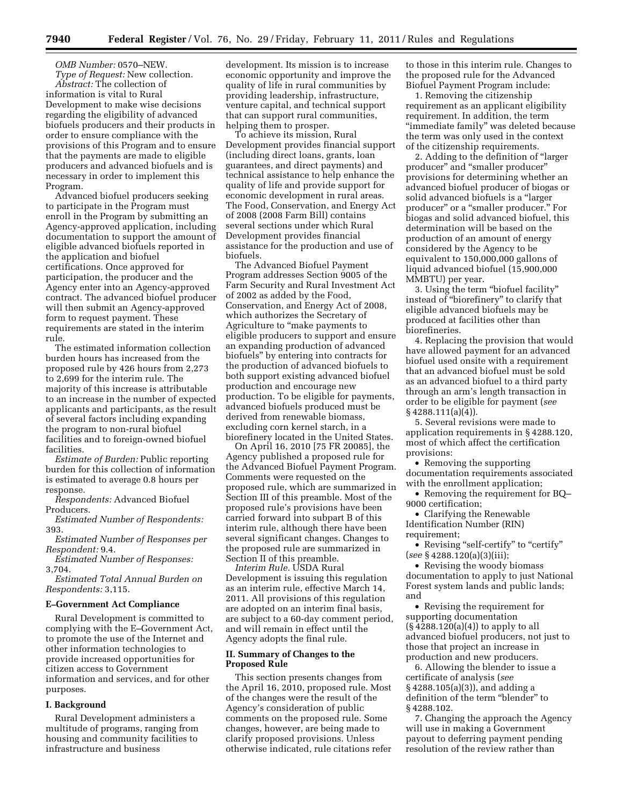*OMB Number:* 0570–NEW. *Type of Request:* New collection.

*Abstract:* The collection of information is vital to Rural Development to make wise decisions regarding the eligibility of advanced biofuels producers and their products in order to ensure compliance with the provisions of this Program and to ensure that the payments are made to eligible producers and advanced biofuels and is necessary in order to implement this Program.

Advanced biofuel producers seeking to participate in the Program must enroll in the Program by submitting an Agency-approved application, including documentation to support the amount of eligible advanced biofuels reported in the application and biofuel certifications. Once approved for participation, the producer and the Agency enter into an Agency-approved contract. The advanced biofuel producer will then submit an Agency-approved form to request payment. These requirements are stated in the interim rule.

The estimated information collection burden hours has increased from the proposed rule by 426 hours from 2,273 to 2,699 for the interim rule. The majority of this increase is attributable to an increase in the number of expected applicants and participants, as the result of several factors including expanding the program to non-rural biofuel facilities and to foreign-owned biofuel facilities.

*Estimate of Burden:* Public reporting burden for this collection of information is estimated to average 0.8 hours per response.

*Respondents:* Advanced Biofuel Producers.

*Estimated Number of Respondents:*  393.

*Estimated Number of Responses per Respondent:* 9.4.

*Estimated Number of Responses:*  3,704.

*Estimated Total Annual Burden on Respondents:* 3,115.

## **E–Government Act Compliance**

Rural Development is committed to complying with the E–Government Act, to promote the use of the Internet and other information technologies to provide increased opportunities for citizen access to Government information and services, and for other purposes.

## **I. Background**

Rural Development administers a multitude of programs, ranging from housing and community facilities to infrastructure and business

development. Its mission is to increase economic opportunity and improve the quality of life in rural communities by providing leadership, infrastructure, venture capital, and technical support that can support rural communities, helping them to prosper.

To achieve its mission, Rural Development provides financial support (including direct loans, grants, loan guarantees, and direct payments) and technical assistance to help enhance the quality of life and provide support for economic development in rural areas. The Food, Conservation, and Energy Act of 2008 (2008 Farm Bill) contains several sections under which Rural Development provides financial assistance for the production and use of biofuels.

The Advanced Biofuel Payment Program addresses Section 9005 of the Farm Security and Rural Investment Act of 2002 as added by the Food, Conservation, and Energy Act of 2008, which authorizes the Secretary of Agriculture to ''make payments to eligible producers to support and ensure an expanding production of advanced biofuels'' by entering into contracts for the production of advanced biofuels to both support existing advanced biofuel production and encourage new production. To be eligible for payments, advanced biofuels produced must be derived from renewable biomass, excluding corn kernel starch, in a biorefinery located in the United States.

On April 16, 2010 [75 FR 20085], the Agency published a proposed rule for the Advanced Biofuel Payment Program. Comments were requested on the proposed rule, which are summarized in Section III of this preamble. Most of the proposed rule's provisions have been carried forward into subpart B of this interim rule, although there have been several significant changes. Changes to the proposed rule are summarized in Section II of this preamble.

*Interim Rule.* USDA Rural Development is issuing this regulation as an interim rule, effective March 14, 2011. All provisions of this regulation are adopted on an interim final basis, are subject to a 60-day comment period, and will remain in effect until the Agency adopts the final rule.

## **II. Summary of Changes to the Proposed Rule**

This section presents changes from the April 16, 2010, proposed rule. Most of the changes were the result of the Agency's consideration of public comments on the proposed rule. Some changes, however, are being made to clarify proposed provisions. Unless otherwise indicated, rule citations refer

to those in this interim rule. Changes to the proposed rule for the Advanced Biofuel Payment Program include:

1. Removing the citizenship requirement as an applicant eligibility requirement. In addition, the term ''immediate family'' was deleted because the term was only used in the context of the citizenship requirements.

2. Adding to the definition of ''larger producer'' and ''smaller producer'' provisions for determining whether an advanced biofuel producer of biogas or solid advanced biofuels is a ''larger producer'' or a ''smaller producer.'' For biogas and solid advanced biofuel, this determination will be based on the production of an amount of energy considered by the Agency to be equivalent to 150,000,000 gallons of liquid advanced biofuel (15,900,000 MMBTU) per year.

3. Using the term ''biofuel facility'' instead of ''biorefinery'' to clarify that eligible advanced biofuels may be produced at facilities other than biorefineries.

4. Replacing the provision that would have allowed payment for an advanced biofuel used onsite with a requirement that an advanced biofuel must be sold as an advanced biofuel to a third party through an arm's length transaction in order to be eligible for payment (*see*   $§$  4288.111(a)(4)).

5. Several revisions were made to application requirements in § 4288.120, most of which affect the certification provisions:

• Removing the supporting documentation requirements associated with the enrollment application;

• Removing the requirement for BQ-9000 certification;

• Clarifying the Renewable Identification Number (RIN) requirement;

• Revising "self-certify" to "certify" (*see* § 4288.120(a)(3)(iii);

• Revising the woody biomass documentation to apply to just National Forest system lands and public lands; and

• Revising the requirement for supporting documentation (§ 4288.120(a)(4)) to apply to all advanced biofuel producers, not just to those that project an increase in production and new producers.

6. Allowing the blender to issue a certificate of analysis (*see*  § 4288.105(a)(3)), and adding a definition of the term "blender" to § 4288.102.

7. Changing the approach the Agency will use in making a Government payout to deferring payment pending resolution of the review rather than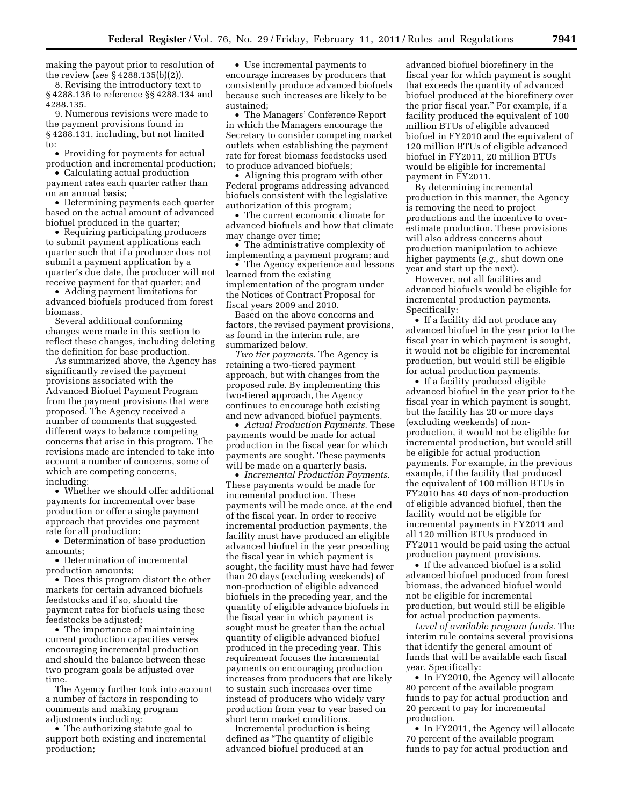making the payout prior to resolution of the review (*see* § 4288.135(b)(2)).

8. Revising the introductory text to § 4288.136 to reference §§ 4288.134 and 4288.135.

9. Numerous revisions were made to the payment provisions found in § 4288.131, including, but not limited to:

• Providing for payments for actual production and incremental production;

• Calculating actual production payment rates each quarter rather than on an annual basis;

• Determining payments each quarter based on the actual amount of advanced biofuel produced in the quarter;

• Requiring participating producers to submit payment applications each quarter such that if a producer does not submit a payment application by a quarter's due date, the producer will not receive payment for that quarter; and

• Adding payment limitations for advanced biofuels produced from forest biomass.

Several additional conforming changes were made in this section to reflect these changes, including deleting the definition for base production.

As summarized above, the Agency has significantly revised the payment provisions associated with the Advanced Biofuel Payment Program from the payment provisions that were proposed. The Agency received a number of comments that suggested different ways to balance competing concerns that arise in this program. The revisions made are intended to take into account a number of concerns, some of which are competing concerns, including:

• Whether we should offer additional payments for incremental over base production or offer a single payment approach that provides one payment rate for all production;

• Determination of base production amounts;

• Determination of incremental production amounts;

• Does this program distort the other markets for certain advanced biofuels feedstocks and if so, should the payment rates for biofuels using these feedstocks be adjusted;

• The importance of maintaining current production capacities verses encouraging incremental production and should the balance between these two program goals be adjusted over time.

The Agency further took into account a number of factors in responding to comments and making program adjustments including:

• The authorizing statute goal to support both existing and incremental production;

• Use incremental payments to encourage increases by producers that consistently produce advanced biofuels because such increases are likely to be sustained;

• The Managers' Conference Report in which the Managers encourage the Secretary to consider competing market outlets when establishing the payment rate for forest biomass feedstocks used to produce advanced biofuels;

• Aligning this program with other Federal programs addressing advanced biofuels consistent with the legislative authorization of this program;

• The current economic climate for advanced biofuels and how that climate may change over time;

• The administrative complexity of implementing a payment program; and

• The Agency experience and lessons learned from the existing implementation of the program under the Notices of Contract Proposal for fiscal years 2009 and 2010.

Based on the above concerns and factors, the revised payment provisions, as found in the interim rule, are summarized below.

*Two tier payments.* The Agency is retaining a two-tiered payment approach, but with changes from the proposed rule. By implementing this two-tiered approach, the Agency continues to encourage both existing and new advanced biofuel payments.

• *Actual Production Payments.* These payments would be made for actual production in the fiscal year for which payments are sought. These payments will be made on a quarterly basis.

• *Incremental Production Payments.*  These payments would be made for incremental production. These payments will be made once, at the end of the fiscal year. In order to receive incremental production payments, the facility must have produced an eligible advanced biofuel in the year preceding the fiscal year in which payment is sought, the facility must have had fewer than 20 days (excluding weekends) of non-production of eligible advanced biofuels in the preceding year, and the quantity of eligible advance biofuels in the fiscal year in which payment is sought must be greater than the actual quantity of eligible advanced biofuel produced in the preceding year. This requirement focuses the incremental payments on encouraging production increases from producers that are likely to sustain such increases over time instead of producers who widely vary production from year to year based on short term market conditions.

Incremental production is being defined as ''The quantity of eligible advanced biofuel produced at an

advanced biofuel biorefinery in the fiscal year for which payment is sought that exceeds the quantity of advanced biofuel produced at the biorefinery over the prior fiscal year.'' For example, if a facility produced the equivalent of 100 million BTUs of eligible advanced biofuel in FY2010 and the equivalent of 120 million BTUs of eligible advanced biofuel in FY2011, 20 million BTUs would be eligible for incremental payment in FY2011.

By determining incremental production in this manner, the Agency is removing the need to project productions and the incentive to overestimate production. These provisions will also address concerns about production manipulation to achieve higher payments (*e.g.,* shut down one year and start up the next).

However, not all facilities and advanced biofuels would be eligible for incremental production payments. Specifically:

• If a facility did not produce any advanced biofuel in the year prior to the fiscal year in which payment is sought, it would not be eligible for incremental production, but would still be eligible for actual production payments.

• If a facility produced eligible advanced biofuel in the year prior to the fiscal year in which payment is sought, but the facility has 20 or more days (excluding weekends) of nonproduction, it would not be eligible for incremental production, but would still be eligible for actual production payments. For example, in the previous example, if the facility that produced the equivalent of 100 million BTUs in FY2010 has 40 days of non-production of eligible advanced biofuel, then the facility would not be eligible for incremental payments in FY2011 and all 120 million BTUs produced in FY2011 would be paid using the actual production payment provisions.

• If the advanced biofuel is a solid advanced biofuel produced from forest biomass, the advanced biofuel would not be eligible for incremental production, but would still be eligible for actual production payments.

*Level of available program funds.* The interim rule contains several provisions that identify the general amount of funds that will be available each fiscal year. Specifically:

• In FY2010, the Agency will allocate 80 percent of the available program funds to pay for actual production and 20 percent to pay for incremental production.

• In FY2011, the Agency will allocate 70 percent of the available program funds to pay for actual production and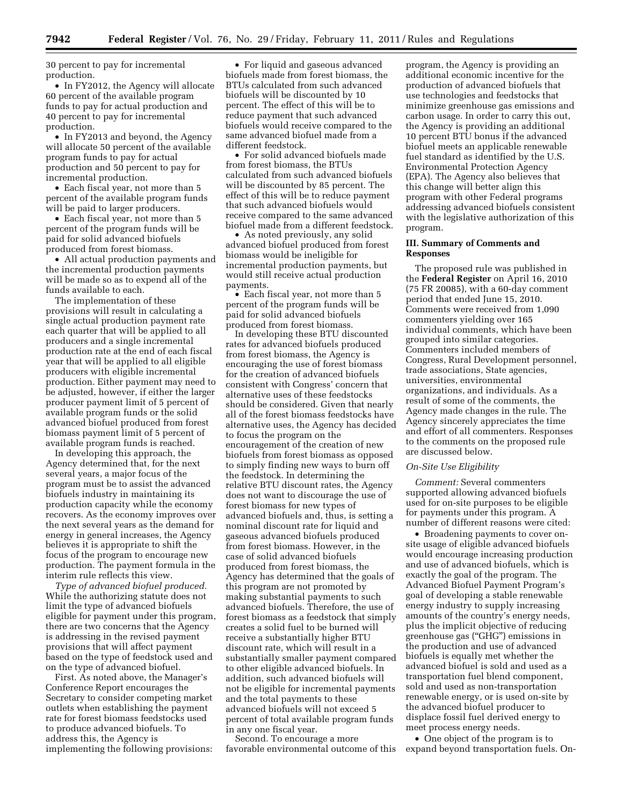30 percent to pay for incremental production.

• In FY2012, the Agency will allocate 60 percent of the available program funds to pay for actual production and 40 percent to pay for incremental production.

• In FY2013 and beyond, the Agency will allocate 50 percent of the available program funds to pay for actual production and 50 percent to pay for incremental production.

• Each fiscal year, not more than 5 percent of the available program funds will be paid to larger producers.

• Each fiscal year, not more than 5 percent of the program funds will be paid for solid advanced biofuels produced from forest biomass.

• All actual production payments and the incremental production payments will be made so as to expend all of the funds available to each.

The implementation of these provisions will result in calculating a single actual production payment rate each quarter that will be applied to all producers and a single incremental production rate at the end of each fiscal year that will be applied to all eligible producers with eligible incremental production. Either payment may need to be adjusted, however, if either the larger producer payment limit of 5 percent of available program funds or the solid advanced biofuel produced from forest biomass payment limit of 5 percent of available program funds is reached.

In developing this approach, the Agency determined that, for the next several years, a major focus of the program must be to assist the advanced biofuels industry in maintaining its production capacity while the economy recovers. As the economy improves over the next several years as the demand for energy in general increases, the Agency believes it is appropriate to shift the focus of the program to encourage new production. The payment formula in the interim rule reflects this view.

*Type of advanced biofuel produced.*  While the authorizing statute does not limit the type of advanced biofuels eligible for payment under this program, there are two concerns that the Agency is addressing in the revised payment provisions that will affect payment based on the type of feedstock used and on the type of advanced biofuel.

First. As noted above, the Manager's Conference Report encourages the Secretary to consider competing market outlets when establishing the payment rate for forest biomass feedstocks used to produce advanced biofuels. To address this, the Agency is implementing the following provisions:

• For liquid and gaseous advanced biofuels made from forest biomass, the BTUs calculated from such advanced biofuels will be discounted by 10 percent. The effect of this will be to reduce payment that such advanced biofuels would receive compared to the same advanced biofuel made from a different feedstock.

• For solid advanced biofuels made from forest biomass, the BTUs calculated from such advanced biofuels will be discounted by 85 percent. The effect of this will be to reduce payment that such advanced biofuels would receive compared to the same advanced biofuel made from a different feedstock.

• As noted previously, any solid advanced biofuel produced from forest biomass would be ineligible for incremental production payments, but would still receive actual production payments.

• Each fiscal year, not more than 5 percent of the program funds will be paid for solid advanced biofuels produced from forest biomass.

In developing these BTU discounted rates for advanced biofuels produced from forest biomass, the Agency is encouraging the use of forest biomass for the creation of advanced biofuels consistent with Congress' concern that alternative uses of these feedstocks should be considered. Given that nearly all of the forest biomass feedstocks have alternative uses, the Agency has decided to focus the program on the encouragement of the creation of new biofuels from forest biomass as opposed to simply finding new ways to burn off the feedstock. In determining the relative BTU discount rates, the Agency does not want to discourage the use of forest biomass for new types of advanced biofuels and, thus, is setting a nominal discount rate for liquid and gaseous advanced biofuels produced from forest biomass. However, in the case of solid advanced biofuels produced from forest biomass, the Agency has determined that the goals of this program are not promoted by making substantial payments to such advanced biofuels. Therefore, the use of forest biomass as a feedstock that simply creates a solid fuel to be burned will receive a substantially higher BTU discount rate, which will result in a substantially smaller payment compared to other eligible advanced biofuels. In addition, such advanced biofuels will not be eligible for incremental payments and the total payments to these advanced biofuels will not exceed 5 percent of total available program funds in any one fiscal year.

Second. To encourage a more favorable environmental outcome of this

program, the Agency is providing an additional economic incentive for the production of advanced biofuels that use technologies and feedstocks that minimize greenhouse gas emissions and carbon usage. In order to carry this out, the Agency is providing an additional 10 percent BTU bonus if the advanced biofuel meets an applicable renewable fuel standard as identified by the U.S. Environmental Protection Agency (EPA). The Agency also believes that this change will better align this program with other Federal programs addressing advanced biofuels consistent with the legislative authorization of this program.

## **III. Summary of Comments and Responses**

The proposed rule was published in the **Federal Register** on April 16, 2010 (75 FR 20085), with a 60-day comment period that ended June 15, 2010. Comments were received from 1,090 commenters yielding over 165 individual comments, which have been grouped into similar categories. Commenters included members of Congress, Rural Development personnel, trade associations, State agencies, universities, environmental organizations, and individuals. As a result of some of the comments, the Agency made changes in the rule. The Agency sincerely appreciates the time and effort of all commenters. Responses to the comments on the proposed rule are discussed below.

## *On-Site Use Eligibility*

*Comment:* Several commenters supported allowing advanced biofuels used for on-site purposes to be eligible for payments under this program. A number of different reasons were cited:

• Broadening payments to cover onsite usage of eligible advanced biofuels would encourage increasing production and use of advanced biofuels, which is exactly the goal of the program. The Advanced Biofuel Payment Program's goal of developing a stable renewable energy industry to supply increasing amounts of the country's energy needs, plus the implicit objective of reducing greenhouse gas (''GHG'') emissions in the production and use of advanced biofuels is equally met whether the advanced biofuel is sold and used as a transportation fuel blend component, sold and used as non-transportation renewable energy, or is used on-site by the advanced biofuel producer to displace fossil fuel derived energy to meet process energy needs.

• One object of the program is to expand beyond transportation fuels. On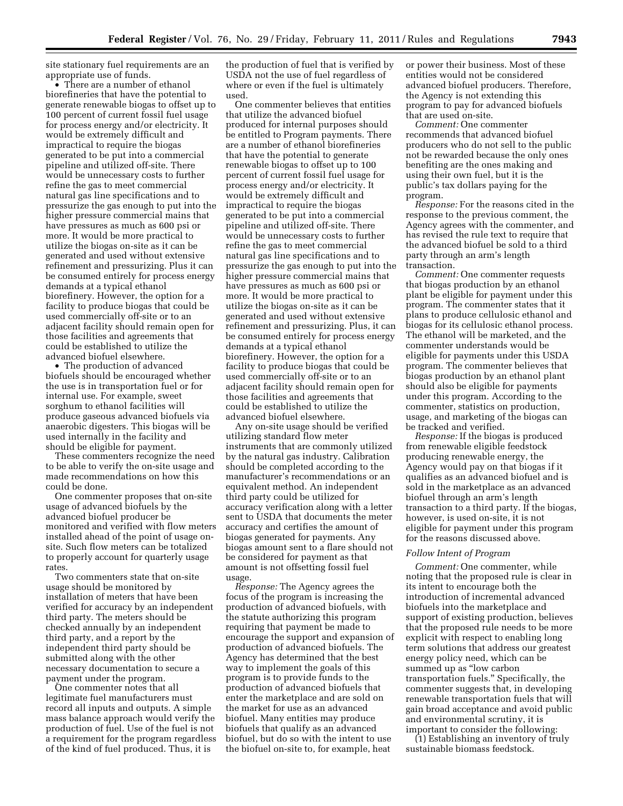site stationary fuel requirements are an appropriate use of funds.

• There are a number of ethanol biorefineries that have the potential to generate renewable biogas to offset up to 100 percent of current fossil fuel usage for process energy and/or electricity. It would be extremely difficult and impractical to require the biogas generated to be put into a commercial pipeline and utilized off-site. There would be unnecessary costs to further refine the gas to meet commercial natural gas line specifications and to pressurize the gas enough to put into the higher pressure commercial mains that have pressures as much as 600 psi or more. It would be more practical to utilize the biogas on-site as it can be generated and used without extensive refinement and pressurizing. Plus it can be consumed entirely for process energy demands at a typical ethanol biorefinery. However, the option for a facility to produce biogas that could be used commercially off-site or to an adjacent facility should remain open for those facilities and agreements that could be established to utilize the advanced biofuel elsewhere.

• The production of advanced biofuels should be encouraged whether the use is in transportation fuel or for internal use. For example, sweet sorghum to ethanol facilities will produce gaseous advanced biofuels via anaerobic digesters. This biogas will be used internally in the facility and should be eligible for payment.

These commenters recognize the need to be able to verify the on-site usage and made recommendations on how this could be done.

One commenter proposes that on-site usage of advanced biofuels by the advanced biofuel producer be monitored and verified with flow meters installed ahead of the point of usage onsite. Such flow meters can be totalized to properly account for quarterly usage rates.

Two commenters state that on-site usage should be monitored by installation of meters that have been verified for accuracy by an independent third party. The meters should be checked annually by an independent third party, and a report by the independent third party should be submitted along with the other necessary documentation to secure a payment under the program.

One commenter notes that all legitimate fuel manufacturers must record all inputs and outputs. A simple mass balance approach would verify the production of fuel. Use of the fuel is not a requirement for the program regardless of the kind of fuel produced. Thus, it is

the production of fuel that is verified by USDA not the use of fuel regardless of where or even if the fuel is ultimately used.

One commenter believes that entities that utilize the advanced biofuel produced for internal purposes should be entitled to Program payments. There are a number of ethanol biorefineries that have the potential to generate renewable biogas to offset up to 100 percent of current fossil fuel usage for process energy and/or electricity. It would be extremely difficult and impractical to require the biogas generated to be put into a commercial pipeline and utilized off-site. There would be unnecessary costs to further refine the gas to meet commercial natural gas line specifications and to pressurize the gas enough to put into the higher pressure commercial mains that have pressures as much as 600 psi or more. It would be more practical to utilize the biogas on-site as it can be generated and used without extensive refinement and pressurizing. Plus, it can be consumed entirely for process energy demands at a typical ethanol biorefinery. However, the option for a facility to produce biogas that could be used commercially off-site or to an adjacent facility should remain open for those facilities and agreements that could be established to utilize the advanced biofuel elsewhere.

Any on-site usage should be verified utilizing standard flow meter instruments that are commonly utilized by the natural gas industry. Calibration should be completed according to the manufacturer's recommendations or an equivalent method. An independent third party could be utilized for accuracy verification along with a letter sent to USDA that documents the meter accuracy and certifies the amount of biogas generated for payments. Any biogas amount sent to a flare should not be considered for payment as that amount is not offsetting fossil fuel usage.

*Response:* The Agency agrees the focus of the program is increasing the production of advanced biofuels, with the statute authorizing this program requiring that payment be made to encourage the support and expansion of production of advanced biofuels. The Agency has determined that the best way to implement the goals of this program is to provide funds to the production of advanced biofuels that enter the marketplace and are sold on the market for use as an advanced biofuel. Many entities may produce biofuels that qualify as an advanced biofuel, but do so with the intent to use the biofuel on-site to, for example, heat

or power their business. Most of these entities would not be considered advanced biofuel producers. Therefore, the Agency is not extending this program to pay for advanced biofuels that are used on-site.

*Comment:* One commenter recommends that advanced biofuel producers who do not sell to the public not be rewarded because the only ones benefiting are the ones making and using their own fuel, but it is the public's tax dollars paying for the program.

*Response:* For the reasons cited in the response to the previous comment, the Agency agrees with the commenter, and has revised the rule text to require that the advanced biofuel be sold to a third party through an arm's length transaction.

*Comment:* One commenter requests that biogas production by an ethanol plant be eligible for payment under this program. The commenter states that it plans to produce cellulosic ethanol and biogas for its cellulosic ethanol process. The ethanol will be marketed, and the commenter understands would be eligible for payments under this USDA program. The commenter believes that biogas production by an ethanol plant should also be eligible for payments under this program. According to the commenter, statistics on production, usage, and marketing of the biogas can be tracked and verified.

*Response:* If the biogas is produced from renewable eligible feedstock producing renewable energy, the Agency would pay on that biogas if it qualifies as an advanced biofuel and is sold in the marketplace as an advanced biofuel through an arm's length transaction to a third party. If the biogas, however, is used on-site, it is not eligible for payment under this program for the reasons discussed above.

## *Follow Intent of Program*

*Comment:* One commenter, while noting that the proposed rule is clear in its intent to encourage both the introduction of incremental advanced biofuels into the marketplace and support of existing production, believes that the proposed rule needs to be more explicit with respect to enabling long term solutions that address our greatest energy policy need, which can be summed up as "low carbon transportation fuels.'' Specifically, the commenter suggests that, in developing renewable transportation fuels that will gain broad acceptance and avoid public and environmental scrutiny, it is important to consider the following:

(1) Establishing an inventory of truly sustainable biomass feedstock.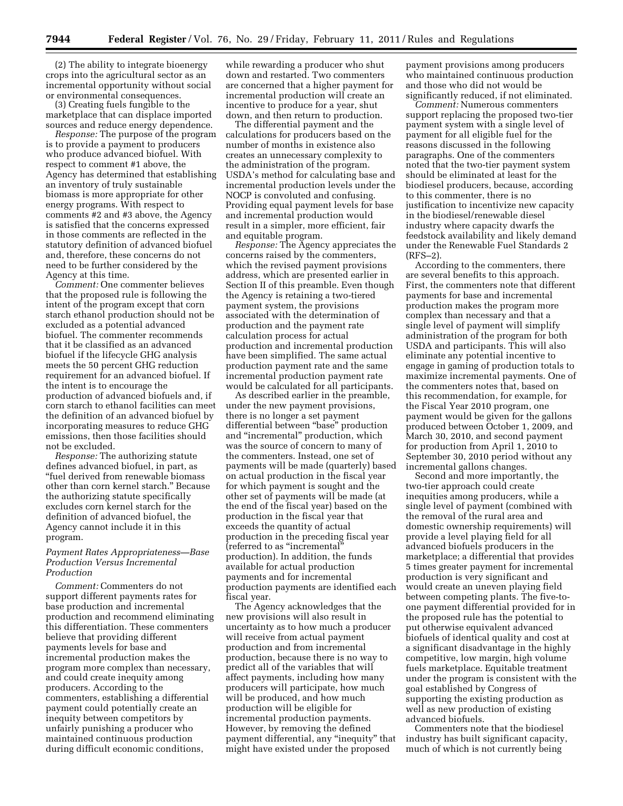(2) The ability to integrate bioenergy crops into the agricultural sector as an incremental opportunity without social or environmental consequences.

(3) Creating fuels fungible to the marketplace that can displace imported sources and reduce energy dependence.

*Response:* The purpose of the program is to provide a payment to producers who produce advanced biofuel. With respect to comment #1 above, the Agency has determined that establishing an inventory of truly sustainable biomass is more appropriate for other energy programs. With respect to comments #2 and #3 above, the Agency is satisfied that the concerns expressed in those comments are reflected in the statutory definition of advanced biofuel and, therefore, these concerns do not need to be further considered by the Agency at this time.

*Comment:* One commenter believes that the proposed rule is following the intent of the program except that corn starch ethanol production should not be excluded as a potential advanced biofuel. The commenter recommends that it be classified as an advanced biofuel if the lifecycle GHG analysis meets the 50 percent GHG reduction requirement for an advanced biofuel. If the intent is to encourage the production of advanced biofuels and, if corn starch to ethanol facilities can meet the definition of an advanced biofuel by incorporating measures to reduce GHG emissions, then those facilities should not be excluded.

*Response:* The authorizing statute defines advanced biofuel, in part, as ''fuel derived from renewable biomass other than corn kernel starch.'' Because the authorizing statute specifically excludes corn kernel starch for the definition of advanced biofuel, the Agency cannot include it in this program.

## *Payment Rates Appropriateness—Base Production Versus Incremental Production*

*Comment:* Commenters do not support different payments rates for base production and incremental production and recommend eliminating this differentiation. These commenters believe that providing different payments levels for base and incremental production makes the program more complex than necessary, and could create inequity among producers. According to the commenters, establishing a differential payment could potentially create an inequity between competitors by unfairly punishing a producer who maintained continuous production during difficult economic conditions,

while rewarding a producer who shut down and restarted. Two commenters are concerned that a higher payment for incremental production will create an incentive to produce for a year, shut down, and then return to production.

The differential payment and the calculations for producers based on the number of months in existence also creates an unnecessary complexity to the administration of the program. USDA's method for calculating base and incremental production levels under the NOCP is convoluted and confusing. Providing equal payment levels for base and incremental production would result in a simpler, more efficient, fair and equitable program.

*Response:* The Agency appreciates the concerns raised by the commenters, which the revised payment provisions address, which are presented earlier in Section II of this preamble. Even though the Agency is retaining a two-tiered payment system, the provisions associated with the determination of production and the payment rate calculation process for actual production and incremental production have been simplified. The same actual production payment rate and the same incremental production payment rate would be calculated for all participants.

As described earlier in the preamble, under the new payment provisions, there is no longer a set payment differential between "base" production and "incremental" production, which was the source of concern to many of the commenters. Instead, one set of payments will be made (quarterly) based on actual production in the fiscal year for which payment is sought and the other set of payments will be made (at the end of the fiscal year) based on the production in the fiscal year that exceeds the quantity of actual production in the preceding fiscal year (referred to as ''incremental'' production). In addition, the funds available for actual production payments and for incremental production payments are identified each fiscal year.

The Agency acknowledges that the new provisions will also result in uncertainty as to how much a producer will receive from actual payment production and from incremental production, because there is no way to predict all of the variables that will affect payments, including how many producers will participate, how much will be produced, and how much production will be eligible for incremental production payments. However, by removing the defined payment differential, any "inequity" that might have existed under the proposed

payment provisions among producers who maintained continuous production and those who did not would be significantly reduced, if not eliminated.

*Comment:* Numerous commenters support replacing the proposed two-tier payment system with a single level of payment for all eligible fuel for the reasons discussed in the following paragraphs. One of the commenters noted that the two-tier payment system should be eliminated at least for the biodiesel producers, because, according to this commenter, there is no justification to incentivize new capacity in the biodiesel/renewable diesel industry where capacity dwarfs the feedstock availability and likely demand under the Renewable Fuel Standards 2 (RFS–2).

According to the commenters, there are several benefits to this approach. First, the commenters note that different payments for base and incremental production makes the program more complex than necessary and that a single level of payment will simplify administration of the program for both USDA and participants. This will also eliminate any potential incentive to engage in gaming of production totals to maximize incremental payments. One of the commenters notes that, based on this recommendation, for example, for the Fiscal Year 2010 program, one payment would be given for the gallons produced between October 1, 2009, and March 30, 2010, and second payment for production from April 1, 2010 to September 30, 2010 period without any incremental gallons changes.

Second and more importantly, the two-tier approach could create inequities among producers, while a single level of payment (combined with the removal of the rural area and domestic ownership requirements) will provide a level playing field for all advanced biofuels producers in the marketplace; a differential that provides 5 times greater payment for incremental production is very significant and would create an uneven playing field between competing plants. The five-toone payment differential provided for in the proposed rule has the potential to put otherwise equivalent advanced biofuels of identical quality and cost at a significant disadvantage in the highly competitive, low margin, high volume fuels marketplace. Equitable treatment under the program is consistent with the goal established by Congress of supporting the existing production as well as new production of existing advanced biofuels.

Commenters note that the biodiesel industry has built significant capacity, much of which is not currently being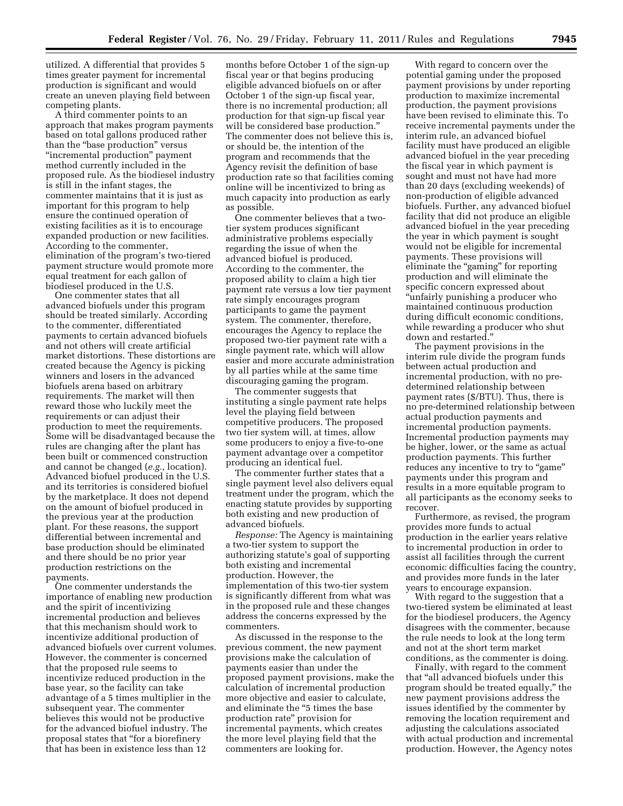utilized. A differential that provides 5 times greater payment for incremental production is significant and would create an uneven playing field between competing plants.

A third commenter points to an approach that makes program payments based on total gallons produced rather than the "base production" versus ''incremental production'' payment method currently included in the proposed rule. As the biodiesel industry is still in the infant stages, the commenter maintains that it is just as important for this program to help ensure the continued operation of existing facilities as it is to encourage expanded production or new facilities. According to the commenter, elimination of the program's two-tiered payment structure would promote more equal treatment for each gallon of biodiesel produced in the U.S.

One commenter states that all advanced biofuels under this program should be treated similarly. According to the commenter, differentiated payments to certain advanced biofuels and not others will create artificial market distortions. These distortions are created because the Agency is picking winners and losers in the advanced biofuels arena based on arbitrary requirements. The market will then reward those who luckily meet the requirements or can adjust their production to meet the requirements. Some will be disadvantaged because the rules are changing after the plant has been built or commenced construction and cannot be changed (*e.g.,* location). Advanced biofuel produced in the U.S. and its territories is considered biofuel by the marketplace. It does not depend on the amount of biofuel produced in the previous year at the production plant. For these reasons, the support differential between incremental and base production should be eliminated and there should be no prior year production restrictions on the payments.

One commenter understands the importance of enabling new production and the spirit of incentivizing incremental production and believes that this mechanism should work to incentivize additional production of advanced biofuels over current volumes. However, the commenter is concerned that the proposed rule seems to incentivize reduced production in the base year, so the facility can take advantage of a 5 times multiplier in the subsequent year. The commenter believes this would not be productive for the advanced biofuel industry. The proposal states that ''for a biorefinery that has been in existence less than 12

months before October 1 of the sign-up fiscal year or that begins producing eligible advanced biofuels on or after October 1 of the sign-up fiscal year, there is no incremental production; all production for that sign-up fiscal year will be considered base production." The commenter does not believe this is, or should be, the intention of the program and recommends that the Agency revisit the definition of base production rate so that facilities coming online will be incentivized to bring as much capacity into production as early as possible.

One commenter believes that a twotier system produces significant administrative problems especially regarding the issue of when the advanced biofuel is produced. According to the commenter, the proposed ability to claim a high tier payment rate versus a low tier payment rate simply encourages program participants to game the payment system. The commenter, therefore, encourages the Agency to replace the proposed two-tier payment rate with a single payment rate, which will allow easier and more accurate administration by all parties while at the same time discouraging gaming the program.

The commenter suggests that instituting a single payment rate helps level the playing field between competitive producers. The proposed two tier system will, at times, allow some producers to enjoy a five-to-one payment advantage over a competitor producing an identical fuel.

The commenter further states that a single payment level also delivers equal treatment under the program, which the enacting statute provides by supporting both existing and new production of advanced biofuels.

*Response:* The Agency is maintaining a two-tier system to support the authorizing statute's goal of supporting both existing and incremental production. However, the implementation of this two-tier system is significantly different from what was in the proposed rule and these changes address the concerns expressed by the commenters.

As discussed in the response to the previous comment, the new payment provisions make the calculation of payments easier than under the proposed payment provisions, make the calculation of incremental production more objective and easier to calculate, and eliminate the ''5 times the base production rate'' provision for incremental payments, which creates the more level playing field that the commenters are looking for.

With regard to concern over the potential gaming under the proposed payment provisions by under reporting production to maximize incremental production, the payment provisions have been revised to eliminate this. To receive incremental payments under the interim rule, an advanced biofuel facility must have produced an eligible advanced biofuel in the year preceding the fiscal year in which payment is sought and must not have had more than 20 days (excluding weekends) of non-production of eligible advanced biofuels. Further, any advanced biofuel facility that did not produce an eligible advanced biofuel in the year preceding the year in which payment is sought would not be eligible for incremental payments. These provisions will eliminate the "gaming" for reporting production and will eliminate the specific concern expressed about ''unfairly punishing a producer who maintained continuous production during difficult economic conditions, while rewarding a producer who shut down and restarted.''

The payment provisions in the interim rule divide the program funds between actual production and incremental production, with no predetermined relationship between payment rates (\$/BTU). Thus, there is no pre-determined relationship between actual production payments and incremental production payments. Incremental production payments may be higher, lower, or the same as actual production payments. This further reduces any incentive to try to "game" payments under this program and results in a more equitable program to all participants as the economy seeks to recover.

Furthermore, as revised, the program provides more funds to actual production in the earlier years relative to incremental production in order to assist all facilities through the current economic difficulties facing the country, and provides more funds in the later years to encourage expansion.

With regard to the suggestion that a two-tiered system be eliminated at least for the biodiesel producers, the Agency disagrees with the commenter, because the rule needs to look at the long term and not at the short term market conditions, as the commenter is doing.

Finally, with regard to the comment that ''all advanced biofuels under this program should be treated equally,'' the new payment provisions address the issues identified by the commenter by removing the location requirement and adjusting the calculations associated with actual production and incremental production. However, the Agency notes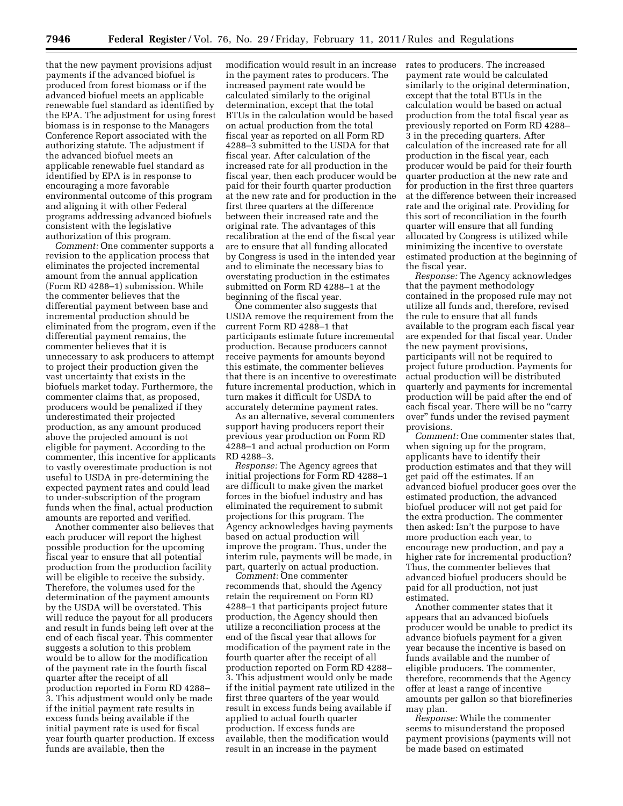that the new payment provisions adjust payments if the advanced biofuel is produced from forest biomass or if the advanced biofuel meets an applicable renewable fuel standard as identified by the EPA. The adjustment for using forest biomass is in response to the Managers Conference Report associated with the authorizing statute. The adjustment if the advanced biofuel meets an applicable renewable fuel standard as identified by EPA is in response to encouraging a more favorable environmental outcome of this program and aligning it with other Federal programs addressing advanced biofuels consistent with the legislative authorization of this program.

*Comment:* One commenter supports a revision to the application process that eliminates the projected incremental amount from the annual application (Form RD 4288–1) submission. While the commenter believes that the differential payment between base and incremental production should be eliminated from the program, even if the differential payment remains, the commenter believes that it is unnecessary to ask producers to attempt to project their production given the vast uncertainty that exists in the biofuels market today. Furthermore, the commenter claims that, as proposed, producers would be penalized if they underestimated their projected production, as any amount produced above the projected amount is not eligible for payment. According to the commenter, this incentive for applicants to vastly overestimate production is not useful to USDA in pre-determining the expected payment rates and could lead to under-subscription of the program funds when the final, actual production amounts are reported and verified.

Another commenter also believes that each producer will report the highest possible production for the upcoming fiscal year to ensure that all potential production from the production facility will be eligible to receive the subsidy. Therefore, the volumes used for the determination of the payment amounts by the USDA will be overstated. This will reduce the payout for all producers and result in funds being left over at the end of each fiscal year. This commenter suggests a solution to this problem would be to allow for the modification of the payment rate in the fourth fiscal quarter after the receipt of all production reported in Form RD 4288– 3. This adjustment would only be made if the initial payment rate results in excess funds being available if the initial payment rate is used for fiscal year fourth quarter production. If excess funds are available, then the

modification would result in an increase in the payment rates to producers. The increased payment rate would be calculated similarly to the original determination, except that the total BTUs in the calculation would be based on actual production from the total fiscal year as reported on all Form RD 4288–3 submitted to the USDA for that fiscal year. After calculation of the increased rate for all production in the fiscal year, then each producer would be paid for their fourth quarter production at the new rate and for production in the first three quarters at the difference between their increased rate and the original rate. The advantages of this recalibration at the end of the fiscal year are to ensure that all funding allocated by Congress is used in the intended year and to eliminate the necessary bias to overstating production in the estimates submitted on Form RD 4288–1 at the beginning of the fiscal year.

One commenter also suggests that USDA remove the requirement from the current Form RD 4288–1 that participants estimate future incremental production. Because producers cannot receive payments for amounts beyond this estimate, the commenter believes that there is an incentive to overestimate future incremental production, which in turn makes it difficult for USDA to accurately determine payment rates.

As an alternative, several commenters support having producers report their previous year production on Form RD 4288–1 and actual production on Form RD 4288–3.

*Response:* The Agency agrees that initial projections for Form RD 4288–1 are difficult to make given the market forces in the biofuel industry and has eliminated the requirement to submit projections for this program. The Agency acknowledges having payments based on actual production will improve the program. Thus, under the interim rule, payments will be made, in part, quarterly on actual production.

*Comment:* One commenter recommends that, should the Agency retain the requirement on Form RD 4288–1 that participants project future production, the Agency should then utilize a reconciliation process at the end of the fiscal year that allows for modification of the payment rate in the fourth quarter after the receipt of all production reported on Form RD 4288– 3. This adjustment would only be made if the initial payment rate utilized in the first three quarters of the year would result in excess funds being available if applied to actual fourth quarter production. If excess funds are available, then the modification would result in an increase in the payment

rates to producers. The increased payment rate would be calculated similarly to the original determination, except that the total BTUs in the calculation would be based on actual production from the total fiscal year as previously reported on Form RD 4288– 3 in the preceding quarters. After calculation of the increased rate for all production in the fiscal year, each producer would be paid for their fourth quarter production at the new rate and for production in the first three quarters at the difference between their increased rate and the original rate. Providing for this sort of reconciliation in the fourth quarter will ensure that all funding allocated by Congress is utilized while minimizing the incentive to overstate estimated production at the beginning of the fiscal year.

*Response:* The Agency acknowledges that the payment methodology contained in the proposed rule may not utilize all funds and, therefore, revised the rule to ensure that all funds available to the program each fiscal year are expended for that fiscal year. Under the new payment provisions, participants will not be required to project future production. Payments for actual production will be distributed quarterly and payments for incremental production will be paid after the end of each fiscal year. There will be no "carry over'' funds under the revised payment provisions.

*Comment:* One commenter states that, when signing up for the program, applicants have to identify their production estimates and that they will get paid off the estimates. If an advanced biofuel producer goes over the estimated production, the advanced biofuel producer will not get paid for the extra production. The commenter then asked: Isn't the purpose to have more production each year, to encourage new production, and pay a higher rate for incremental production? Thus, the commenter believes that advanced biofuel producers should be paid for all production, not just estimated.

Another commenter states that it appears that an advanced biofuels producer would be unable to predict its advance biofuels payment for a given year because the incentive is based on funds available and the number of eligible producers. The commenter, therefore, recommends that the Agency offer at least a range of incentive amounts per gallon so that biorefineries may plan.

*Response:* While the commenter seems to misunderstand the proposed payment provisions (payments will not be made based on estimated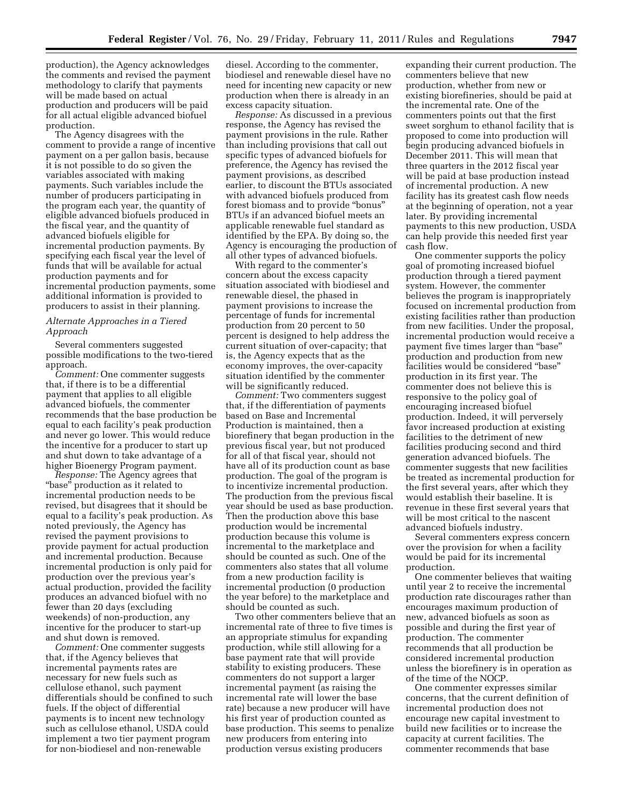production), the Agency acknowledges the comments and revised the payment methodology to clarify that payments will be made based on actual production and producers will be paid for all actual eligible advanced biofuel production.

The Agency disagrees with the comment to provide a range of incentive payment on a per gallon basis, because it is not possible to do so given the variables associated with making payments. Such variables include the number of producers participating in the program each year, the quantity of eligible advanced biofuels produced in the fiscal year, and the quantity of advanced biofuels eligible for incremental production payments. By specifying each fiscal year the level of funds that will be available for actual production payments and for incremental production payments, some additional information is provided to producers to assist in their planning.

## *Alternate Approaches in a Tiered Approach*

Several commenters suggested possible modifications to the two-tiered approach.

*Comment:* One commenter suggests that, if there is to be a differential payment that applies to all eligible advanced biofuels, the commenter recommends that the base production be equal to each facility's peak production and never go lower. This would reduce the incentive for a producer to start up and shut down to take advantage of a higher Bioenergy Program payment.

*Response:* The Agency agrees that ''base'' production as it related to incremental production needs to be revised, but disagrees that it should be equal to a facility's peak production. As noted previously, the Agency has revised the payment provisions to provide payment for actual production and incremental production. Because incremental production is only paid for production over the previous year's actual production, provided the facility produces an advanced biofuel with no fewer than 20 days (excluding weekends) of non-production, any incentive for the producer to start-up and shut down is removed.

*Comment:* One commenter suggests that, if the Agency believes that incremental payments rates are necessary for new fuels such as cellulose ethanol, such payment differentials should be confined to such fuels. If the object of differential payments is to incent new technology such as cellulose ethanol, USDA could implement a two tier payment program for non-biodiesel and non-renewable

diesel. According to the commenter, biodiesel and renewable diesel have no need for incenting new capacity or new production when there is already in an excess capacity situation.

*Response:* As discussed in a previous response, the Agency has revised the payment provisions in the rule. Rather than including provisions that call out specific types of advanced biofuels for preference, the Agency has revised the payment provisions, as described earlier, to discount the BTUs associated with advanced biofuels produced from forest biomass and to provide ''bonus'' BTUs if an advanced biofuel meets an applicable renewable fuel standard as identified by the EPA. By doing so, the Agency is encouraging the production of all other types of advanced biofuels.

With regard to the commenter's concern about the excess capacity situation associated with biodiesel and renewable diesel, the phased in payment provisions to increase the percentage of funds for incremental production from 20 percent to 50 percent is designed to help address the current situation of over-capacity; that is, the Agency expects that as the economy improves, the over-capacity situation identified by the commenter will be significantly reduced.

*Comment:* Two commenters suggest that, if the differentiation of payments based on Base and Incremental Production is maintained, then a biorefinery that began production in the previous fiscal year, but not produced for all of that fiscal year, should not have all of its production count as base production. The goal of the program is to incentivize incremental production. The production from the previous fiscal year should be used as base production. Then the production above this base production would be incremental production because this volume is incremental to the marketplace and should be counted as such. One of the commenters also states that all volume from a new production facility is incremental production (0 production the year before) to the marketplace and should be counted as such.

Two other commenters believe that an incremental rate of three to five times is an appropriate stimulus for expanding production, while still allowing for a base payment rate that will provide stability to existing producers. These commenters do not support a larger incremental payment (as raising the incremental rate will lower the base rate) because a new producer will have his first year of production counted as base production. This seems to penalize new producers from entering into production versus existing producers

expanding their current production. The commenters believe that new production, whether from new or existing biorefineries, should be paid at the incremental rate. One of the commenters points out that the first sweet sorghum to ethanol facility that is proposed to come into production will begin producing advanced biofuels in December 2011. This will mean that three quarters in the 2012 fiscal year will be paid at base production instead of incremental production. A new facility has its greatest cash flow needs at the beginning of operation, not a year later. By providing incremental payments to this new production, USDA can help provide this needed first year cash flow.

One commenter supports the policy goal of promoting increased biofuel production through a tiered payment system. However, the commenter believes the program is inappropriately focused on incremental production from existing facilities rather than production from new facilities. Under the proposal, incremental production would receive a payment five times larger than ''base'' production and production from new facilities would be considered ''base'' production in its first year. The commenter does not believe this is responsive to the policy goal of encouraging increased biofuel production. Indeed, it will perversely favor increased production at existing facilities to the detriment of new facilities producing second and third generation advanced biofuels. The commenter suggests that new facilities be treated as incremental production for the first several years, after which they would establish their baseline. It is revenue in these first several years that will be most critical to the nascent advanced biofuels industry.

Several commenters express concern over the provision for when a facility would be paid for its incremental production.

One commenter believes that waiting until year 2 to receive the incremental production rate discourages rather than encourages maximum production of new, advanced biofuels as soon as possible and during the first year of production. The commenter recommends that all production be considered incremental production unless the biorefinery is in operation as of the time of the NOCP.

One commenter expresses similar concerns, that the current definition of incremental production does not encourage new capital investment to build new facilities or to increase the capacity at current facilities. The commenter recommends that base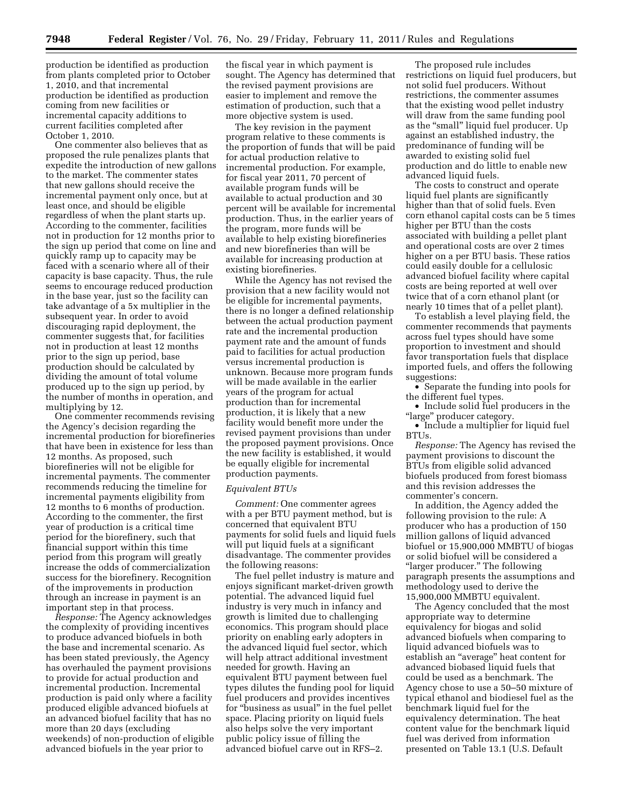production be identified as production from plants completed prior to October 1, 2010, and that incremental production be identified as production coming from new facilities or incremental capacity additions to current facilities completed after October 1, 2010.

One commenter also believes that as proposed the rule penalizes plants that expedite the introduction of new gallons to the market. The commenter states that new gallons should receive the incremental payment only once, but at least once, and should be eligible regardless of when the plant starts up. According to the commenter, facilities not in production for 12 months prior to the sign up period that come on line and quickly ramp up to capacity may be faced with a scenario where all of their capacity is base capacity. Thus, the rule seems to encourage reduced production in the base year, just so the facility can take advantage of a 5x multiplier in the subsequent year. In order to avoid discouraging rapid deployment, the commenter suggests that, for facilities not in production at least 12 months prior to the sign up period, base production should be calculated by dividing the amount of total volume produced up to the sign up period, by the number of months in operation, and multiplying by 12.

One commenter recommends revising the Agency's decision regarding the incremental production for biorefineries that have been in existence for less than 12 months. As proposed, such biorefineries will not be eligible for incremental payments. The commenter recommends reducing the timeline for incremental payments eligibility from 12 months to 6 months of production. According to the commenter, the first year of production is a critical time period for the biorefinery, such that financial support within this time period from this program will greatly increase the odds of commercialization success for the biorefinery. Recognition of the improvements in production through an increase in payment is an important step in that process.

*Response:* The Agency acknowledges the complexity of providing incentives to produce advanced biofuels in both the base and incremental scenario. As has been stated previously, the Agency has overhauled the payment provisions to provide for actual production and incremental production. Incremental production is paid only where a facility produced eligible advanced biofuels at an advanced biofuel facility that has no more than 20 days (excluding weekends) of non-production of eligible advanced biofuels in the year prior to

the fiscal year in which payment is sought. The Agency has determined that the revised payment provisions are easier to implement and remove the estimation of production, such that a more objective system is used.

The key revision in the payment program relative to these comments is the proportion of funds that will be paid for actual production relative to incremental production. For example, for fiscal year 2011, 70 percent of available program funds will be available to actual production and 30 percent will be available for incremental production. Thus, in the earlier years of the program, more funds will be available to help existing biorefineries and new biorefineries than will be available for increasing production at existing biorefineries.

While the Agency has not revised the provision that a new facility would not be eligible for incremental payments, there is no longer a defined relationship between the actual production payment rate and the incremental production payment rate and the amount of funds paid to facilities for actual production versus incremental production is unknown. Because more program funds will be made available in the earlier years of the program for actual production than for incremental production, it is likely that a new facility would benefit more under the revised payment provisions than under the proposed payment provisions. Once the new facility is established, it would be equally eligible for incremental production payments.

#### *Equivalent BTUs*

*Comment:* One commenter agrees with a per BTU payment method, but is concerned that equivalent BTU payments for solid fuels and liquid fuels will put liquid fuels at a significant disadvantage. The commenter provides the following reasons:

The fuel pellet industry is mature and enjoys significant market-driven growth potential. The advanced liquid fuel industry is very much in infancy and growth is limited due to challenging economics. This program should place priority on enabling early adopters in the advanced liquid fuel sector, which will help attract additional investment needed for growth. Having an equivalent BTU payment between fuel types dilutes the funding pool for liquid fuel producers and provides incentives for ''business as usual'' in the fuel pellet space. Placing priority on liquid fuels also helps solve the very important public policy issue of filling the advanced biofuel carve out in RFS–2.

The proposed rule includes restrictions on liquid fuel producers, but not solid fuel producers. Without restrictions, the commenter assumes that the existing wood pellet industry will draw from the same funding pool as the ''small'' liquid fuel producer. Up against an established industry, the predominance of funding will be awarded to existing solid fuel production and do little to enable new advanced liquid fuels.

The costs to construct and operate liquid fuel plants are significantly higher than that of solid fuels. Even corn ethanol capital costs can be 5 times higher per BTU than the costs associated with building a pellet plant and operational costs are over 2 times higher on a per BTU basis. These ratios could easily double for a cellulosic advanced biofuel facility where capital costs are being reported at well over twice that of a corn ethanol plant (or nearly 10 times that of a pellet plant).

To establish a level playing field, the commenter recommends that payments across fuel types should have some proportion to investment and should favor transportation fuels that displace imported fuels, and offers the following suggestions:

• Separate the funding into pools for the different fuel types.

• Include solid fuel producers in the "large" producer category.

• Include a multiplier for liquid fuel BTUs.

*Response:* The Agency has revised the payment provisions to discount the BTUs from eligible solid advanced biofuels produced from forest biomass and this revision addresses the commenter's concern.

In addition, the Agency added the following provision to the rule: A producer who has a production of 150 million gallons of liquid advanced biofuel or 15,900,000 MMBTU of biogas or solid biofuel will be considered a ''larger producer.'' The following paragraph presents the assumptions and methodology used to derive the 15,900,000 MMBTU equivalent.

The Agency concluded that the most appropriate way to determine equivalency for biogas and solid advanced biofuels when comparing to liquid advanced biofuels was to establish an ''average'' heat content for advanced biobased liquid fuels that could be used as a benchmark. The Agency chose to use a 50–50 mixture of typical ethanol and biodiesel fuel as the benchmark liquid fuel for the equivalency determination. The heat content value for the benchmark liquid fuel was derived from information presented on Table 13.1 (U.S. Default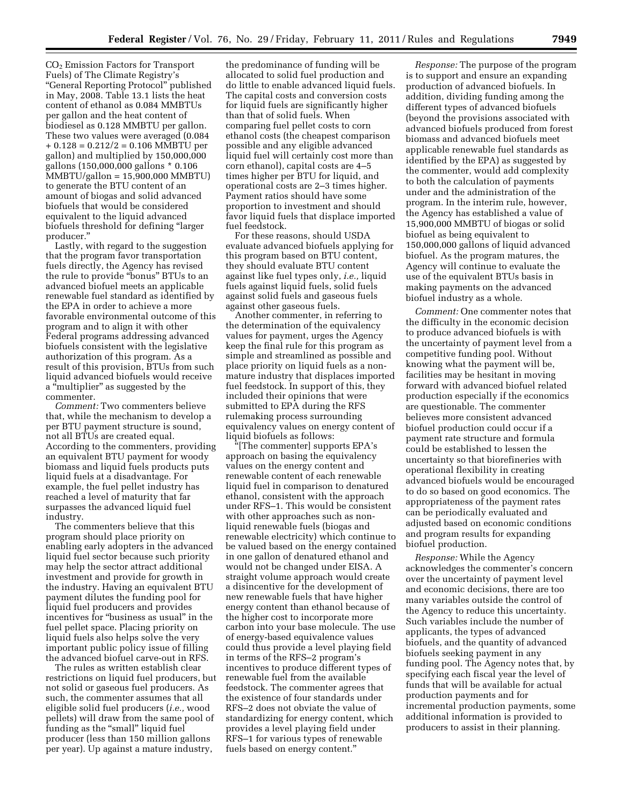CO2 Emission Factors for Transport Fuels) of The Climate Registry's ''General Reporting Protocol'' published in May, 2008. Table 13.1 lists the heat content of ethanol as 0.084 MMBTUs per gallon and the heat content of biodiesel as 0.128 MMBTU per gallon. These two values were averaged (0.084  $+ 0.128 = 0.212/2 = 0.106$  MMBTU per gallon) and multiplied by 150,000,000 gallons (150,000,000 gallons \* 0.106 MMBTU/gallon = 15,900,000 MMBTU) to generate the BTU content of an amount of biogas and solid advanced biofuels that would be considered equivalent to the liquid advanced biofuels threshold for defining ''larger producer.''

Lastly, with regard to the suggestion that the program favor transportation fuels directly, the Agency has revised the rule to provide ''bonus'' BTUs to an advanced biofuel meets an applicable renewable fuel standard as identified by the EPA in order to achieve a more favorable environmental outcome of this program and to align it with other Federal programs addressing advanced biofuels consistent with the legislative authorization of this program. As a result of this provision, BTUs from such liquid advanced biofuels would receive a ''multiplier'' as suggested by the commenter.

*Comment:* Two commenters believe that, while the mechanism to develop a per BTU payment structure is sound, not all BTUs are created equal. According to the commenters, providing an equivalent BTU payment for woody biomass and liquid fuels products puts liquid fuels at a disadvantage. For example, the fuel pellet industry has reached a level of maturity that far surpasses the advanced liquid fuel industry.

The commenters believe that this program should place priority on enabling early adopters in the advanced liquid fuel sector because such priority may help the sector attract additional investment and provide for growth in the industry. Having an equivalent BTU payment dilutes the funding pool for liquid fuel producers and provides incentives for "business as usual" in the fuel pellet space. Placing priority on liquid fuels also helps solve the very important public policy issue of filling the advanced biofuel carve-out in RFS.

The rules as written establish clear restrictions on liquid fuel producers, but not solid or gaseous fuel producers. As such, the commenter assumes that all eligible solid fuel producers (*i.e.,* wood pellets) will draw from the same pool of funding as the "small" liquid fuel producer (less than 150 million gallons per year). Up against a mature industry,

the predominance of funding will be allocated to solid fuel production and do little to enable advanced liquid fuels. The capital costs and conversion costs for liquid fuels are significantly higher than that of solid fuels. When comparing fuel pellet costs to corn ethanol costs (the cheapest comparison possible and any eligible advanced liquid fuel will certainly cost more than corn ethanol), capital costs are 4–5 times higher per BTU for liquid, and operational costs are 2–3 times higher. Payment ratios should have some proportion to investment and should favor liquid fuels that displace imported fuel feedstock.

For these reasons, should USDA evaluate advanced biofuels applying for this program based on BTU content, they should evaluate BTU content against like fuel types only, *i.e.,* liquid fuels against liquid fuels, solid fuels against solid fuels and gaseous fuels against other gaseous fuels.

Another commenter, in referring to the determination of the equivalency values for payment, urges the Agency keep the final rule for this program as simple and streamlined as possible and place priority on liquid fuels as a nonmature industry that displaces imported fuel feedstock. In support of this, they included their opinions that were submitted to EPA during the RFS rulemaking process surrounding equivalency values on energy content of liquid biofuels as follows:

[The commenter] supports EPA's approach on basing the equivalency values on the energy content and renewable content of each renewable liquid fuel in comparison to denatured ethanol, consistent with the approach under RFS–1. This would be consistent with other approaches such as nonliquid renewable fuels (biogas and renewable electricity) which continue to be valued based on the energy contained in one gallon of denatured ethanol and would not be changed under EISA. A straight volume approach would create a disincentive for the development of new renewable fuels that have higher energy content than ethanol because of the higher cost to incorporate more carbon into your base molecule. The use of energy-based equivalence values could thus provide a level playing field in terms of the RFS–2 program's incentives to produce different types of renewable fuel from the available feedstock. The commenter agrees that the existence of four standards under RFS–2 does not obviate the value of standardizing for energy content, which provides a level playing field under RFS–1 for various types of renewable fuels based on energy content.''

*Response:* The purpose of the program is to support and ensure an expanding production of advanced biofuels. In addition, dividing funding among the different types of advanced biofuels (beyond the provisions associated with advanced biofuels produced from forest biomass and advanced biofuels meet applicable renewable fuel standards as identified by the EPA) as suggested by the commenter, would add complexity to both the calculation of payments under and the administration of the program. In the interim rule, however, the Agency has established a value of 15,900,000 MMBTU of biogas or solid biofuel as being equivalent to 150,000,000 gallons of liquid advanced biofuel. As the program matures, the Agency will continue to evaluate the use of the equivalent BTUs basis in making payments on the advanced biofuel industry as a whole.

*Comment:* One commenter notes that the difficulty in the economic decision to produce advanced biofuels is with the uncertainty of payment level from a competitive funding pool. Without knowing what the payment will be, facilities may be hesitant in moving forward with advanced biofuel related production especially if the economics are questionable. The commenter believes more consistent advanced biofuel production could occur if a payment rate structure and formula could be established to lessen the uncertainty so that biorefineries with operational flexibility in creating advanced biofuels would be encouraged to do so based on good economics. The appropriateness of the payment rates can be periodically evaluated and adjusted based on economic conditions and program results for expanding biofuel production.

*Response:* While the Agency acknowledges the commenter's concern over the uncertainty of payment level and economic decisions, there are too many variables outside the control of the Agency to reduce this uncertainty. Such variables include the number of applicants, the types of advanced biofuels, and the quantity of advanced biofuels seeking payment in any funding pool. The Agency notes that, by specifying each fiscal year the level of funds that will be available for actual production payments and for incremental production payments, some additional information is provided to producers to assist in their planning.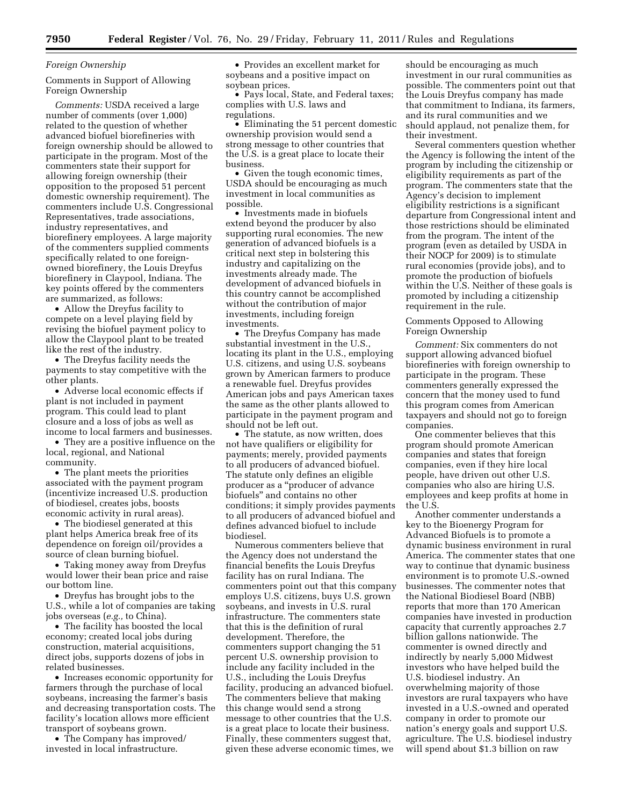## *Foreign Ownership*

Comments in Support of Allowing Foreign Ownership

*Comments:* USDA received a large number of comments (over 1,000) related to the question of whether advanced biofuel biorefineries with foreign ownership should be allowed to participate in the program. Most of the commenters state their support for allowing foreign ownership (their opposition to the proposed 51 percent domestic ownership requirement). The commenters include U.S. Congressional Representatives, trade associations, industry representatives, and biorefinery employees. A large majority of the commenters supplied comments specifically related to one foreignowned biorefinery, the Louis Dreyfus biorefinery in Claypool, Indiana. The key points offered by the commenters are summarized, as follows:

• Allow the Dreyfus facility to compete on a level playing field by revising the biofuel payment policy to allow the Claypool plant to be treated like the rest of the industry.

• The Dreyfus facility needs the payments to stay competitive with the other plants.

• Adverse local economic effects if plant is not included in payment program. This could lead to plant closure and a loss of jobs as well as income to local farmers and businesses.

• They are a positive influence on the local, regional, and National community.

• The plant meets the priorities associated with the payment program (incentivize increased U.S. production of biodiesel, creates jobs, boosts economic activity in rural areas).

• The biodiesel generated at this plant helps America break free of its dependence on foreign oil/provides a source of clean burning biofuel.

• Taking money away from Dreyfus would lower their bean price and raise our bottom line.

• Dreyfus has brought jobs to the U.S., while a lot of companies are taking jobs overseas (*e.g.,* to China).

• The facility has boosted the local economy; created local jobs during construction, material acquisitions, direct jobs, supports dozens of jobs in related businesses.

• Increases economic opportunity for farmers through the purchase of local soybeans, increasing the farmer's basis and decreasing transportation costs. The facility's location allows more efficient transport of soybeans grown.

• The Company has improved/ invested in local infrastructure.

• Provides an excellent market for soybeans and a positive impact on soybean prices.

• Pays local, State, and Federal taxes; complies with U.S. laws and regulations.

• Eliminating the 51 percent domestic ownership provision would send a strong message to other countries that the U.S. is a great place to locate their business.

• Given the tough economic times, USDA should be encouraging as much investment in local communities as possible.

• Investments made in biofuels extend beyond the producer by also supporting rural economies. The new generation of advanced biofuels is a critical next step in bolstering this industry and capitalizing on the investments already made. The development of advanced biofuels in this country cannot be accomplished without the contribution of major investments, including foreign investments.

• The Dreyfus Company has made substantial investment in the U.S., locating its plant in the U.S., employing U.S. citizens, and using U.S. soybeans grown by American farmers to produce a renewable fuel. Dreyfus provides American jobs and pays American taxes the same as the other plants allowed to participate in the payment program and should not be left out.

• The statute, as now written, does not have qualifiers or eligibility for payments; merely, provided payments to all producers of advanced biofuel. The statute only defines an eligible producer as a ''producer of advance biofuels'' and contains no other conditions; it simply provides payments to all producers of advanced biofuel and defines advanced biofuel to include biodiesel.

Numerous commenters believe that the Agency does not understand the financial benefits the Louis Dreyfus facility has on rural Indiana. The commenters point out that this company employs U.S. citizens, buys U.S. grown soybeans, and invests in U.S. rural infrastructure. The commenters state that this is the definition of rural development. Therefore, the commenters support changing the 51 percent U.S. ownership provision to include any facility included in the U.S., including the Louis Dreyfus facility, producing an advanced biofuel. The commenters believe that making this change would send a strong message to other countries that the U.S. is a great place to locate their business. Finally, these commenters suggest that, given these adverse economic times, we

should be encouraging as much investment in our rural communities as possible. The commenters point out that the Louis Dreyfus company has made that commitment to Indiana, its farmers, and its rural communities and we should applaud, not penalize them, for their investment.

Several commenters question whether the Agency is following the intent of the program by including the citizenship or eligibility requirements as part of the program. The commenters state that the Agency's decision to implement eligibility restrictions is a significant departure from Congressional intent and those restrictions should be eliminated from the program. The intent of the program (even as detailed by USDA in their NOCP for 2009) is to stimulate rural economies (provide jobs), and to promote the production of biofuels within the U.S. Neither of these goals is promoted by including a citizenship requirement in the rule.

Comments Opposed to Allowing Foreign Ownership

*Comment:* Six commenters do not support allowing advanced biofuel biorefineries with foreign ownership to participate in the program. These commenters generally expressed the concern that the money used to fund this program comes from American taxpayers and should not go to foreign companies.

One commenter believes that this program should promote American companies and states that foreign companies, even if they hire local people, have driven out other U.S. companies who also are hiring U.S. employees and keep profits at home in the U.S.

Another commenter understands a key to the Bioenergy Program for Advanced Biofuels is to promote a dynamic business environment in rural America. The commenter states that one way to continue that dynamic business environment is to promote U.S.-owned businesses. The commenter notes that the National Biodiesel Board (NBB) reports that more than 170 American companies have invested in production capacity that currently approaches 2.7 billion gallons nationwide. The commenter is owned directly and indirectly by nearly 5,000 Midwest investors who have helped build the U.S. biodiesel industry. An overwhelming majority of those investors are rural taxpayers who have invested in a U.S.-owned and operated company in order to promote our nation's energy goals and support U.S. agriculture. The U.S. biodiesel industry will spend about \$1.3 billion on raw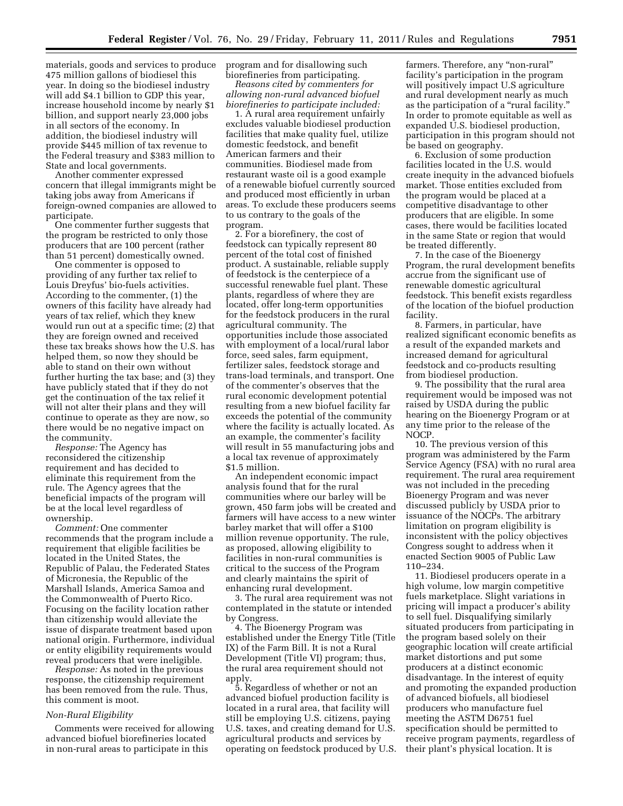materials, goods and services to produce 475 million gallons of biodiesel this year. In doing so the biodiesel industry will add \$4.1 billion to GDP this year, increase household income by nearly \$1 billion, and support nearly 23,000 jobs in all sectors of the economy. In addition, the biodiesel industry will provide \$445 million of tax revenue to the Federal treasury and \$383 million to State and local governments.

Another commenter expressed concern that illegal immigrants might be taking jobs away from Americans if foreign-owned companies are allowed to participate.

One commenter further suggests that the program be restricted to only those producers that are 100 percent (rather than 51 percent) domestically owned.

One commenter is opposed to providing of any further tax relief to Louis Dreyfus' bio-fuels activities. According to the commenter, (1) the owners of this facility have already had years of tax relief, which they knew would run out at a specific time; (2) that they are foreign owned and received these tax breaks shows how the U.S. has helped them, so now they should be able to stand on their own without further hurting the tax base; and (3) they have publicly stated that if they do not get the continuation of the tax relief it will not alter their plans and they will continue to operate as they are now, so there would be no negative impact on the community.

*Response:* The Agency has reconsidered the citizenship requirement and has decided to eliminate this requirement from the rule. The Agency agrees that the beneficial impacts of the program will be at the local level regardless of ownership.

*Comment:* One commenter recommends that the program include a requirement that eligible facilities be located in the United States, the Republic of Palau, the Federated States of Micronesia, the Republic of the Marshall Islands, America Samoa and the Commonwealth of Puerto Rico. Focusing on the facility location rather than citizenship would alleviate the issue of disparate treatment based upon national origin. Furthermore, individual or entity eligibility requirements would reveal producers that were ineligible.

*Response:* As noted in the previous response, the citizenship requirement has been removed from the rule. Thus, this comment is moot.

## *Non-Rural Eligibility*

Comments were received for allowing advanced biofuel biorefineries located in non-rural areas to participate in this

program and for disallowing such biorefineries from participating.

*Reasons cited by commenters for allowing non-rural advanced biofuel biorefineries to participate included:* 

1. A rural area requirement unfairly excludes valuable biodiesel production facilities that make quality fuel, utilize domestic feedstock, and benefit American farmers and their communities. Biodiesel made from restaurant waste oil is a good example of a renewable biofuel currently sourced and produced most efficiently in urban areas. To exclude these producers seems to us contrary to the goals of the program.

2. For a biorefinery, the cost of feedstock can typically represent 80 percent of the total cost of finished product. A sustainable, reliable supply of feedstock is the centerpiece of a successful renewable fuel plant. These plants, regardless of where they are located, offer long-term opportunities for the feedstock producers in the rural agricultural community. The opportunities include those associated with employment of a local/rural labor force, seed sales, farm equipment, fertilizer sales, feedstock storage and trans-load terminals, and transport. One of the commenter's observes that the rural economic development potential resulting from a new biofuel facility far exceeds the potential of the community where the facility is actually located. As an example, the commenter's facility will result in 55 manufacturing jobs and a local tax revenue of approximately \$1.5 million.

An independent economic impact analysis found that for the rural communities where our barley will be grown, 450 farm jobs will be created and farmers will have access to a new winter barley market that will offer a \$100 million revenue opportunity. The rule, as proposed, allowing eligibility to facilities in non-rural communities is critical to the success of the Program and clearly maintains the spirit of enhancing rural development.

3. The rural area requirement was not contemplated in the statute or intended by Congress.

4. The Bioenergy Program was established under the Energy Title (Title IX) of the Farm Bill. It is not a Rural Development (Title VI) program; thus, the rural area requirement should not apply.

5. Regardless of whether or not an advanced biofuel production facility is located in a rural area, that facility will still be employing U.S. citizens, paying U.S. taxes, and creating demand for U.S. agricultural products and services by operating on feedstock produced by U.S.

farmers. Therefore, any "non-rural" facility's participation in the program will positively impact U.S agriculture and rural development nearly as much as the participation of a "rural facility." In order to promote equitable as well as expanded U.S. biodiesel production, participation in this program should not be based on geography.

6. Exclusion of some production facilities located in the U.S. would create inequity in the advanced biofuels market. Those entities excluded from the program would be placed at a competitive disadvantage to other producers that are eligible. In some cases, there would be facilities located in the same State or region that would be treated differently.

7. In the case of the Bioenergy Program, the rural development benefits accrue from the significant use of renewable domestic agricultural feedstock. This benefit exists regardless of the location of the biofuel production facility.

8. Farmers, in particular, have realized significant economic benefits as a result of the expanded markets and increased demand for agricultural feedstock and co-products resulting from biodiesel production.

9. The possibility that the rural area requirement would be imposed was not raised by USDA during the public hearing on the Bioenergy Program or at any time prior to the release of the NOCP.

10. The previous version of this program was administered by the Farm Service Agency (FSA) with no rural area requirement. The rural area requirement was not included in the preceding Bioenergy Program and was never discussed publicly by USDA prior to issuance of the NOCPs. The arbitrary limitation on program eligibility is inconsistent with the policy objectives Congress sought to address when it enacted Section 9005 of Public Law 110–234.

11. Biodiesel producers operate in a high volume, low margin competitive fuels marketplace. Slight variations in pricing will impact a producer's ability to sell fuel. Disqualifying similarly situated producers from participating in the program based solely on their geographic location will create artificial market distortions and put some producers at a distinct economic disadvantage. In the interest of equity and promoting the expanded production of advanced biofuels, all biodiesel producers who manufacture fuel meeting the ASTM D6751 fuel specification should be permitted to receive program payments, regardless of their plant's physical location. It is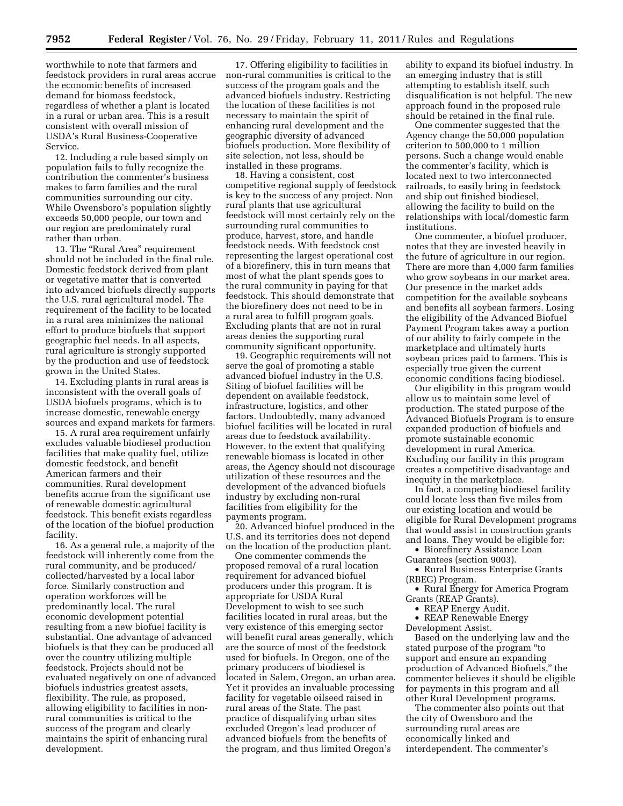worthwhile to note that farmers and feedstock providers in rural areas accrue the economic benefits of increased demand for biomass feedstock, regardless of whether a plant is located in a rural or urban area. This is a result consistent with overall mission of USDA's Rural Business-Cooperative Service.

12. Including a rule based simply on population fails to fully recognize the contribution the commenter's business makes to farm families and the rural communities surrounding our city. While Owensboro's population slightly exceeds 50,000 people, our town and our region are predominately rural rather than urban.

13. The "Rural Area" requirement should not be included in the final rule. Domestic feedstock derived from plant or vegetative matter that is converted into advanced biofuels directly supports the U.S. rural agricultural model. The requirement of the facility to be located in a rural area minimizes the national effort to produce biofuels that support geographic fuel needs. In all aspects, rural agriculture is strongly supported by the production and use of feedstock grown in the United States.

14. Excluding plants in rural areas is inconsistent with the overall goals of USDA biofuels programs, which is to increase domestic, renewable energy sources and expand markets for farmers.

15. A rural area requirement unfairly excludes valuable biodiesel production facilities that make quality fuel, utilize domestic feedstock, and benefit American farmers and their communities. Rural development benefits accrue from the significant use of renewable domestic agricultural feedstock. This benefit exists regardless of the location of the biofuel production facility.

16. As a general rule, a majority of the feedstock will inherently come from the rural community, and be produced/ collected/harvested by a local labor force. Similarly construction and operation workforces will be predominantly local. The rural economic development potential resulting from a new biofuel facility is substantial. One advantage of advanced biofuels is that they can be produced all over the country utilizing multiple feedstock. Projects should not be evaluated negatively on one of advanced biofuels industries greatest assets, flexibility. The rule, as proposed, allowing eligibility to facilities in nonrural communities is critical to the success of the program and clearly maintains the spirit of enhancing rural development.

17. Offering eligibility to facilities in non-rural communities is critical to the success of the program goals and the advanced biofuels industry. Restricting the location of these facilities is not necessary to maintain the spirit of enhancing rural development and the geographic diversity of advanced biofuels production. More flexibility of site selection, not less, should be installed in these programs.

18. Having a consistent, cost competitive regional supply of feedstock is key to the success of any project. Non rural plants that use agricultural feedstock will most certainly rely on the surrounding rural communities to produce, harvest, store, and handle feedstock needs. With feedstock cost representing the largest operational cost of a biorefinery, this in turn means that most of what the plant spends goes to the rural community in paying for that feedstock. This should demonstrate that the biorefinery does not need to be in a rural area to fulfill program goals. Excluding plants that are not in rural areas denies the supporting rural community significant opportunity.

19. Geographic requirements will not serve the goal of promoting a stable advanced biofuel industry in the U.S. Siting of biofuel facilities will be dependent on available feedstock, infrastructure, logistics, and other factors. Undoubtedly, many advanced biofuel facilities will be located in rural areas due to feedstock availability. However, to the extent that qualifying renewable biomass is located in other areas, the Agency should not discourage utilization of these resources and the development of the advanced biofuels industry by excluding non-rural facilities from eligibility for the payments program.

20. Advanced biofuel produced in the U.S. and its territories does not depend on the location of the production plant.

One commenter commends the proposed removal of a rural location requirement for advanced biofuel producers under this program. It is appropriate for USDA Rural Development to wish to see such facilities located in rural areas, but the very existence of this emerging sector will benefit rural areas generally, which are the source of most of the feedstock used for biofuels. In Oregon, one of the primary producers of biodiesel is located in Salem, Oregon, an urban area. Yet it provides an invaluable processing facility for vegetable oilseed raised in rural areas of the State. The past practice of disqualifying urban sites excluded Oregon's lead producer of advanced biofuels from the benefits of the program, and thus limited Oregon's

ability to expand its biofuel industry. In an emerging industry that is still attempting to establish itself, such disqualification is not helpful. The new approach found in the proposed rule should be retained in the final rule.

One commenter suggested that the Agency change the 50,000 population criterion to 500,000 to 1 million persons. Such a change would enable the commenter's facility, which is located next to two interconnected railroads, to easily bring in feedstock and ship out finished biodiesel, allowing the facility to build on the relationships with local/domestic farm institutions.

One commenter, a biofuel producer, notes that they are invested heavily in the future of agriculture in our region. There are more than 4,000 farm families who grow soybeans in our market area. Our presence in the market adds competition for the available soybeans and benefits all soybean farmers. Losing the eligibility of the Advanced Biofuel Payment Program takes away a portion of our ability to fairly compete in the marketplace and ultimately hurts soybean prices paid to farmers. This is especially true given the current economic conditions facing biodiesel.

Our eligibility in this program would allow us to maintain some level of production. The stated purpose of the Advanced Biofuels Program is to ensure expanded production of biofuels and promote sustainable economic development in rural America. Excluding our facility in this program creates a competitive disadvantage and inequity in the marketplace.

In fact, a competing biodiesel facility could locate less than five miles from our existing location and would be eligible for Rural Development programs that would assist in construction grants and loans. They would be eligible for:

• Biorefinery Assistance Loan

Guarantees (section 9003).

• Rural Business Enterprise Grants (RBEG) Program.

• Rural Energy for America Program Grants (REAP Grants).

• REAP Energy Audit.

• REAP Renewable Energy Development Assist.

Based on the underlying law and the stated purpose of the program ''to support and ensure an expanding production of Advanced Biofuels,'' the commenter believes it should be eligible for payments in this program and all other Rural Development programs.

The commenter also points out that the city of Owensboro and the surrounding rural areas are economically linked and interdependent. The commenter's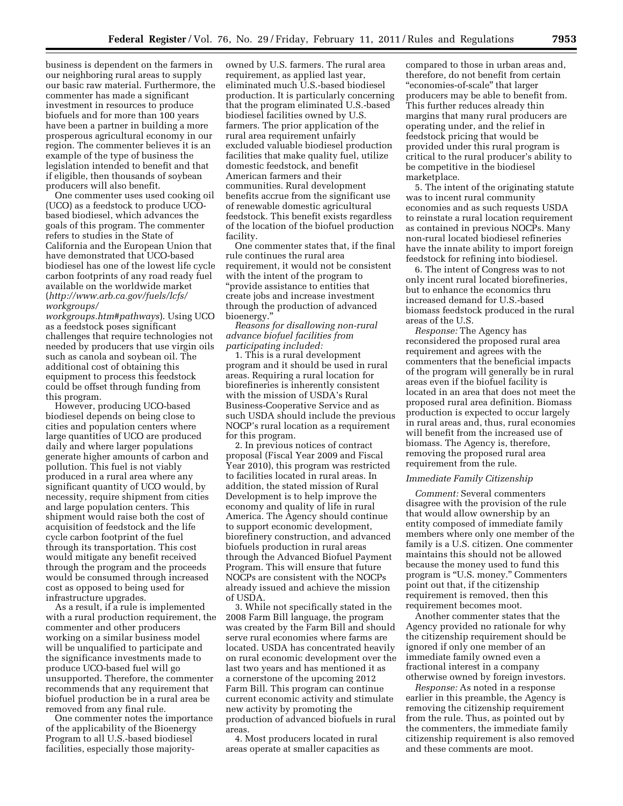business is dependent on the farmers in our neighboring rural areas to supply our basic raw material. Furthermore, the commenter has made a significant investment in resources to produce biofuels and for more than 100 years have been a partner in building a more prosperous agricultural economy in our region. The commenter believes it is an example of the type of business the legislation intended to benefit and that if eligible, then thousands of soybean producers will also benefit.

One commenter uses used cooking oil (UCO) as a feedstock to produce UCObased biodiesel, which advances the goals of this program. The commenter refers to studies in the State of California and the European Union that have demonstrated that UCO-based biodiesel has one of the lowest life cycle carbon footprints of any road ready fuel available on the worldwide market (*[http://www.arb.ca.gov/fuels/lcfs/](http://www.arb.ca.gov/fuels/lcfs/workgroups/workgroups.htm#pathways) [workgroups/](http://www.arb.ca.gov/fuels/lcfs/workgroups/workgroups.htm#pathways)* 

*[workgroups.htm#pathways](http://www.arb.ca.gov/fuels/lcfs/workgroups/workgroups.htm#pathways)*). Using UCO as a feedstock poses significant challenges that require technologies not needed by producers that use virgin oils such as canola and soybean oil. The additional cost of obtaining this equipment to process this feedstock could be offset through funding from this program.

However, producing UCO-based biodiesel depends on being close to cities and population centers where large quantities of UCO are produced daily and where larger populations generate higher amounts of carbon and pollution. This fuel is not viably produced in a rural area where any significant quantity of UCO would, by necessity, require shipment from cities and large population centers. This shipment would raise both the cost of acquisition of feedstock and the life cycle carbon footprint of the fuel through its transportation. This cost would mitigate any benefit received through the program and the proceeds would be consumed through increased cost as opposed to being used for infrastructure upgrades.

As a result, if a rule is implemented with a rural production requirement, the commenter and other producers working on a similar business model will be unqualified to participate and the significance investments made to produce UCO-based fuel will go unsupported. Therefore, the commenter recommends that any requirement that biofuel production be in a rural area be removed from any final rule.

One commenter notes the importance of the applicability of the Bioenergy Program to all U.S.-based biodiesel facilities, especially those majorityowned by U.S. farmers. The rural area requirement, as applied last year, eliminated much U.S.-based biodiesel production. It is particularly concerning that the program eliminated U.S.-based biodiesel facilities owned by U.S. farmers. The prior application of the rural area requirement unfairly excluded valuable biodiesel production facilities that make quality fuel, utilize domestic feedstock, and benefit American farmers and their communities. Rural development benefits accrue from the significant use of renewable domestic agricultural feedstock. This benefit exists regardless of the location of the biofuel production facility.

One commenter states that, if the final rule continues the rural area requirement, it would not be consistent with the intent of the program to ''provide assistance to entities that create jobs and increase investment through the production of advanced bioenergy.''

*Reasons for disallowing non-rural advance biofuel facilities from participating included:* 

1. This is a rural development program and it should be used in rural areas. Requiring a rural location for biorefineries is inherently consistent with the mission of USDA's Rural Business-Cooperative Service and as such USDA should include the previous NOCP's rural location as a requirement for this program.

2. In previous notices of contract proposal (Fiscal Year 2009 and Fiscal Year 2010), this program was restricted to facilities located in rural areas. In addition, the stated mission of Rural Development is to help improve the economy and quality of life in rural America. The Agency should continue to support economic development, biorefinery construction, and advanced biofuels production in rural areas through the Advanced Biofuel Payment Program. This will ensure that future NOCPs are consistent with the NOCPs already issued and achieve the mission of USDA.

3. While not specifically stated in the 2008 Farm Bill language, the program was created by the Farm Bill and should serve rural economies where farms are located. USDA has concentrated heavily on rural economic development over the last two years and has mentioned it as a cornerstone of the upcoming 2012 Farm Bill. This program can continue current economic activity and stimulate new activity by promoting the production of advanced biofuels in rural areas.

4. Most producers located in rural areas operate at smaller capacities as compared to those in urban areas and, therefore, do not benefit from certain ''economies-of-scale'' that larger producers may be able to benefit from. This further reduces already thin margins that many rural producers are operating under, and the relief in feedstock pricing that would be provided under this rural program is critical to the rural producer's ability to be competitive in the biodiesel marketplace.

5. The intent of the originating statute was to incent rural community economies and as such requests USDA to reinstate a rural location requirement as contained in previous NOCPs. Many non-rural located biodiesel refineries have the innate ability to import foreign feedstock for refining into biodiesel.

6. The intent of Congress was to not only incent rural located biorefineries, but to enhance the economics thru increased demand for U.S.-based biomass feedstock produced in the rural areas of the U.S.

*Response:* The Agency has reconsidered the proposed rural area requirement and agrees with the commenters that the beneficial impacts of the program will generally be in rural areas even if the biofuel facility is located in an area that does not meet the proposed rural area definition. Biomass production is expected to occur largely in rural areas and, thus, rural economies will benefit from the increased use of biomass. The Agency is, therefore, removing the proposed rural area requirement from the rule.

#### *Immediate Family Citizenship*

*Comment:* Several commenters disagree with the provision of the rule that would allow ownership by an entity composed of immediate family members where only one member of the family is a U.S. citizen. One commenter maintains this should not be allowed because the money used to fund this program is "U.S. money." Commenters point out that, if the citizenship requirement is removed, then this requirement becomes moot.

Another commenter states that the Agency provided no rationale for why the citizenship requirement should be ignored if only one member of an immediate family owned even a fractional interest in a company otherwise owned by foreign investors.

*Response:* As noted in a response earlier in this preamble, the Agency is removing the citizenship requirement from the rule. Thus, as pointed out by the commenters, the immediate family citizenship requirement is also removed and these comments are moot.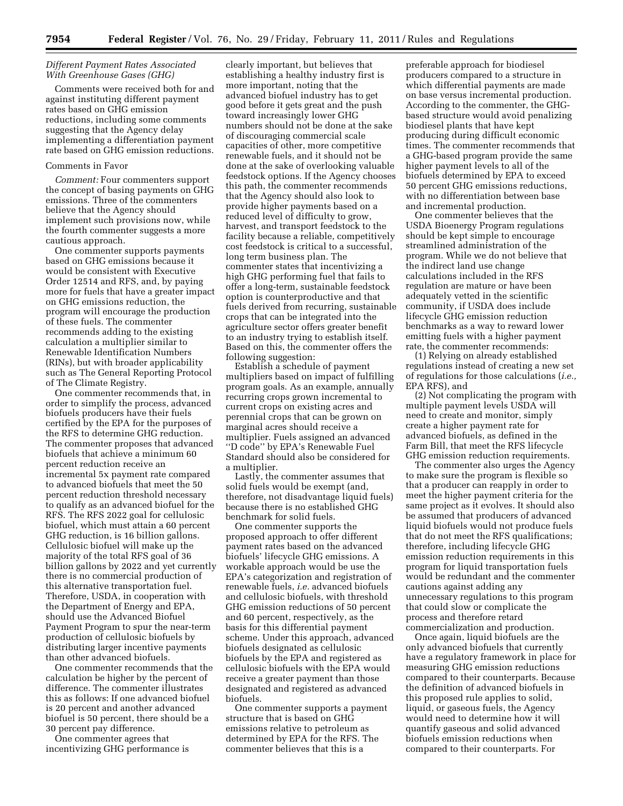## *Different Payment Rates Associated With Greenhouse Gases (GHG)*

Comments were received both for and against instituting different payment rates based on GHG emission reductions, including some comments suggesting that the Agency delay implementing a differentiation payment rate based on GHG emission reductions.

## Comments in Favor

*Comment:* Four commenters support the concept of basing payments on GHG emissions. Three of the commenters believe that the Agency should implement such provisions now, while the fourth commenter suggests a more cautious approach.

One commenter supports payments based on GHG emissions because it would be consistent with Executive Order 12514 and RFS, and, by paying more for fuels that have a greater impact on GHG emissions reduction, the program will encourage the production of these fuels. The commenter recommends adding to the existing calculation a multiplier similar to Renewable Identification Numbers (RINs), but with broader applicability such as The General Reporting Protocol of The Climate Registry.

One commenter recommends that, in order to simplify the process, advanced biofuels producers have their fuels certified by the EPA for the purposes of the RFS to determine GHG reduction. The commenter proposes that advanced biofuels that achieve a minimum 60 percent reduction receive an incremental 5x payment rate compared to advanced biofuels that meet the 50 percent reduction threshold necessary to qualify as an advanced biofuel for the RFS. The RFS 2022 goal for cellulosic biofuel, which must attain a 60 percent GHG reduction, is 16 billion gallons. Cellulosic biofuel will make up the majority of the total RFS goal of 36 billion gallons by 2022 and yet currently there is no commercial production of this alternative transportation fuel. Therefore, USDA, in cooperation with the Department of Energy and EPA, should use the Advanced Biofuel Payment Program to spur the near-term production of cellulosic biofuels by distributing larger incentive payments than other advanced biofuels.

One commenter recommends that the calculation be higher by the percent of difference. The commenter illustrates this as follows: If one advanced biofuel is 20 percent and another advanced biofuel is 50 percent, there should be a 30 percent pay difference.

One commenter agrees that incentivizing GHG performance is

clearly important, but believes that establishing a healthy industry first is more important, noting that the advanced biofuel industry has to get good before it gets great and the push toward increasingly lower GHG numbers should not be done at the sake of discouraging commercial scale capacities of other, more competitive renewable fuels, and it should not be done at the sake of overlooking valuable feedstock options. If the Agency chooses this path, the commenter recommends that the Agency should also look to provide higher payments based on a reduced level of difficulty to grow, harvest, and transport feedstock to the facility because a reliable, competitively cost feedstock is critical to a successful, long term business plan. The commenter states that incentivizing a high GHG performing fuel that fails to offer a long-term, sustainable feedstock option is counterproductive and that fuels derived from recurring, sustainable crops that can be integrated into the agriculture sector offers greater benefit to an industry trying to establish itself. Based on this, the commenter offers the following suggestion:

Establish a schedule of payment multipliers based on impact of fulfilling program goals. As an example, annually recurring crops grown incremental to current crops on existing acres and perennial crops that can be grown on marginal acres should receive a multiplier. Fuels assigned an advanced ''D code'' by EPA's Renewable Fuel Standard should also be considered for a multiplier.

Lastly, the commenter assumes that solid fuels would be exempt (and, therefore, not disadvantage liquid fuels) because there is no established GHG benchmark for solid fuels.

One commenter supports the proposed approach to offer different payment rates based on the advanced biofuels' lifecycle GHG emissions. A workable approach would be use the EPA's categorization and registration of renewable fuels, *i.e.* advanced biofuels and cellulosic biofuels, with threshold GHG emission reductions of 50 percent and 60 percent, respectively, as the basis for this differential payment scheme. Under this approach, advanced biofuels designated as cellulosic biofuels by the EPA and registered as cellulosic biofuels with the EPA would receive a greater payment than those designated and registered as advanced biofuels.

One commenter supports a payment structure that is based on GHG emissions relative to petroleum as determined by EPA for the RFS. The commenter believes that this is a

preferable approach for biodiesel producers compared to a structure in which differential payments are made on base versus incremental production. According to the commenter, the GHGbased structure would avoid penalizing biodiesel plants that have kept producing during difficult economic times. The commenter recommends that a GHG-based program provide the same higher payment levels to all of the biofuels determined by EPA to exceed 50 percent GHG emissions reductions, with no differentiation between base and incremental production.

One commenter believes that the USDA Bioenergy Program regulations should be kept simple to encourage streamlined administration of the program. While we do not believe that the indirect land use change calculations included in the RFS regulation are mature or have been adequately vetted in the scientific community, if USDA does include lifecycle GHG emission reduction benchmarks as a way to reward lower emitting fuels with a higher payment rate, the commenter recommends:

(1) Relying on already established regulations instead of creating a new set of regulations for those calculations (*i.e.,*  EPA RFS), and

(2) Not complicating the program with multiple payment levels USDA will need to create and monitor, simply create a higher payment rate for advanced biofuels, as defined in the Farm Bill, that meet the RFS lifecycle GHG emission reduction requirements.

The commenter also urges the Agency to make sure the program is flexible so that a producer can reapply in order to meet the higher payment criteria for the same project as it evolves. It should also be assumed that producers of advanced liquid biofuels would not produce fuels that do not meet the RFS qualifications; therefore, including lifecycle GHG emission reduction requirements in this program for liquid transportation fuels would be redundant and the commenter cautions against adding any unnecessary regulations to this program that could slow or complicate the process and therefore retard commercialization and production.

Once again, liquid biofuels are the only advanced biofuels that currently have a regulatory framework in place for measuring GHG emission reductions compared to their counterparts. Because the definition of advanced biofuels in this proposed rule applies to solid, liquid, or gaseous fuels, the Agency would need to determine how it will quantify gaseous and solid advanced biofuels emission reductions when compared to their counterparts. For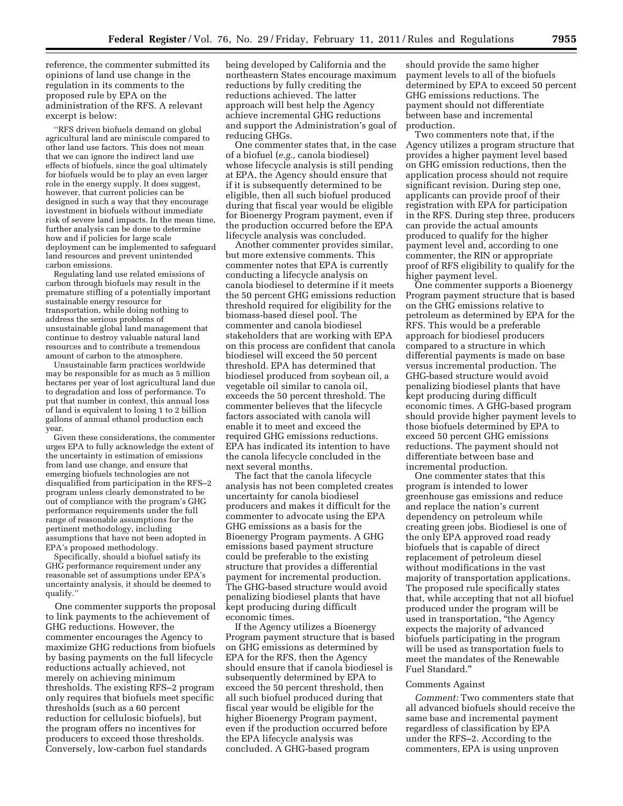reference, the commenter submitted its opinions of land use change in the regulation in its comments to the proposed rule by EPA on the administration of the RFS. A relevant excerpt is below:

''RFS driven biofuels demand on global agricultural land are miniscule compared to other land use factors. This does not mean that we can ignore the indirect land use effects of biofuels, since the goal ultimately for biofuels would be to play an even larger role in the energy supply. It does suggest, however, that current policies can be designed in such a way that they encourage investment in biofuels without immediate risk of severe land impacts. In the mean time, further analysis can be done to determine how and if policies for large scale deployment can be implemented to safeguard land resources and prevent unintended carbon emissions.

Regulating land use related emissions of carbon through biofuels may result in the premature stifling of a potentially important sustainable energy resource for transportation, while doing nothing to address the serious problems of unsustainable global land management that continue to destroy valuable natural land resources and to contribute a tremendous amount of carbon to the atmosphere.

Unsustainable farm practices worldwide may be responsible for as much as 5 million hectares per year of lost agricultural land due to degradation and loss of performance. To put that number in context, this annual loss of land is equivalent to losing 1 to 2 billion gallons of annual ethanol production each year.

Given these considerations, the commenter urges EPA to fully acknowledge the extent of the uncertainty in estimation of emissions from land use change, and ensure that emerging biofuels technologies are not disqualified from participation in the RFS–2 program unless clearly demonstrated to be out of compliance with the program's GHG performance requirements under the full range of reasonable assumptions for the pertinent methodology, including assumptions that have not been adopted in EPA's proposed methodology.

Specifically, should a biofuel satisfy its GHG performance requirement under any reasonable set of assumptions under EPA's uncertainty analysis, it should be deemed to qualify.''

One commenter supports the proposal to link payments to the achievement of GHG reductions. However, the commenter encourages the Agency to maximize GHG reductions from biofuels by basing payments on the full lifecycle reductions actually achieved, not merely on achieving minimum thresholds. The existing RFS–2 program only requires that biofuels meet specific thresholds (such as a 60 percent reduction for cellulosic biofuels), but the program offers no incentives for producers to exceed those thresholds. Conversely, low-carbon fuel standards

being developed by California and the northeastern States encourage maximum reductions by fully crediting the reductions achieved. The latter approach will best help the Agency achieve incremental GHG reductions and support the Administration's goal of reducing GHGs.

One commenter states that, in the case of a biofuel (*e.g.,* canola biodiesel) whose lifecycle analysis is still pending at EPA, the Agency should ensure that if it is subsequently determined to be eligible, then all such biofuel produced during that fiscal year would be eligible for Bioenergy Program payment, even if the production occurred before the EPA lifecycle analysis was concluded.

Another commenter provides similar, but more extensive comments. This commenter notes that EPA is currently conducting a lifecycle analysis on canola biodiesel to determine if it meets the 50 percent GHG emissions reduction threshold required for eligibility for the biomass-based diesel pool. The commenter and canola biodiesel stakeholders that are working with EPA on this process are confident that canola biodiesel will exceed the 50 percent threshold. EPA has determined that biodiesel produced from soybean oil, a vegetable oil similar to canola oil, exceeds the 50 percent threshold. The commenter believes that the lifecycle factors associated with canola will enable it to meet and exceed the required GHG emissions reductions. EPA has indicated its intention to have the canola lifecycle concluded in the next several months.

The fact that the canola lifecycle analysis has not been completed creates uncertainty for canola biodiesel producers and makes it difficult for the commenter to advocate using the EPA GHG emissions as a basis for the Bioenergy Program payments. A GHG emissions based payment structure could be preferable to the existing structure that provides a differential payment for incremental production. The GHG-based structure would avoid penalizing biodiesel plants that have kept producing during difficult economic times.

If the Agency utilizes a Bioenergy Program payment structure that is based on GHG emissions as determined by EPA for the RFS, then the Agency should ensure that if canola biodiesel is subsequently determined by EPA to exceed the 50 percent threshold, then all such biofuel produced during that fiscal year would be eligible for the higher Bioenergy Program payment, even if the production occurred before the EPA lifecycle analysis was concluded. A GHG-based program

should provide the same higher payment levels to all of the biofuels determined by EPA to exceed 50 percent GHG emissions reductions. The payment should not differentiate between base and incremental production.

Two commenters note that, if the Agency utilizes a program structure that provides a higher payment level based on GHG emission reductions, then the application process should not require significant revision. During step one, applicants can provide proof of their registration with EPA for participation in the RFS. During step three, producers can provide the actual amounts produced to qualify for the higher payment level and, according to one commenter, the RIN or appropriate proof of RFS eligibility to qualify for the higher payment level.

One commenter supports a Bioenergy Program payment structure that is based on the GHG emissions relative to petroleum as determined by EPA for the RFS. This would be a preferable approach for biodiesel producers compared to a structure in which differential payments is made on base versus incremental production. The GHG-based structure would avoid penalizing biodiesel plants that have kept producing during difficult economic times. A GHG-based program should provide higher payment levels to those biofuels determined by EPA to exceed 50 percent GHG emissions reductions. The payment should not differentiate between base and incremental production.

One commenter states that this program is intended to lower greenhouse gas emissions and reduce and replace the nation's current dependency on petroleum while creating green jobs. Biodiesel is one of the only EPA approved road ready biofuels that is capable of direct replacement of petroleum diesel without modifications in the vast majority of transportation applications. The proposed rule specifically states that, while accepting that not all biofuel produced under the program will be used in transportation, ''the Agency expects the majority of advanced biofuels participating in the program will be used as transportation fuels to meet the mandates of the Renewable Fuel Standard.''

## Comments Against

*Comment:* Two commenters state that all advanced biofuels should receive the same base and incremental payment regardless of classification by EPA under the RFS–2. According to the commenters, EPA is using unproven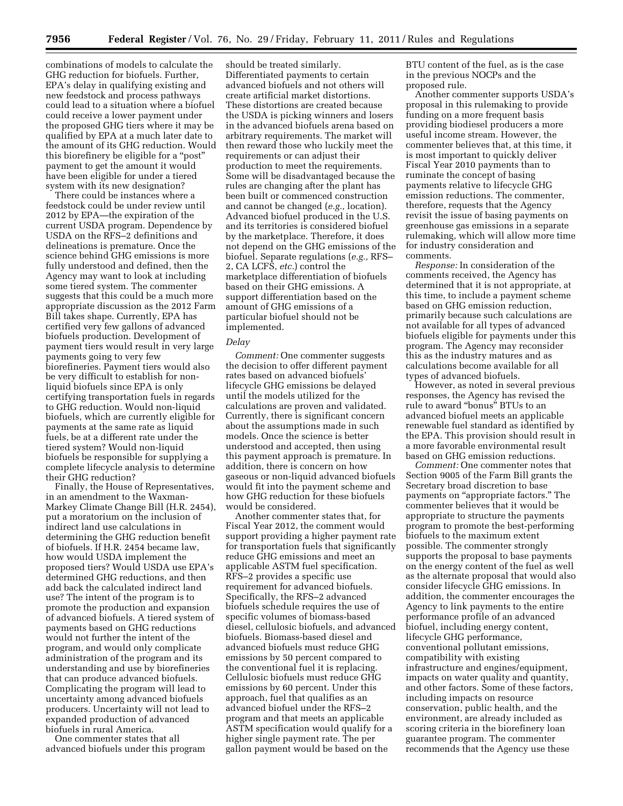combinations of models to calculate the GHG reduction for biofuels. Further, EPA's delay in qualifying existing and new feedstock and process pathways could lead to a situation where a biofuel could receive a lower payment under the proposed GHG tiers where it may be qualified by EPA at a much later date to the amount of its GHG reduction. Would this biorefinery be eligible for a ''post'' payment to get the amount it would have been eligible for under a tiered system with its new designation?

There could be instances where a feedstock could be under review until 2012 by EPA—the expiration of the current USDA program. Dependence by USDA on the RFS–2 definitions and delineations is premature. Once the science behind GHG emissions is more fully understood and defined, then the Agency may want to look at including some tiered system. The commenter suggests that this could be a much more appropriate discussion as the 2012 Farm Bill takes shape. Currently, EPA has certified very few gallons of advanced biofuels production. Development of payment tiers would result in very large payments going to very few biorefineries. Payment tiers would also be very difficult to establish for nonliquid biofuels since EPA is only certifying transportation fuels in regards to GHG reduction. Would non-liquid biofuels, which are currently eligible for payments at the same rate as liquid fuels, be at a different rate under the tiered system? Would non-liquid biofuels be responsible for supplying a complete lifecycle analysis to determine their GHG reduction?

Finally, the House of Representatives, in an amendment to the Waxman-Markey Climate Change Bill (H.R. 2454), put a moratorium on the inclusion of indirect land use calculations in determining the GHG reduction benefit of biofuels. If H.R. 2454 became law, how would USDA implement the proposed tiers? Would USDA use EPA's determined GHG reductions, and then add back the calculated indirect land use? The intent of the program is to promote the production and expansion of advanced biofuels. A tiered system of payments based on GHG reductions would not further the intent of the program, and would only complicate administration of the program and its understanding and use by biorefineries that can produce advanced biofuels. Complicating the program will lead to uncertainty among advanced biofuels producers. Uncertainty will not lead to expanded production of advanced biofuels in rural America.

One commenter states that all advanced biofuels under this program

should be treated similarly. Differentiated payments to certain advanced biofuels and not others will create artificial market distortions. These distortions are created because the USDA is picking winners and losers in the advanced biofuels arena based on arbitrary requirements. The market will then reward those who luckily meet the requirements or can adjust their production to meet the requirements. Some will be disadvantaged because the rules are changing after the plant has been built or commenced construction and cannot be changed (*e.g.,* location). Advanced biofuel produced in the U.S. and its territories is considered biofuel by the marketplace. Therefore, it does not depend on the GHG emissions of the biofuel. Separate regulations (*e.g.,* RFS– 2, CA LCFS, *etc.*) control the marketplace differentiation of biofuels based on their GHG emissions. A support differentiation based on the amount of GHG emissions of a particular biofuel should not be implemented.

## *Delay*

*Comment:* One commenter suggests the decision to offer different payment rates based on advanced biofuels' lifecycle GHG emissions be delayed until the models utilized for the calculations are proven and validated. Currently, there is significant concern about the assumptions made in such models. Once the science is better understood and accepted, then using this payment approach is premature. In addition, there is concern on how gaseous or non-liquid advanced biofuels would fit into the payment scheme and how GHG reduction for these biofuels would be considered.

Another commenter states that, for Fiscal Year 2012, the comment would support providing a higher payment rate for transportation fuels that significantly reduce GHG emissions and meet an applicable ASTM fuel specification. RFS–2 provides a specific use requirement for advanced biofuels. Specifically, the RFS–2 advanced biofuels schedule requires the use of specific volumes of biomass-based diesel, cellulosic biofuels, and advanced biofuels. Biomass-based diesel and advanced biofuels must reduce GHG emissions by 50 percent compared to the conventional fuel it is replacing. Cellulosic biofuels must reduce GHG emissions by 60 percent. Under this approach, fuel that qualifies as an advanced biofuel under the RFS–2 program and that meets an applicable ASTM specification would qualify for a higher single payment rate. The per gallon payment would be based on the

BTU content of the fuel, as is the case in the previous NOCPs and the proposed rule.

Another commenter supports USDA's proposal in this rulemaking to provide funding on a more frequent basis providing biodiesel producers a more useful income stream. However, the commenter believes that, at this time, it is most important to quickly deliver Fiscal Year 2010 payments than to ruminate the concept of basing payments relative to lifecycle GHG emission reductions. The commenter, therefore, requests that the Agency revisit the issue of basing payments on greenhouse gas emissions in a separate rulemaking, which will allow more time for industry consideration and comments.

*Response:* In consideration of the comments received, the Agency has determined that it is not appropriate, at this time, to include a payment scheme based on GHG emission reduction, primarily because such calculations are not available for all types of advanced biofuels eligible for payments under this program. The Agency may reconsider this as the industry matures and as calculations become available for all types of advanced biofuels.

However, as noted in several previous responses, the Agency has revised the rule to award ''bonus'' BTUs to an advanced biofuel meets an applicable renewable fuel standard as identified by the EPA. This provision should result in a more favorable environmental result based on GHG emission reductions.

*Comment:* One commenter notes that Section 9005 of the Farm Bill grants the Secretary broad discretion to base payments on ''appropriate factors.'' The commenter believes that it would be appropriate to structure the payments program to promote the best-performing biofuels to the maximum extent possible. The commenter strongly supports the proposal to base payments on the energy content of the fuel as well as the alternate proposal that would also consider lifecycle GHG emissions. In addition, the commenter encourages the Agency to link payments to the entire performance profile of an advanced biofuel, including energy content, lifecycle GHG performance, conventional pollutant emissions, compatibility with existing infrastructure and engines/equipment, impacts on water quality and quantity, and other factors. Some of these factors, including impacts on resource conservation, public health, and the environment, are already included as scoring criteria in the biorefinery loan guarantee program. The commenter recommends that the Agency use these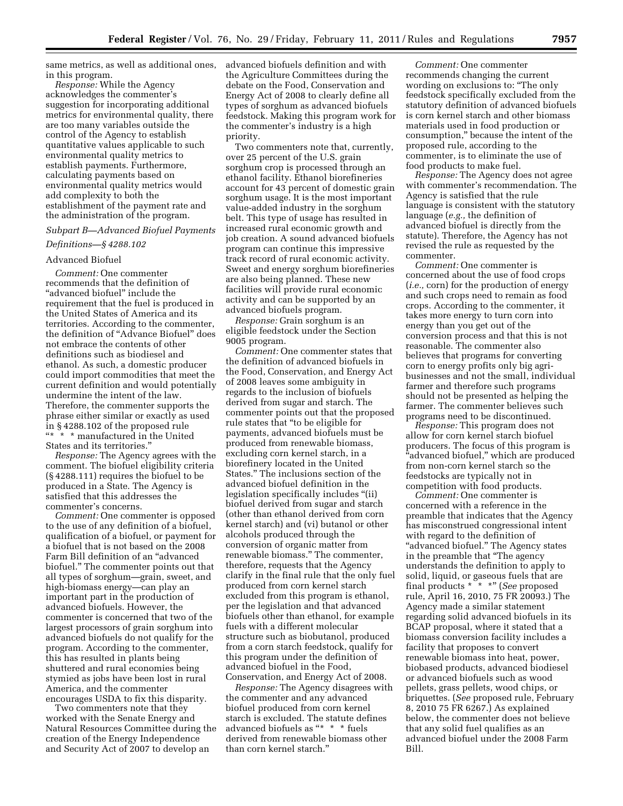same metrics, as well as additional ones, in this program.

*Response:* While the Agency acknowledges the commenter's suggestion for incorporating additional metrics for environmental quality, there are too many variables outside the control of the Agency to establish quantitative values applicable to such environmental quality metrics to establish payments. Furthermore, calculating payments based on environmental quality metrics would add complexity to both the establishment of the payment rate and the administration of the program.

## *Subpart B—Advanced Biofuel Payments*

## *Definitions—§ 4288.102*

## Advanced Biofuel

*Comment:* One commenter recommends that the definition of "advanced biofuel" include the requirement that the fuel is produced in the United States of America and its territories. According to the commenter, the definition of ''Advance Biofuel'' does not embrace the contents of other definitions such as biodiesel and ethanol. As such, a domestic producer could import commodities that meet the current definition and would potentially undermine the intent of the law. Therefore, the commenter supports the phrase either similar or exactly as used in § 4288.102 of the proposed rule ''\* \* \* manufactured in the United States and its territories.''

*Response:* The Agency agrees with the comment. The biofuel eligibility criteria (§ 4288.111) requires the biofuel to be produced in a State. The Agency is satisfied that this addresses the commenter's concerns.

*Comment:* One commenter is opposed to the use of any definition of a biofuel, qualification of a biofuel, or payment for a biofuel that is not based on the 2008 Farm Bill definition of an ''advanced biofuel.'' The commenter points out that all types of sorghum—grain, sweet, and high-biomass energy—can play an important part in the production of advanced biofuels. However, the commenter is concerned that two of the largest processors of grain sorghum into advanced biofuels do not qualify for the program. According to the commenter, this has resulted in plants being shuttered and rural economies being stymied as jobs have been lost in rural America, and the commenter encourages USDA to fix this disparity.

Two commenters note that they worked with the Senate Energy and Natural Resources Committee during the creation of the Energy Independence and Security Act of 2007 to develop an

advanced biofuels definition and with the Agriculture Committees during the debate on the Food, Conservation and Energy Act of 2008 to clearly define all types of sorghum as advanced biofuels feedstock. Making this program work for the commenter's industry is a high priority.

Two commenters note that, currently, over 25 percent of the U.S. grain sorghum crop is processed through an ethanol facility. Ethanol biorefineries account for 43 percent of domestic grain sorghum usage. It is the most important value-added industry in the sorghum belt. This type of usage has resulted in increased rural economic growth and job creation. A sound advanced biofuels program can continue this impressive track record of rural economic activity. Sweet and energy sorghum biorefineries are also being planned. These new facilities will provide rural economic activity and can be supported by an advanced biofuels program.

*Response:* Grain sorghum is an eligible feedstock under the Section 9005 program.

*Comment:* One commenter states that the definition of advanced biofuels in the Food, Conservation, and Energy Act of 2008 leaves some ambiguity in regards to the inclusion of biofuels derived from sugar and starch. The commenter points out that the proposed rule states that ''to be eligible for payments, advanced biofuels must be produced from renewable biomass, excluding corn kernel starch, in a biorefinery located in the United States.'' The inclusions section of the advanced biofuel definition in the legislation specifically includes ''(ii) biofuel derived from sugar and starch (other than ethanol derived from corn kernel starch) and (vi) butanol or other alcohols produced through the conversion of organic matter from renewable biomass.'' The commenter, therefore, requests that the Agency clarify in the final rule that the only fuel produced from corn kernel starch excluded from this program is ethanol, per the legislation and that advanced biofuels other than ethanol, for example fuels with a different molecular structure such as biobutanol, produced from a corn starch feedstock, qualify for this program under the definition of advanced biofuel in the Food, Conservation, and Energy Act of 2008.

*Response:* The Agency disagrees with the commenter and any advanced biofuel produced from corn kernel starch is excluded. The statute defines advanced biofuels as "\* \* \* fuels derived from renewable biomass other than corn kernel starch.''

*Comment:* One commenter recommends changing the current wording on exclusions to: ''The only feedstock specifically excluded from the statutory definition of advanced biofuels is corn kernel starch and other biomass materials used in food production or consumption,'' because the intent of the proposed rule, according to the commenter, is to eliminate the use of food products to make fuel.

*Response:* The Agency does not agree with commenter's recommendation. The Agency is satisfied that the rule language is consistent with the statutory language (*e.g.,* the definition of advanced biofuel is directly from the statute). Therefore, the Agency has not revised the rule as requested by the commenter.

*Comment:* One commenter is concerned about the use of food crops (*i.e.,* corn) for the production of energy and such crops need to remain as food crops. According to the commenter, it takes more energy to turn corn into energy than you get out of the conversion process and that this is not reasonable. The commenter also believes that programs for converting corn to energy profits only big agribusinesses and not the small, individual farmer and therefore such programs should not be presented as helping the farmer. The commenter believes such programs need to be discontinued.

*Response:* This program does not allow for corn kernel starch biofuel producers. The focus of this program is ''advanced biofuel,'' which are produced from non-corn kernel starch so the feedstocks are typically not in competition with food products.

*Comment:* One commenter is concerned with a reference in the preamble that indicates that the Agency has misconstrued congressional intent with regard to the definition of "advanced biofuel." The Agency states in the preamble that ''The agency understands the definition to apply to solid, liquid, or gaseous fuels that are final products \* \* \*'' (*See* proposed rule, April 16, 2010, 75 FR 20093.) The Agency made a similar statement regarding solid advanced biofuels in its BCAP proposal, where it stated that a biomass conversion facility includes a facility that proposes to convert renewable biomass into heat, power, biobased products, advanced biodiesel or advanced biofuels such as wood pellets, grass pellets, wood chips, or briquettes. (*See* proposed rule, February 8, 2010 75 FR 6267.) As explained below, the commenter does not believe that any solid fuel qualifies as an advanced biofuel under the 2008 Farm Bill.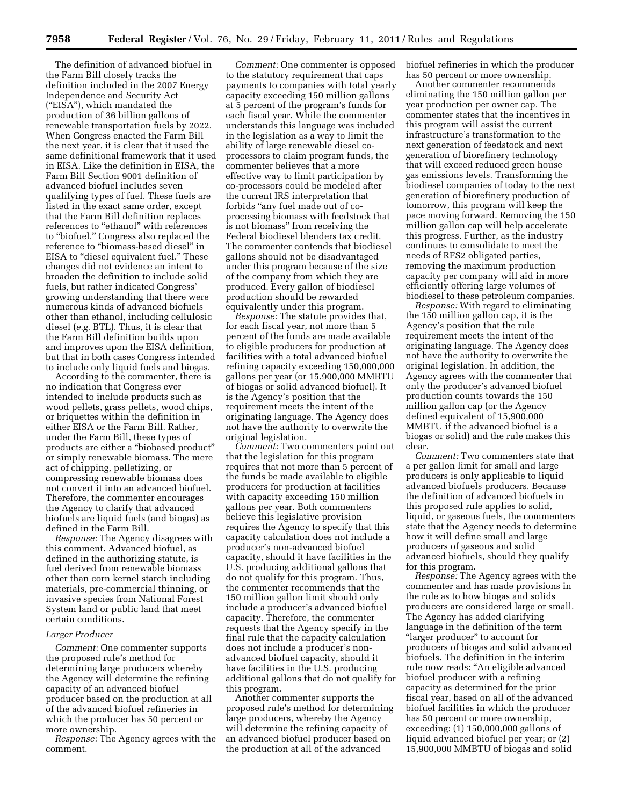The definition of advanced biofuel in the Farm Bill closely tracks the definition included in the 2007 Energy Independence and Security Act (''EISA''), which mandated the production of 36 billion gallons of renewable transportation fuels by 2022. When Congress enacted the Farm Bill the next year, it is clear that it used the same definitional framework that it used in EISA. Like the definition in EISA, the Farm Bill Section 9001 definition of advanced biofuel includes seven qualifying types of fuel. These fuels are listed in the exact same order, except that the Farm Bill definition replaces references to "ethanol" with references to ''biofuel.'' Congress also replaced the reference to "biomass-based diesel" in EISA to "diesel equivalent fuel." These changes did not evidence an intent to broaden the definition to include solid fuels, but rather indicated Congress' growing understanding that there were numerous kinds of advanced biofuels other than ethanol, including cellulosic diesel (*e.g.* BTL). Thus, it is clear that the Farm Bill definition builds upon and improves upon the EISA definition, but that in both cases Congress intended to include only liquid fuels and biogas.

According to the commenter, there is no indication that Congress ever intended to include products such as wood pellets, grass pellets, wood chips, or briquettes within the definition in either EISA or the Farm Bill. Rather, under the Farm Bill, these types of products are either a ''biobased product'' or simply renewable biomass. The mere act of chipping, pelletizing, or compressing renewable biomass does not convert it into an advanced biofuel. Therefore, the commenter encourages the Agency to clarify that advanced biofuels are liquid fuels (and biogas) as defined in the Farm Bill.

*Response:* The Agency disagrees with this comment. Advanced biofuel, as defined in the authorizing statute, is fuel derived from renewable biomass other than corn kernel starch including materials, pre-commercial thinning, or invasive species from National Forest System land or public land that meet certain conditions.

## *Larger Producer*

*Comment:* One commenter supports the proposed rule's method for determining large producers whereby the Agency will determine the refining capacity of an advanced biofuel producer based on the production at all of the advanced biofuel refineries in which the producer has 50 percent or more ownership.

*Response:* The Agency agrees with the comment.

*Comment:* One commenter is opposed to the statutory requirement that caps payments to companies with total yearly capacity exceeding 150 million gallons at 5 percent of the program's funds for each fiscal year. While the commenter understands this language was included in the legislation as a way to limit the ability of large renewable diesel coprocessors to claim program funds, the commenter believes that a more effective way to limit participation by co-processors could be modeled after the current IRS interpretation that forbids ''any fuel made out of coprocessing biomass with feedstock that is not biomass'' from receiving the Federal biodiesel blenders tax credit. The commenter contends that biodiesel gallons should not be disadvantaged under this program because of the size of the company from which they are produced. Every gallon of biodiesel production should be rewarded equivalently under this program.

*Response:* The statute provides that, for each fiscal year, not more than 5 percent of the funds are made available to eligible producers for production at facilities with a total advanced biofuel refining capacity exceeding 150,000,000 gallons per year (or 15,900,000 MMBTU of biogas or solid advanced biofuel). It is the Agency's position that the requirement meets the intent of the originating language. The Agency does not have the authority to overwrite the original legislation.

*Comment:* Two commenters point out that the legislation for this program requires that not more than 5 percent of the funds be made available to eligible producers for production at facilities with capacity exceeding 150 million gallons per year. Both commenters believe this legislative provision requires the Agency to specify that this capacity calculation does not include a producer's non-advanced biofuel capacity, should it have facilities in the U.S. producing additional gallons that do not qualify for this program. Thus, the commenter recommends that the 150 million gallon limit should only include a producer's advanced biofuel capacity. Therefore, the commenter requests that the Agency specify in the final rule that the capacity calculation does not include a producer's nonadvanced biofuel capacity, should it have facilities in the U.S. producing additional gallons that do not qualify for this program.

Another commenter supports the proposed rule's method for determining large producers, whereby the Agency will determine the refining capacity of an advanced biofuel producer based on the production at all of the advanced

biofuel refineries in which the producer has 50 percent or more ownership.

Another commenter recommends eliminating the 150 million gallon per year production per owner cap. The commenter states that the incentives in this program will assist the current infrastructure's transformation to the next generation of feedstock and next generation of biorefinery technology that will exceed reduced green house gas emissions levels. Transforming the biodiesel companies of today to the next generation of biorefinery production of tomorrow, this program will keep the pace moving forward. Removing the 150 million gallon cap will help accelerate this progress. Further, as the industry continues to consolidate to meet the needs of RFS2 obligated parties, removing the maximum production capacity per company will aid in more efficiently offering large volumes of biodiesel to these petroleum companies.

*Response:* With regard to eliminating the 150 million gallon cap, it is the Agency's position that the rule requirement meets the intent of the originating language. The Agency does not have the authority to overwrite the original legislation. In addition, the Agency agrees with the commenter that only the producer's advanced biofuel production counts towards the 150 million gallon cap (or the Agency defined equivalent of 15,900,000 MMBTU if the advanced biofuel is a biogas or solid) and the rule makes this clear.

*Comment:* Two commenters state that a per gallon limit for small and large producers is only applicable to liquid advanced biofuels producers. Because the definition of advanced biofuels in this proposed rule applies to solid, liquid, or gaseous fuels, the commenters state that the Agency needs to determine how it will define small and large producers of gaseous and solid advanced biofuels, should they qualify for this program.

*Response:* The Agency agrees with the commenter and has made provisions in the rule as to how biogas and solids producers are considered large or small. The Agency has added clarifying language in the definition of the term "larger producer" to account for producers of biogas and solid advanced biofuels. The definition in the interim rule now reads: ''An eligible advanced biofuel producer with a refining capacity as determined for the prior fiscal year, based on all of the advanced biofuel facilities in which the producer has 50 percent or more ownership, exceeding: (1) 150,000,000 gallons of liquid advanced biofuel per year; or (2) 15,900,000 MMBTU of biogas and solid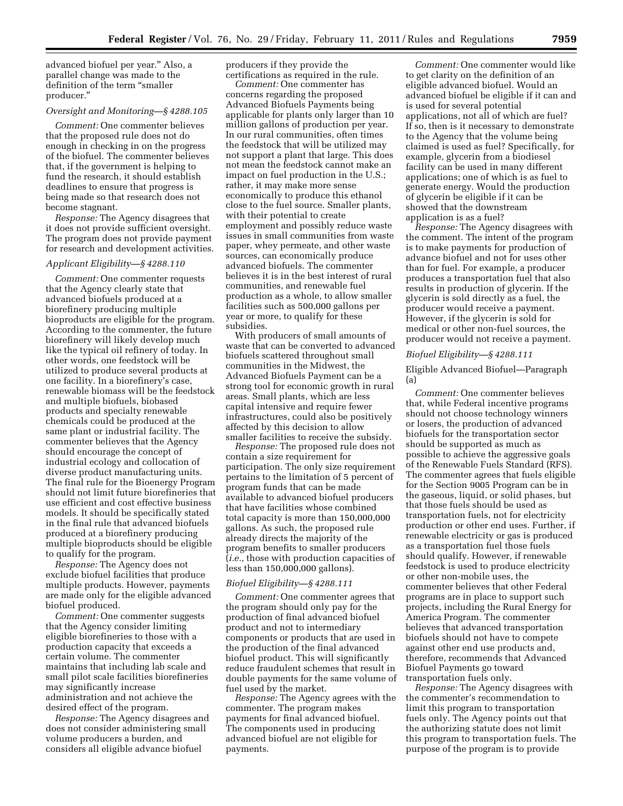advanced biofuel per year.'' Also, a parallel change was made to the definition of the term ''smaller producer.''

## *Oversight and Monitoring—§ 4288.105*

*Comment:* One commenter believes that the proposed rule does not do enough in checking in on the progress of the biofuel. The commenter believes that, if the government is helping to fund the research, it should establish deadlines to ensure that progress is being made so that research does not become stagnant.

*Response:* The Agency disagrees that it does not provide sufficient oversight. The program does not provide payment for research and development activities.

## *Applicant Eligibility—§ 4288.110*

*Comment:* One commenter requests that the Agency clearly state that advanced biofuels produced at a biorefinery producing multiple bioproducts are eligible for the program. According to the commenter, the future biorefinery will likely develop much like the typical oil refinery of today. In other words, one feedstock will be utilized to produce several products at one facility. In a biorefinery's case, renewable biomass will be the feedstock and multiple biofuels, biobased products and specialty renewable chemicals could be produced at the same plant or industrial facility. The commenter believes that the Agency should encourage the concept of industrial ecology and collocation of diverse product manufacturing units. The final rule for the Bioenergy Program should not limit future biorefineries that use efficient and cost effective business models. It should be specifically stated in the final rule that advanced biofuels produced at a biorefinery producing multiple bioproducts should be eligible to qualify for the program.

*Response:* The Agency does not exclude biofuel facilities that produce multiple products. However, payments are made only for the eligible advanced biofuel produced.

*Comment:* One commenter suggests that the Agency consider limiting eligible biorefineries to those with a production capacity that exceeds a certain volume. The commenter maintains that including lab scale and small pilot scale facilities biorefineries may significantly increase administration and not achieve the desired effect of the program.

*Response:* The Agency disagrees and does not consider administering small volume producers a burden, and considers all eligible advance biofuel

producers if they provide the certifications as required in the rule.

*Comment:* One commenter has concerns regarding the proposed Advanced Biofuels Payments being applicable for plants only larger than 10 million gallons of production per year. In our rural communities, often times the feedstock that will be utilized may not support a plant that large. This does not mean the feedstock cannot make an impact on fuel production in the U.S.; rather, it may make more sense economically to produce this ethanol close to the fuel source. Smaller plants, with their potential to create employment and possibly reduce waste issues in small communities from waste paper, whey permeate, and other waste sources, can economically produce advanced biofuels. The commenter believes it is in the best interest of rural communities, and renewable fuel production as a whole, to allow smaller facilities such as 500,000 gallons per year or more, to qualify for these subsidies.

With producers of small amounts of waste that can be converted to advanced biofuels scattered throughout small communities in the Midwest, the Advanced Biofuels Payment can be a strong tool for economic growth in rural areas. Small plants, which are less capital intensive and require fewer infrastructures, could also be positively affected by this decision to allow smaller facilities to receive the subsidy.

*Response:* The proposed rule does not contain a size requirement for participation. The only size requirement pertains to the limitation of 5 percent of program funds that can be made available to advanced biofuel producers that have facilities whose combined total capacity is more than 150,000,000 gallons. As such, the proposed rule already directs the majority of the program benefits to smaller producers (*i.e.,* those with production capacities of less than 150,000,000 gallons).

## *Biofuel Eligibility—§ 4288.111*

*Comment:* One commenter agrees that the program should only pay for the production of final advanced biofuel product and not to intermediary components or products that are used in the production of the final advanced biofuel product. This will significantly reduce fraudulent schemes that result in double payments for the same volume of fuel used by the market.

*Response:* The Agency agrees with the commenter. The program makes payments for final advanced biofuel. The components used in producing advanced biofuel are not eligible for payments.

*Comment:* One commenter would like to get clarity on the definition of an eligible advanced biofuel. Would an advanced biofuel be eligible if it can and is used for several potential applications, not all of which are fuel? If so, then is it necessary to demonstrate to the Agency that the volume being claimed is used as fuel? Specifically, for example, glycerin from a biodiesel facility can be used in many different applications; one of which is as fuel to generate energy. Would the production of glycerin be eligible if it can be showed that the downstream application is as a fuel?

*Response:* The Agency disagrees with the comment. The intent of the program is to make payments for production of advance biofuel and not for uses other than for fuel. For example, a producer produces a transportation fuel that also results in production of glycerin. If the glycerin is sold directly as a fuel, the producer would receive a payment. However, if the glycerin is sold for medical or other non-fuel sources, the producer would not receive a payment.

## *Biofuel Eligibility—§ 4288.111*

Eligible Advanced Biofuel—Paragraph (a)

*Comment:* One commenter believes that, while Federal incentive programs should not choose technology winners or losers, the production of advanced biofuels for the transportation sector should be supported as much as possible to achieve the aggressive goals of the Renewable Fuels Standard (RFS). The commenter agrees that fuels eligible for the Section 9005 Program can be in the gaseous, liquid, or solid phases, but that those fuels should be used as transportation fuels, not for electricity production or other end uses. Further, if renewable electricity or gas is produced as a transportation fuel those fuels should qualify. However, if renewable feedstock is used to produce electricity or other non-mobile uses, the commenter believes that other Federal programs are in place to support such projects, including the Rural Energy for America Program. The commenter believes that advanced transportation biofuels should not have to compete against other end use products and, therefore, recommends that Advanced Biofuel Payments go toward transportation fuels only.

*Response:* The Agency disagrees with the commenter's recommendation to limit this program to transportation fuels only. The Agency points out that the authorizing statute does not limit this program to transportation fuels. The purpose of the program is to provide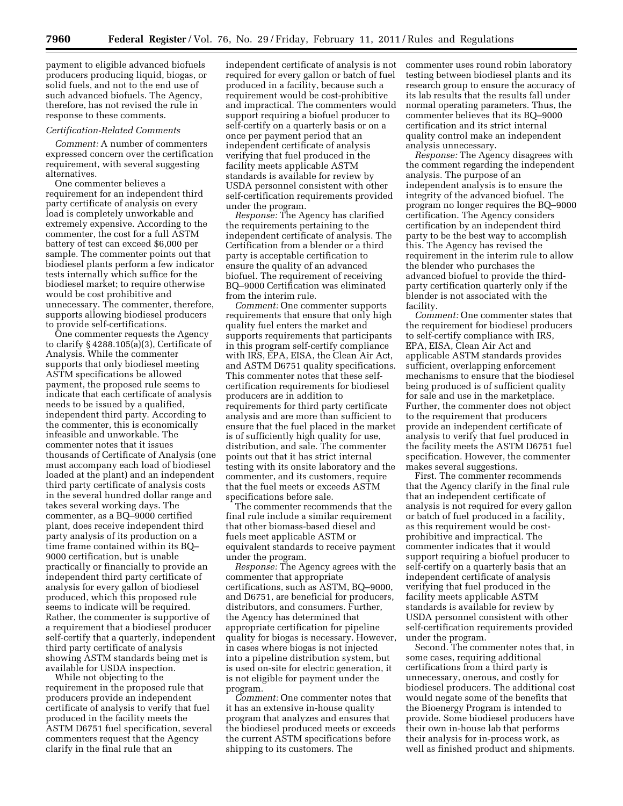payment to eligible advanced biofuels producers producing liquid, biogas, or solid fuels, and not to the end use of such advanced biofuels. The Agency, therefore, has not revised the rule in response to these comments.

#### *Certification-Related Comments*

*Comment:* A number of commenters expressed concern over the certification requirement, with several suggesting alternatives.

One commenter believes a requirement for an independent third party certificate of analysis on every load is completely unworkable and extremely expensive. According to the commenter, the cost for a full ASTM battery of test can exceed \$6,000 per sample. The commenter points out that biodiesel plants perform a few indicator tests internally which suffice for the biodiesel market; to require otherwise would be cost prohibitive and unnecessary. The commenter, therefore, supports allowing biodiesel producers to provide self-certifications.

One commenter requests the Agency to clarify § 4288.105(a)(3), Certificate of Analysis. While the commenter supports that only biodiesel meeting ASTM specifications be allowed payment, the proposed rule seems to indicate that each certificate of analysis needs to be issued by a qualified, independent third party. According to the commenter, this is economically infeasible and unworkable. The commenter notes that it issues thousands of Certificate of Analysis (one must accompany each load of biodiesel loaded at the plant) and an independent third party certificate of analysis costs in the several hundred dollar range and takes several working days. The commenter, as a BQ–9000 certified plant, does receive independent third party analysis of its production on a time frame contained within its BQ– 9000 certification, but is unable practically or financially to provide an independent third party certificate of analysis for every gallon of biodiesel produced, which this proposed rule seems to indicate will be required. Rather, the commenter is supportive of a requirement that a biodiesel producer self-certify that a quarterly, independent third party certificate of analysis showing ASTM standards being met is available for USDA inspection.

While not objecting to the requirement in the proposed rule that producers provide an independent certificate of analysis to verify that fuel produced in the facility meets the ASTM D6751 fuel specification, several commenters request that the Agency clarify in the final rule that an

independent certificate of analysis is not required for every gallon or batch of fuel produced in a facility, because such a requirement would be cost-prohibitive and impractical. The commenters would support requiring a biofuel producer to self-certify on a quarterly basis or on a once per payment period that an independent certificate of analysis verifying that fuel produced in the facility meets applicable ASTM standards is available for review by USDA personnel consistent with other self-certification requirements provided under the program.

*Response:* The Agency has clarified the requirements pertaining to the independent certificate of analysis. The Certification from a blender or a third party is acceptable certification to ensure the quality of an advanced biofuel. The requirement of receiving BQ–9000 Certification was eliminated from the interim rule.

*Comment:* One commenter supports requirements that ensure that only high quality fuel enters the market and supports requirements that participants in this program self-certify compliance with IRS, EPA, EISA, the Clean Air Act, and ASTM D6751 quality specifications. This commenter notes that these selfcertification requirements for biodiesel producers are in addition to requirements for third party certificate analysis and are more than sufficient to ensure that the fuel placed in the market is of sufficiently high quality for use, distribution, and sale. The commenter points out that it has strict internal testing with its onsite laboratory and the commenter, and its customers, require that the fuel meets or exceeds ASTM specifications before sale.

The commenter recommends that the final rule include a similar requirement that other biomass-based diesel and fuels meet applicable ASTM or equivalent standards to receive payment under the program.

*Response:* The Agency agrees with the commenter that appropriate certifications, such as ASTM, BQ–9000, and D6751, are beneficial for producers, distributors, and consumers. Further, the Agency has determined that appropriate certification for pipeline quality for biogas is necessary. However, in cases where biogas is not injected into a pipeline distribution system, but is used on-site for electric generation, it is not eligible for payment under the program.

*Comment:* One commenter notes that it has an extensive in-house quality program that analyzes and ensures that the biodiesel produced meets or exceeds the current ASTM specifications before shipping to its customers. The

commenter uses round robin laboratory testing between biodiesel plants and its research group to ensure the accuracy of its lab results that the results fall under normal operating parameters. Thus, the commenter believes that its BQ–9000 certification and its strict internal quality control make an independent analysis unnecessary.

*Response:* The Agency disagrees with the comment regarding the independent analysis. The purpose of an independent analysis is to ensure the integrity of the advanced biofuel. The program no longer requires the BQ–9000 certification. The Agency considers certification by an independent third party to be the best way to accomplish this. The Agency has revised the requirement in the interim rule to allow the blender who purchases the advanced biofuel to provide the thirdparty certification quarterly only if the blender is not associated with the facility.

*Comment:* One commenter states that the requirement for biodiesel producers to self-certify compliance with IRS, EPA, EISA, Clean Air Act and applicable ASTM standards provides sufficient, overlapping enforcement mechanisms to ensure that the biodiesel being produced is of sufficient quality for sale and use in the marketplace. Further, the commenter does not object to the requirement that producers provide an independent certificate of analysis to verify that fuel produced in the facility meets the ASTM D6751 fuel specification. However, the commenter makes several suggestions.

First. The commenter recommends that the Agency clarify in the final rule that an independent certificate of analysis is not required for every gallon or batch of fuel produced in a facility, as this requirement would be costprohibitive and impractical. The commenter indicates that it would support requiring a biofuel producer to self-certify on a quarterly basis that an independent certificate of analysis verifying that fuel produced in the facility meets applicable ASTM standards is available for review by USDA personnel consistent with other self-certification requirements provided under the program.

Second. The commenter notes that, in some cases, requiring additional certifications from a third party is unnecessary, onerous, and costly for biodiesel producers. The additional cost would negate some of the benefits that the Bioenergy Program is intended to provide. Some biodiesel producers have their own in-house lab that performs their analysis for in-process work, as well as finished product and shipments.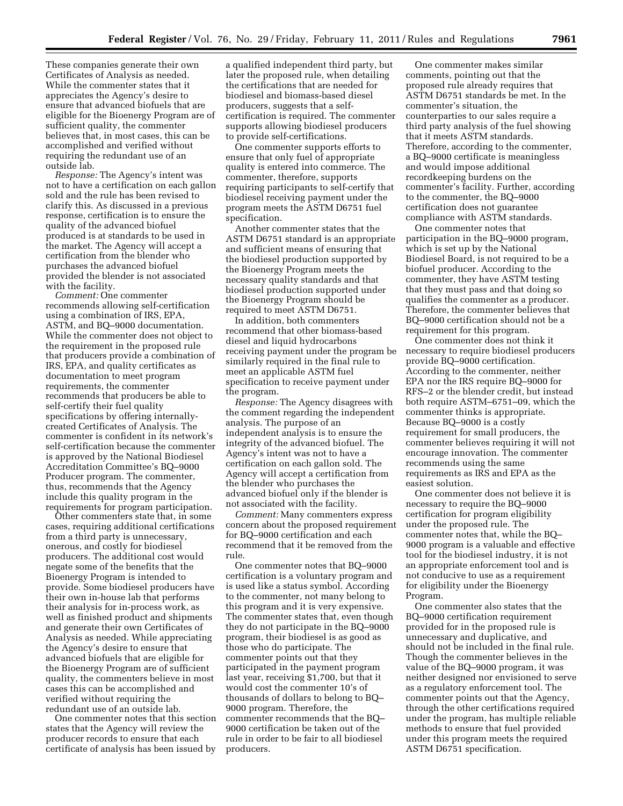These companies generate their own Certificates of Analysis as needed. While the commenter states that it appreciates the Agency's desire to ensure that advanced biofuels that are eligible for the Bioenergy Program are of sufficient quality, the commenter believes that, in most cases, this can be accomplished and verified without requiring the redundant use of an outside lab.

*Response:* The Agency's intent was not to have a certification on each gallon sold and the rule has been revised to clarify this. As discussed in a previous response, certification is to ensure the quality of the advanced biofuel produced is at standards to be used in the market. The Agency will accept a certification from the blender who purchases the advanced biofuel provided the blender is not associated with the facility.

*Comment:* One commenter recommends allowing self-certification using a combination of IRS, EPA, ASTM, and BQ–9000 documentation. While the commenter does not object to the requirement in the proposed rule that producers provide a combination of IRS, EPA, and quality certificates as documentation to meet program requirements, the commenter recommends that producers be able to self-certify their fuel quality specifications by offering internallycreated Certificates of Analysis. The commenter is confident in its network's self-certification because the commenter is approved by the National Biodiesel Accreditation Committee's BQ–9000 Producer program. The commenter, thus, recommends that the Agency include this quality program in the requirements for program participation.

Other commenters state that, in some cases, requiring additional certifications from a third party is unnecessary, onerous, and costly for biodiesel producers. The additional cost would negate some of the benefits that the Bioenergy Program is intended to provide. Some biodiesel producers have their own in-house lab that performs their analysis for in-process work, as well as finished product and shipments and generate their own Certificates of Analysis as needed. While appreciating the Agency's desire to ensure that advanced biofuels that are eligible for the Bioenergy Program are of sufficient quality, the commenters believe in most cases this can be accomplished and verified without requiring the redundant use of an outside lab.

One commenter notes that this section states that the Agency will review the producer records to ensure that each certificate of analysis has been issued by

a qualified independent third party, but later the proposed rule, when detailing the certifications that are needed for biodiesel and biomass-based diesel producers, suggests that a selfcertification is required. The commenter supports allowing biodiesel producers to provide self-certifications.

One commenter supports efforts to ensure that only fuel of appropriate quality is entered into commerce. The commenter, therefore, supports requiring participants to self-certify that biodiesel receiving payment under the program meets the ASTM D6751 fuel specification.

Another commenter states that the ASTM D6751 standard is an appropriate and sufficient means of ensuring that the biodiesel production supported by the Bioenergy Program meets the necessary quality standards and that biodiesel production supported under the Bioenergy Program should be required to meet ASTM D6751.

In addition, both commenters recommend that other biomass-based diesel and liquid hydrocarbons receiving payment under the program be similarly required in the final rule to meet an applicable ASTM fuel specification to receive payment under the program.

*Response:* The Agency disagrees with the comment regarding the independent analysis. The purpose of an independent analysis is to ensure the integrity of the advanced biofuel. The Agency's intent was not to have a certification on each gallon sold. The Agency will accept a certification from the blender who purchases the advanced biofuel only if the blender is not associated with the facility.

*Comment:* Many commenters express concern about the proposed requirement for BQ–9000 certification and each recommend that it be removed from the rule.

One commenter notes that BQ–9000 certification is a voluntary program and is used like a status symbol. According to the commenter, not many belong to this program and it is very expensive. The commenter states that, even though they do not participate in the BQ–9000 program, their biodiesel is as good as those who do participate. The commenter points out that they participated in the payment program last year, receiving \$1,700, but that it would cost the commenter 10's of thousands of dollars to belong to BQ– 9000 program. Therefore, the commenter recommends that the BQ– 9000 certification be taken out of the rule in order to be fair to all biodiesel producers.

One commenter makes similar comments, pointing out that the proposed rule already requires that ASTM D6751 standards be met. In the commenter's situation, the counterparties to our sales require a third party analysis of the fuel showing that it meets ASTM standards. Therefore, according to the commenter, a BQ–9000 certificate is meaningless and would impose additional recordkeeping burdens on the commenter's facility. Further, according to the commenter, the BQ–9000 certification does not guarantee compliance with ASTM standards.

One commenter notes that participation in the BQ–9000 program, which is set up by the National Biodiesel Board, is not required to be a biofuel producer. According to the commenter, they have ASTM testing that they must pass and that doing so qualifies the commenter as a producer. Therefore, the commenter believes that BQ–9000 certification should not be a requirement for this program.

One commenter does not think it necessary to require biodiesel producers provide BQ–9000 certification. According to the commenter, neither EPA nor the IRS require BQ–9000 for RFS–2 or the blender credit, but instead both require ASTM–6751–09, which the commenter thinks is appropriate. Because BQ–9000 is a costly requirement for small producers, the commenter believes requiring it will not encourage innovation. The commenter recommends using the same requirements as IRS and EPA as the easiest solution.

One commenter does not believe it is necessary to require the BQ–9000 certification for program eligibility under the proposed rule. The commenter notes that, while the BQ– 9000 program is a valuable and effective tool for the biodiesel industry, it is not an appropriate enforcement tool and is not conducive to use as a requirement for eligibility under the Bioenergy Program.

One commenter also states that the BQ–9000 certification requirement provided for in the proposed rule is unnecessary and duplicative, and should not be included in the final rule. Though the commenter believes in the value of the BQ–9000 program, it was neither designed nor envisioned to serve as a regulatory enforcement tool. The commenter points out that the Agency, through the other certifications required under the program, has multiple reliable methods to ensure that fuel provided under this program meets the required ASTM D6751 specification.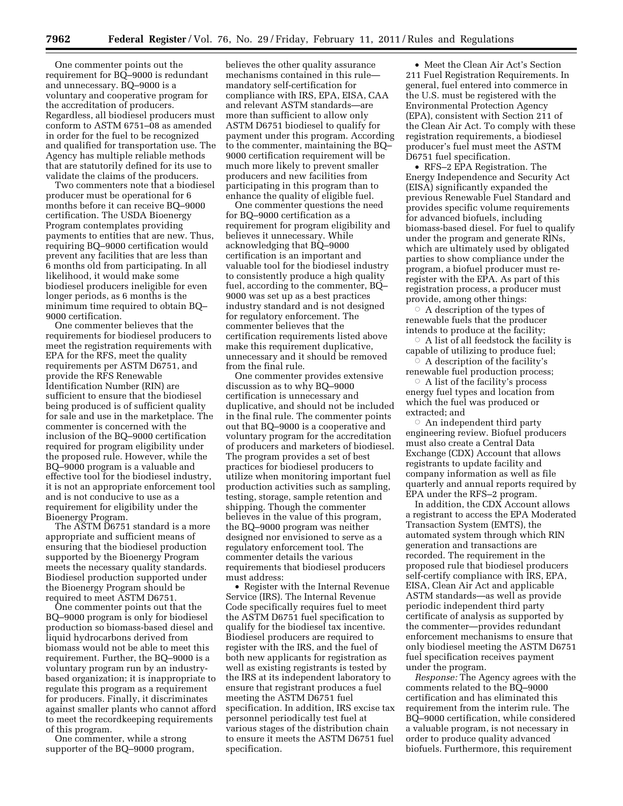One commenter points out the requirement for BQ–9000 is redundant and unnecessary. BQ–9000 is a voluntary and cooperative program for the accreditation of producers. Regardless, all biodiesel producers must conform to ASTM 6751–08 as amended in order for the fuel to be recognized and qualified for transportation use. The Agency has multiple reliable methods that are statutorily defined for its use to validate the claims of the producers.

Two commenters note that a biodiesel producer must be operational for 6 months before it can receive BQ–9000 certification. The USDA Bioenergy Program contemplates providing payments to entities that are new. Thus, requiring BQ–9000 certification would prevent any facilities that are less than 6 months old from participating. In all likelihood, it would make some biodiesel producers ineligible for even longer periods, as 6 months is the minimum time required to obtain BQ– 9000 certification.

One commenter believes that the requirements for biodiesel producers to meet the registration requirements with EPA for the RFS, meet the quality requirements per ASTM D6751, and provide the RFS Renewable Identification Number (RIN) are sufficient to ensure that the biodiesel being produced is of sufficient quality for sale and use in the marketplace. The commenter is concerned with the inclusion of the BQ–9000 certification required for program eligibility under the proposed rule. However, while the BQ–9000 program is a valuable and effective tool for the biodiesel industry, it is not an appropriate enforcement tool and is not conducive to use as a requirement for eligibility under the Bioenergy Program.

The ASTM D6751 standard is a more appropriate and sufficient means of ensuring that the biodiesel production supported by the Bioenergy Program meets the necessary quality standards. Biodiesel production supported under the Bioenergy Program should be required to meet ASTM D6751.

One commenter points out that the BQ–9000 program is only for biodiesel production so biomass-based diesel and liquid hydrocarbons derived from biomass would not be able to meet this requirement. Further, the BQ–9000 is a voluntary program run by an industrybased organization; it is inappropriate to regulate this program as a requirement for producers. Finally, it discriminates against smaller plants who cannot afford to meet the recordkeeping requirements of this program.

One commenter, while a strong supporter of the BQ–9000 program, believes the other quality assurance mechanisms contained in this rule mandatory self-certification for compliance with IRS, EPA, EISA, CAA and relevant ASTM standards—are more than sufficient to allow only ASTM D6751 biodiesel to qualify for payment under this program. According to the commenter, maintaining the BQ– 9000 certification requirement will be much more likely to prevent smaller producers and new facilities from participating in this program than to enhance the quality of eligible fuel.

One commenter questions the need for BQ–9000 certification as a requirement for program eligibility and believes it unnecessary. While acknowledging that BQ–9000 certification is an important and valuable tool for the biodiesel industry to consistently produce a high quality fuel, according to the commenter, BQ– 9000 was set up as a best practices industry standard and is not designed for regulatory enforcement. The commenter believes that the certification requirements listed above make this requirement duplicative, unnecessary and it should be removed from the final rule.

One commenter provides extensive discussion as to why BQ–9000 certification is unnecessary and duplicative, and should not be included in the final rule. The commenter points out that BQ–9000 is a cooperative and voluntary program for the accreditation of producers and marketers of biodiesel. The program provides a set of best practices for biodiesel producers to utilize when monitoring important fuel production activities such as sampling, testing, storage, sample retention and shipping. Though the commenter believes in the value of this program, the BQ–9000 program was neither designed nor envisioned to serve as a regulatory enforcement tool. The commenter details the various requirements that biodiesel producers must address:

• Register with the Internal Revenue Service (IRS). The Internal Revenue Code specifically requires fuel to meet the ASTM D6751 fuel specification to qualify for the biodiesel tax incentive. Biodiesel producers are required to register with the IRS, and the fuel of both new applicants for registration as well as existing registrants is tested by the IRS at its independent laboratory to ensure that registrant produces a fuel meeting the ASTM D6751 fuel specification. In addition, IRS excise tax personnel periodically test fuel at various stages of the distribution chain to ensure it meets the ASTM D6751 fuel specification.

• Meet the Clean Air Act's Section 211 Fuel Registration Requirements. In general, fuel entered into commerce in the U.S. must be registered with the Environmental Protection Agency (EPA), consistent with Section 211 of the Clean Air Act. To comply with these registration requirements, a biodiesel producer's fuel must meet the ASTM D6751 fuel specification.

• RFS–2 EPA Registration. The Energy Independence and Security Act (EISA) significantly expanded the previous Renewable Fuel Standard and provides specific volume requirements for advanced biofuels, including biomass-based diesel. For fuel to qualify under the program and generate RINs, which are ultimately used by obligated parties to show compliance under the program, a biofuel producer must reregister with the EPA. As part of this registration process, a producer must provide, among other things:

 $\circ$  A description of the types of renewable fuels that the producer intends to produce at the facility;

 $\circ$  A list of all feedstock the facility is capable of utilizing to produce fuel;

 $\circ$  A description of the facility's renewable fuel production process;

 $\circ$  A list of the facility's process energy fuel types and location from which the fuel was produced or extracted; and

 $\circ$  An independent third party engineering review. Biofuel producers must also create a Central Data Exchange (CDX) Account that allows registrants to update facility and company information as well as file quarterly and annual reports required by EPA under the RFS–2 program.

In addition, the CDX Account allows a registrant to access the EPA Moderated Transaction System (EMTS), the automated system through which RIN generation and transactions are recorded. The requirement in the proposed rule that biodiesel producers self-certify compliance with IRS, EPA, EISA, Clean Air Act and applicable ASTM standards—as well as provide periodic independent third party certificate of analysis as supported by the commenter—provides redundant enforcement mechanisms to ensure that only biodiesel meeting the ASTM D6751 fuel specification receives payment under the program.

*Response:* The Agency agrees with the comments related to the BQ–9000 certification and has eliminated this requirement from the interim rule. The BQ–9000 certification, while considered a valuable program, is not necessary in order to produce quality advanced biofuels. Furthermore, this requirement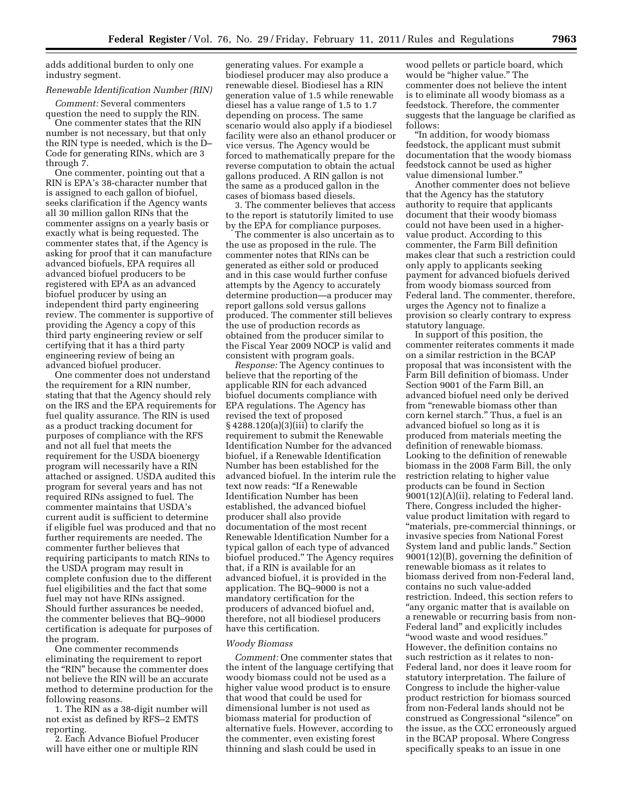adds additional burden to only one industry segment.

## *Renewable Identification Number (RIN)*

*Comment:* Several commenters question the need to supply the RIN.

One commenter states that the RIN number is not necessary, but that only the RIN type is needed, which is the D– Code for generating RINs, which are 3 through 7.

One commenter, pointing out that a RIN is EPA's 38-character number that is assigned to each gallon of biofuel, seeks clarification if the Agency wants all 30 million gallon RINs that the commenter assigns on a yearly basis or exactly what is being requested. The commenter states that, if the Agency is asking for proof that it can manufacture advanced biofuels, EPA requires all advanced biofuel producers to be registered with EPA as an advanced biofuel producer by using an independent third party engineering review. The commenter is supportive of providing the Agency a copy of this third party engineering review or self certifying that it has a third party engineering review of being an advanced biofuel producer.

One commenter does not understand the requirement for a RIN number, stating that that the Agency should rely on the IRS and the EPA requirements for fuel quality assurance. The RIN is used as a product tracking document for purposes of compliance with the RFS and not all fuel that meets the requirement for the USDA bioenergy program will necessarily have a RIN attached or assigned. USDA audited this program for several years and has not required RINs assigned to fuel. The commenter maintains that USDA's current audit is sufficient to determine if eligible fuel was produced and that no further requirements are needed. The commenter further believes that requiring participants to match RINs to the USDA program may result in complete confusion due to the different fuel eligibilities and the fact that some fuel may not have RINs assigned. Should further assurances be needed, the commenter believes that BQ–9000 certification is adequate for purposes of the program.

One commenter recommends eliminating the requirement to report the ''RIN'' because the commenter does not believe the RIN will be an accurate method to determine production for the following reasons.

1. The RIN as a 38-digit number will not exist as defined by RFS–2 EMTS reporting.

2. Each Advance Biofuel Producer will have either one or multiple RIN

generating values. For example a biodiesel producer may also produce a renewable diesel. Biodiesel has a RIN generation value of 1.5 while renewable diesel has a value range of 1.5 to 1.7 depending on process. The same scenario would also apply if a biodiesel facility were also an ethanol producer or vice versus. The Agency would be forced to mathematically prepare for the reverse computation to obtain the actual gallons produced. A RIN gallon is not the same as a produced gallon in the cases of biomass based diesels.

3. The commenter believes that access to the report is statutorily limited to use by the EPA for compliance purposes.

The commenter is also uncertain as to the use as proposed in the rule. The commenter notes that RINs can be generated as either sold or produced and in this case would further confuse attempts by the Agency to accurately determine production—a producer may report gallons sold versus gallons produced. The commenter still believes the use of production records as obtained from the producer similar to the Fiscal Year 2009 NOCP is valid and consistent with program goals.

*Response:* The Agency continues to believe that the reporting of the applicable RIN for each advanced biofuel documents compliance with EPA regulations. The Agency has revised the text of proposed § 4288.120(a)(3)(iii) to clarify the requirement to submit the Renewable Identification Number for the advanced biofuel, if a Renewable Identification Number has been established for the advanced biofuel. In the interim rule the text now reads: ''If a Renewable Identification Number has been established, the advanced biofuel producer shall also provide documentation of the most recent Renewable Identification Number for a typical gallon of each type of advanced biofuel produced.'' The Agency requires that, if a RIN is available for an advanced biofuel, it is provided in the application. The BQ–9000 is not a mandatory certification for the producers of advanced biofuel and, therefore, not all biodiesel producers have this certification.

## *Woody Biomass*

*Comment:* One commenter states that the intent of the language certifying that woody biomass could not be used as a higher value wood product is to ensure that wood that could be used for dimensional lumber is not used as biomass material for production of alternative fuels. However, according to the commenter, even existing forest thinning and slash could be used in

wood pellets or particle board, which would be "higher value." The commenter does not believe the intent is to eliminate all woody biomass as a feedstock. Therefore, the commenter suggests that the language be clarified as follows:

''In addition, for woody biomass feedstock, the applicant must submit documentation that the woody biomass feedstock cannot be used as higher value dimensional lumber.''

Another commenter does not believe that the Agency has the statutory authority to require that applicants document that their woody biomass could not have been used in a highervalue product. According to this commenter, the Farm Bill definition makes clear that such a restriction could only apply to applicants seeking payment for advanced biofuels derived from woody biomass sourced from Federal land. The commenter, therefore, urges the Agency not to finalize a provision so clearly contrary to express statutory language.

In support of this position, the commenter reiterates comments it made on a similar restriction in the BCAP proposal that was inconsistent with the Farm Bill definition of biomass. Under Section 9001 of the Farm Bill, an advanced biofuel need only be derived from "renewable biomass other than corn kernel starch.'' Thus, a fuel is an advanced biofuel so long as it is produced from materials meeting the definition of renewable biomass. Looking to the definition of renewable biomass in the 2008 Farm Bill, the only restriction relating to higher value products can be found in Section 9001(12)(A)(ii), relating to Federal land. There, Congress included the highervalue product limitation with regard to ''materials, pre-commercial thinnings, or invasive species from National Forest System land and public lands.'' Section 9001(12)(B), governing the definition of renewable biomass as it relates to biomass derived from non-Federal land, contains no such value-added restriction. Indeed, this section refers to ''any organic matter that is available on a renewable or recurring basis from non-Federal land'' and explicitly includes ''wood waste and wood residues.'' However, the definition contains no such restriction as it relates to non-Federal land, nor does it leave room for statutory interpretation. The failure of Congress to include the higher-value product restriction for biomass sourced from non-Federal lands should not be construed as Congressional ''silence'' on the issue, as the CCC erroneously argued in the BCAP proposal. Where Congress specifically speaks to an issue in one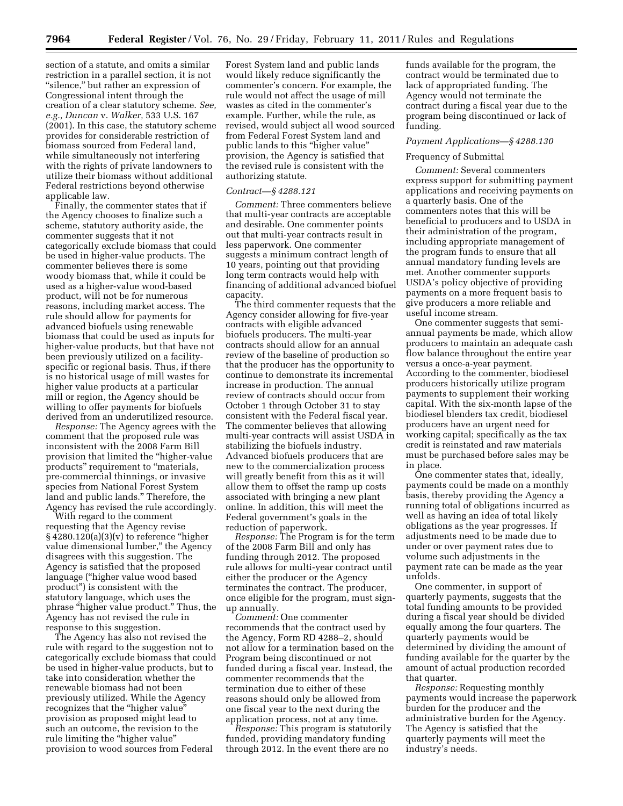section of a statute, and omits a similar restriction in a parallel section, it is not "silence," but rather an expression of Congressional intent through the creation of a clear statutory scheme. *See, e.g., Duncan* v. *Walker,* 533 U.S. 167 (2001). In this case, the statutory scheme provides for considerable restriction of biomass sourced from Federal land, while simultaneously not interfering with the rights of private landowners to utilize their biomass without additional Federal restrictions beyond otherwise applicable law.

Finally, the commenter states that if the Agency chooses to finalize such a scheme, statutory authority aside, the commenter suggests that it not categorically exclude biomass that could be used in higher-value products. The commenter believes there is some woody biomass that, while it could be used as a higher-value wood-based product, will not be for numerous reasons, including market access. The rule should allow for payments for advanced biofuels using renewable biomass that could be used as inputs for higher-value products, but that have not been previously utilized on a facilityspecific or regional basis. Thus, if there is no historical usage of mill wastes for higher value products at a particular mill or region, the Agency should be willing to offer payments for biofuels derived from an underutilized resource.

*Response:* The Agency agrees with the comment that the proposed rule was inconsistent with the 2008 Farm Bill provision that limited the ''higher-value products" requirement to "materials, pre-commercial thinnings, or invasive species from National Forest System land and public lands.'' Therefore, the Agency has revised the rule accordingly.

With regard to the comment requesting that the Agency revise  $§$  4280.120(a)(3)(v) to reference "higher value dimensional lumber,'' the Agency disagrees with this suggestion. The Agency is satisfied that the proposed language (''higher value wood based product'') is consistent with the statutory language, which uses the phrase "higher value product." Thus, the Agency has not revised the rule in response to this suggestion.

The Agency has also not revised the rule with regard to the suggestion not to categorically exclude biomass that could be used in higher-value products, but to take into consideration whether the renewable biomass had not been previously utilized. While the Agency recognizes that the "higher value" provision as proposed might lead to such an outcome, the revision to the rule limiting the "higher value" provision to wood sources from Federal

Forest System land and public lands would likely reduce significantly the commenter's concern. For example, the rule would not affect the usage of mill wastes as cited in the commenter's example. Further, while the rule, as revised, would subject all wood sourced from Federal Forest System land and public lands to this "higher value" provision, the Agency is satisfied that the revised rule is consistent with the authorizing statute.

## *Contract—§ 4288.121*

*Comment:* Three commenters believe that multi-year contracts are acceptable and desirable. One commenter points out that multi-year contracts result in less paperwork. One commenter suggests a minimum contract length of 10 years, pointing out that providing long term contracts would help with financing of additional advanced biofuel capacity.

The third commenter requests that the Agency consider allowing for five-year contracts with eligible advanced biofuels producers. The multi-year contracts should allow for an annual review of the baseline of production so that the producer has the opportunity to continue to demonstrate its incremental increase in production. The annual review of contracts should occur from October 1 through October 31 to stay consistent with the Federal fiscal year. The commenter believes that allowing multi-year contracts will assist USDA in stabilizing the biofuels industry. Advanced biofuels producers that are new to the commercialization process will greatly benefit from this as it will allow them to offset the ramp up costs associated with bringing a new plant online. In addition, this will meet the Federal government's goals in the reduction of paperwork.

*Response:* The Program is for the term of the 2008 Farm Bill and only has funding through 2012. The proposed rule allows for multi-year contract until either the producer or the Agency terminates the contract. The producer, once eligible for the program, must signup annually.

*Comment:* One commenter recommends that the contract used by the Agency, Form RD 4288–2, should not allow for a termination based on the Program being discontinued or not funded during a fiscal year. Instead, the commenter recommends that the termination due to either of these reasons should only be allowed from one fiscal year to the next during the application process, not at any time.

*Response:* This program is statutorily funded, providing mandatory funding through 2012. In the event there are no

funds available for the program, the contract would be terminated due to lack of appropriated funding. The Agency would not terminate the contract during a fiscal year due to the program being discontinued or lack of funding.

#### *Payment Applications—§ 4288.130*

## Frequency of Submittal

*Comment:* Several commenters express support for submitting payment applications and receiving payments on a quarterly basis. One of the commenters notes that this will be beneficial to producers and to USDA in their administration of the program, including appropriate management of the program funds to ensure that all annual mandatory funding levels are met. Another commenter supports USDA's policy objective of providing payments on a more frequent basis to give producers a more reliable and useful income stream.

One commenter suggests that semiannual payments be made, which allow producers to maintain an adequate cash flow balance throughout the entire year versus a once-a-year payment. According to the commenter, biodiesel producers historically utilize program payments to supplement their working capital. With the six-month lapse of the biodiesel blenders tax credit, biodiesel producers have an urgent need for working capital; specifically as the tax credit is reinstated and raw materials must be purchased before sales may be in place.

One commenter states that, ideally, payments could be made on a monthly basis, thereby providing the Agency a running total of obligations incurred as well as having an idea of total likely obligations as the year progresses. If adjustments need to be made due to under or over payment rates due to volume such adjustments in the payment rate can be made as the year unfolds.

One commenter, in support of quarterly payments, suggests that the total funding amounts to be provided during a fiscal year should be divided equally among the four quarters. The quarterly payments would be determined by dividing the amount of funding available for the quarter by the amount of actual production recorded that quarter.

*Response:* Requesting monthly payments would increase the paperwork burden for the producer and the administrative burden for the Agency. The Agency is satisfied that the quarterly payments will meet the industry's needs.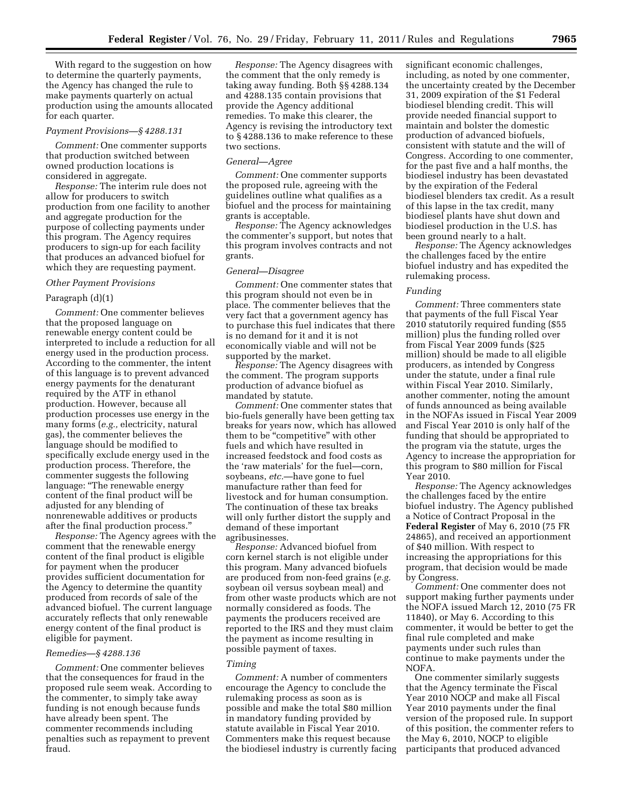With regard to the suggestion on how to determine the quarterly payments, the Agency has changed the rule to make payments quarterly on actual production using the amounts allocated for each quarter.

#### *Payment Provisions—§ 4288.131*

*Comment:* One commenter supports that production switched between owned production locations is considered in aggregate.

*Response:* The interim rule does not allow for producers to switch production from one facility to another and aggregate production for the purpose of collecting payments under this program. The Agency requires producers to sign-up for each facility that produces an advanced biofuel for which they are requesting payment.

## *Other Payment Provisions*

## Paragraph (d)(1)

*Comment:* One commenter believes that the proposed language on renewable energy content could be interpreted to include a reduction for all energy used in the production process. According to the commenter, the intent of this language is to prevent advanced energy payments for the denaturant required by the ATF in ethanol production. However, because all production processes use energy in the many forms (*e.g.,* electricity, natural gas), the commenter believes the language should be modified to specifically exclude energy used in the production process. Therefore, the commenter suggests the following language: ''The renewable energy content of the final product will be adjusted for any blending of nonrenewable additives or products after the final production process.''

*Response:* The Agency agrees with the comment that the renewable energy content of the final product is eligible for payment when the producer provides sufficient documentation for the Agency to determine the quantity produced from records of sale of the advanced biofuel. The current language accurately reflects that only renewable energy content of the final product is eligible for payment.

## *Remedies—§ 4288.136*

*Comment:* One commenter believes that the consequences for fraud in the proposed rule seem weak. According to the commenter, to simply take away funding is not enough because funds have already been spent. The commenter recommends including penalties such as repayment to prevent fraud.

*Response:* The Agency disagrees with the comment that the only remedy is taking away funding. Both §§ 4288.134 and 4288.135 contain provisions that provide the Agency additional remedies. To make this clearer, the Agency is revising the introductory text to § 4288.136 to make reference to these two sections.

#### *General—Agree*

*Comment:* One commenter supports the proposed rule, agreeing with the guidelines outline what qualifies as a biofuel and the process for maintaining grants is acceptable.

*Response:* The Agency acknowledges the commenter's support, but notes that this program involves contracts and not grants.

## *General—Disagree*

*Comment:* One commenter states that this program should not even be in place. The commenter believes that the very fact that a government agency has to purchase this fuel indicates that there is no demand for it and it is not economically viable and will not be supported by the market.

*Response:* The Agency disagrees with the comment. The program supports production of advance biofuel as mandated by statute.

*Comment:* One commenter states that bio-fuels generally have been getting tax breaks for years now, which has allowed them to be "competitive" with other fuels and which have resulted in increased feedstock and food costs as the 'raw materials' for the fuel—corn, soybeans, *etc.*—have gone to fuel manufacture rather than feed for livestock and for human consumption. The continuation of these tax breaks will only further distort the supply and demand of these important agribusinesses.

*Response:* Advanced biofuel from corn kernel starch is not eligible under this program. Many advanced biofuels are produced from non-feed grains (*e.g.*  soybean oil versus soybean meal) and from other waste products which are not normally considered as foods. The payments the producers received are reported to the IRS and they must claim the payment as income resulting in possible payment of taxes.

#### *Timing*

*Comment:* A number of commenters encourage the Agency to conclude the rulemaking process as soon as is possible and make the total \$80 million in mandatory funding provided by statute available in Fiscal Year 2010. Commenters make this request because the biodiesel industry is currently facing significant economic challenges, including, as noted by one commenter, the uncertainty created by the December 31, 2009 expiration of the \$1 Federal biodiesel blending credit. This will provide needed financial support to maintain and bolster the domestic production of advanced biofuels, consistent with statute and the will of Congress. According to one commenter, for the past five and a half months, the biodiesel industry has been devastated by the expiration of the Federal biodiesel blenders tax credit. As a result of this lapse in the tax credit, many biodiesel plants have shut down and biodiesel production in the U.S. has been ground nearly to a halt.

*Response:* The Agency acknowledges the challenges faced by the entire biofuel industry and has expedited the rulemaking process.

#### *Funding*

*Comment:* Three commenters state that payments of the full Fiscal Year 2010 statutorily required funding (\$55 million) plus the funding rolled over from Fiscal Year 2009 funds (\$25 million) should be made to all eligible producers, as intended by Congress under the statute, under a final rule within Fiscal Year 2010. Similarly, another commenter, noting the amount of funds announced as being available in the NOFAs issued in Fiscal Year 2009 and Fiscal Year 2010 is only half of the funding that should be appropriated to the program via the statute, urges the Agency to increase the appropriation for this program to \$80 million for Fiscal Year 2010.

*Response:* The Agency acknowledges the challenges faced by the entire biofuel industry. The Agency published a Notice of Contract Proposal in the **Federal Register** of May 6, 2010 (75 FR 24865), and received an apportionment of \$40 million. With respect to increasing the appropriations for this program, that decision would be made by Congress.

*Comment:* One commenter does not support making further payments under the NOFA issued March 12, 2010 (75 FR 11840), or May 6. According to this commenter, it would be better to get the final rule completed and make payments under such rules than continue to make payments under the NOFA.

One commenter similarly suggests that the Agency terminate the Fiscal Year 2010 NOCP and make all Fiscal Year 2010 payments under the final version of the proposed rule. In support of this position, the commenter refers to the May 6, 2010, NOCP to eligible participants that produced advanced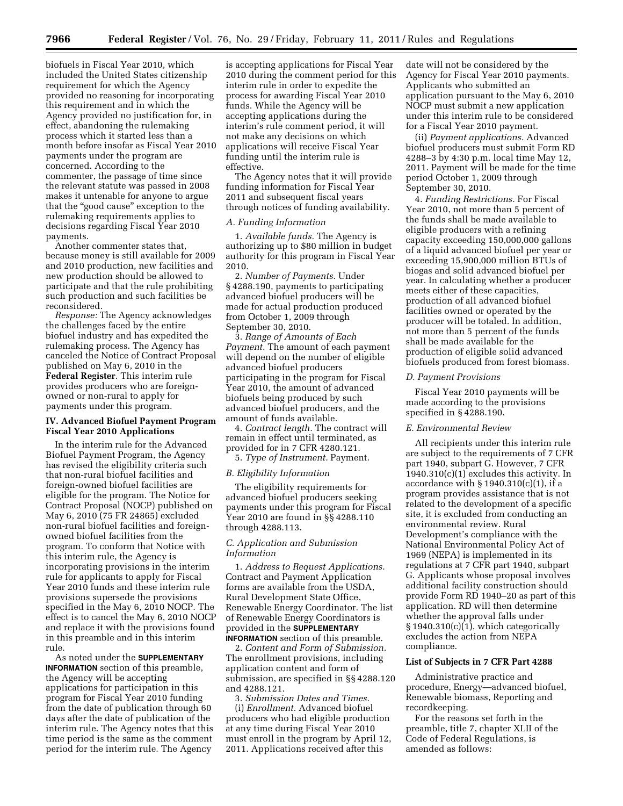biofuels in Fiscal Year 2010, which included the United States citizenship requirement for which the Agency provided no reasoning for incorporating this requirement and in which the Agency provided no justification for, in effect, abandoning the rulemaking process which it started less than a month before insofar as Fiscal Year 2010 payments under the program are concerned. According to the commenter, the passage of time since the relevant statute was passed in 2008 makes it untenable for anyone to argue that the "good cause" exception to the rulemaking requirements applies to decisions regarding Fiscal Year 2010 payments.

Another commenter states that, because money is still available for 2009 and 2010 production, new facilities and new production should be allowed to participate and that the rule prohibiting such production and such facilities be reconsidered.

*Response:* The Agency acknowledges the challenges faced by the entire biofuel industry and has expedited the rulemaking process. The Agency has canceled the Notice of Contract Proposal published on May 6, 2010 in the **Federal Register**. This interim rule provides producers who are foreignowned or non-rural to apply for payments under this program.

## **IV. Advanced Biofuel Payment Program Fiscal Year 2010 Applications**

In the interim rule for the Advanced Biofuel Payment Program, the Agency has revised the eligibility criteria such that non-rural biofuel facilities and foreign-owned biofuel facilities are eligible for the program. The Notice for Contract Proposal (NOCP) published on May 6, 2010 (75 FR 24865) excluded non-rural biofuel facilities and foreignowned biofuel facilities from the program. To conform that Notice with this interim rule, the Agency is incorporating provisions in the interim rule for applicants to apply for Fiscal Year 2010 funds and these interim rule provisions supersede the provisions specified in the May 6, 2010 NOCP. The effect is to cancel the May 6, 2010 NOCP and replace it with the provisions found in this preamble and in this interim rule.

As noted under the **SUPPLEMENTARY INFORMATION** section of this preamble, the Agency will be accepting applications for participation in this program for Fiscal Year 2010 funding from the date of publication through 60 days after the date of publication of the interim rule. The Agency notes that this time period is the same as the comment period for the interim rule. The Agency

is accepting applications for Fiscal Year 2010 during the comment period for this interim rule in order to expedite the process for awarding Fiscal Year 2010 funds. While the Agency will be accepting applications during the interim's rule comment period, it will not make any decisions on which applications will receive Fiscal Year funding until the interim rule is effective.

The Agency notes that it will provide funding information for Fiscal Year 2011 and subsequent fiscal years through notices of funding availability.

## *A. Funding Information*

1. *Available funds.* The Agency is authorizing up to \$80 million in budget authority for this program in Fiscal Year 2010.

2. *Number of Payments.* Under § 4288.190, payments to participating advanced biofuel producers will be made for actual production produced from October 1, 2009 through September 30, 2010.

3. *Range of Amounts of Each Payment.* The amount of each payment will depend on the number of eligible advanced biofuel producers participating in the program for Fiscal Year 2010, the amount of advanced biofuels being produced by such advanced biofuel producers, and the amount of funds available.

4. *Contract length.* The contract will remain in effect until terminated, as provided for in 7 CFR 4280.121.

5. *Type of Instrument.* Payment.

## *B. Eligibility Information*

The eligibility requirements for advanced biofuel producers seeking payments under this program for Fiscal Year 2010 are found in §§ 4288.110 through 4288.113.

## *C. Application and Submission Information*

1. *Address to Request Applications.*  Contract and Payment Application forms are available from the USDA, Rural Development State Office, Renewable Energy Coordinator. The list of Renewable Energy Coordinators is provided in the **SUPPLEMENTARY INFORMATION** section of this preamble.

2. *Content and Form of Submission.*  The enrollment provisions, including application content and form of submission, are specified in §§ 4288.120 and 4288.121.

3. *Submission Dates and Times.*  (i) *Enrollment.* Advanced biofuel producers who had eligible production at any time during Fiscal Year 2010 must enroll in the program by April 12, 2011. Applications received after this

date will not be considered by the Agency for Fiscal Year 2010 payments. Applicants who submitted an application pursuant to the May 6, 2010 NOCP must submit a new application under this interim rule to be considered for a Fiscal Year 2010 payment.

(ii) *Payment applications.* Advanced biofuel producers must submit Form RD 4288–3 by 4:30 p.m. local time May 12, 2011. Payment will be made for the time period October 1, 2009 through September 30, 2010.

4. *Funding Restrictions.* For Fiscal Year 2010, not more than 5 percent of the funds shall be made available to eligible producers with a refining capacity exceeding 150,000,000 gallons of a liquid advanced biofuel per year or exceeding 15,900,000 million BTUs of biogas and solid advanced biofuel per year. In calculating whether a producer meets either of these capacities, production of all advanced biofuel facilities owned or operated by the producer will be totaled. In addition, not more than 5 percent of the funds shall be made available for the production of eligible solid advanced biofuels produced from forest biomass.

#### *D. Payment Provisions*

Fiscal Year 2010 payments will be made according to the provisions specified in § 4288.190.

#### *E. Environmental Review*

All recipients under this interim rule are subject to the requirements of 7 CFR part 1940, subpart G. However, 7 CFR 1940.310(c)(1) excludes this activity. In accordance with § 1940.310(c)(1), if a program provides assistance that is not related to the development of a specific site, it is excluded from conducting an environmental review. Rural Development's compliance with the National Environmental Policy Act of 1969 (NEPA) is implemented in its regulations at 7 CFR part 1940, subpart G. Applicants whose proposal involves additional facility construction should provide Form RD 1940–20 as part of this application. RD will then determine whether the approval falls under § 1940.310(c)(1), which categorically excludes the action from NEPA compliance.

## **List of Subjects in 7 CFR Part 4288**

Administrative practice and procedure, Energy—advanced biofuel, Renewable biomass, Reporting and recordkeeping.

For the reasons set forth in the preamble, title 7, chapter XLII of the Code of Federal Regulations, is amended as follows: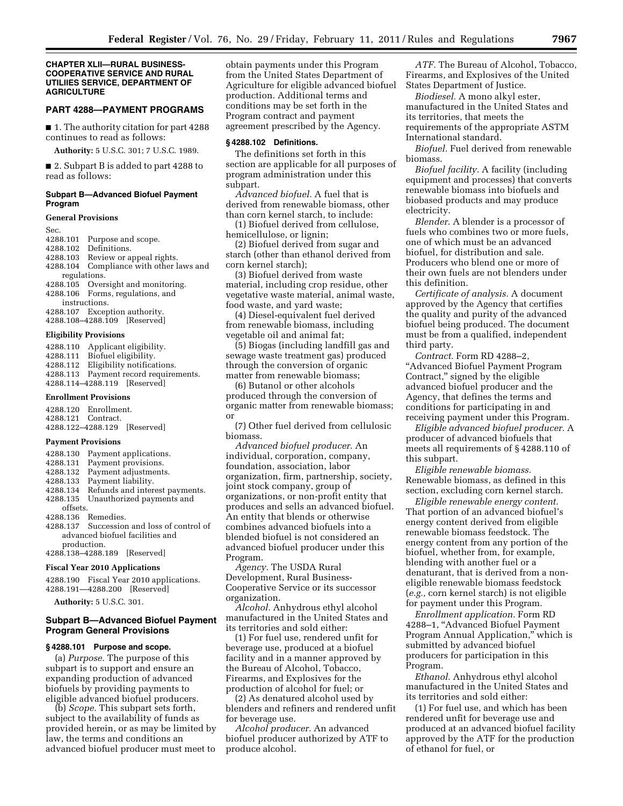## **CHAPTER XLII—RURAL BUSINESS-COOPERATIVE SERVICE AND RURAL UTILIIES SERVICE, DEPARTMENT OF AGRICULTURE**

#### **PART 4288—PAYMENT PROGRAMS**

■ 1. The authority citation for part 4288 continues to read as follows:

**Authority:** 5 U.S.C. 301; 7 U.S.C. 1989.

■ 2. Subpart B is added to part 4288 to read as follows:

## **Subpart B—Advanced Biofuel Payment Program**

#### **General Provisions**

Sec.

- 4288.101 Purpose and scope.
- 4288.102 Definitions.
- 4288.103 Review or appeal rights.
- 4288.104 Compliance with other laws and
- regulations.
- 4288.105 Oversight and monitoring.
- 4288.106 Forms, regulations, and
- instructions.
- 4288.107 Exception authority.
- 4288.108–4288.109 [Reserved]

## **Eligibility Provisions**

- 4288.110 Applicant eligibility. 4288.111 Biofuel eligibility. 4288.112 Eligibility notifications.
- 4288.113 Payment record requirements.
- 4288.114–4288.119 [Reserved]

## **Enrollment Provisions**

|                    | 4288.120 Enrollment. |                              |
|--------------------|----------------------|------------------------------|
| 4288.121 Contract. |                      |                              |
|                    |                      | 4288.122–4288.129 [Reserved] |

#### **Payment Provisions**

- 4288.130 Payment applications.
- 4288.131 Payment provisions.
- 4288.132 Payment adjustments.
- 4288.133 Payment liability.
- 4288.134 Refunds and interest payments.
- Unauthorized payments and
- offsets. 4288.136 Remedies.
- 4288.137 Succession and loss of control of advanced biofuel facilities and production.
- 4288.138–4288.189 [Reserved]

## **Fiscal Year 2010 Applications**

4288.190 Fiscal Year 2010 applications. 4288.191—4288.200 [Reserved]

**Authority:** 5 U.S.C. 301.

## **Subpart B—Advanced Biofuel Payment Program General Provisions**

## **§ 4288.101 Purpose and scope.**

(a) *Purpose.* The purpose of this subpart is to support and ensure an expanding production of advanced biofuels by providing payments to eligible advanced biofuel producers.

(b) *Scope.* This subpart sets forth, subject to the availability of funds as provided herein, or as may be limited by law, the terms and conditions an advanced biofuel producer must meet to

obtain payments under this Program from the United States Department of Agriculture for eligible advanced biofuel production. Additional terms and conditions may be set forth in the Program contract and payment agreement prescribed by the Agency.

## **§ 4288.102 Definitions.**

The definitions set forth in this section are applicable for all purposes of program administration under this subpart.

*Advanced biofuel.* A fuel that is derived from renewable biomass, other than corn kernel starch, to include:

(1) Biofuel derived from cellulose, hemicellulose, or lignin;

(2) Biofuel derived from sugar and starch (other than ethanol derived from corn kernel starch);

(3) Biofuel derived from waste material, including crop residue, other vegetative waste material, animal waste, food waste, and yard waste;

(4) Diesel-equivalent fuel derived from renewable biomass, including vegetable oil and animal fat;

(5) Biogas (including landfill gas and sewage waste treatment gas) produced through the conversion of organic matter from renewable biomass;

(6) Butanol or other alcohols produced through the conversion of organic matter from renewable biomass; or

(7) Other fuel derived from cellulosic biomass.

*Advanced biofuel producer.* An individual, corporation, company, foundation, association, labor organization, firm, partnership, society, joint stock company, group of organizations, or non-profit entity that produces and sells an advanced biofuel. An entity that blends or otherwise combines advanced biofuels into a blended biofuel is not considered an advanced biofuel producer under this Program.

*Agency.* The USDA Rural Development, Rural Business-Cooperative Service or its successor organization.

*Alcohol.* Anhydrous ethyl alcohol manufactured in the United States and its territories and sold either:

(1) For fuel use, rendered unfit for beverage use, produced at a biofuel facility and in a manner approved by the Bureau of Alcohol, Tobacco, Firearms, and Explosives for the production of alcohol for fuel; or

(2) As denatured alcohol used by blenders and refiners and rendered unfit for beverage use.

*Alcohol producer.* An advanced biofuel producer authorized by ATF to produce alcohol.

*ATF.* The Bureau of Alcohol, Tobacco, Firearms, and Explosives of the United States Department of Justice.

*Biodiesel.* A mono alkyl ester, manufactured in the United States and its territories, that meets the requirements of the appropriate ASTM International standard.

*Biofuel.* Fuel derived from renewable biomass.

*Biofuel facility.* A facility (including equipment and processes) that converts renewable biomass into biofuels and biobased products and may produce electricity.

*Blender.* A blender is a processor of fuels who combines two or more fuels, one of which must be an advanced biofuel, for distribution and sale. Producers who blend one or more of their own fuels are not blenders under this definition.

*Certificate of analysis.* A document approved by the Agency that certifies the quality and purity of the advanced biofuel being produced. The document must be from a qualified, independent third party.

*Contract.* Form RD 4288–2, ''Advanced Biofuel Payment Program Contract,'' signed by the eligible advanced biofuel producer and the Agency, that defines the terms and conditions for participating in and receiving payment under this Program.

*Eligible advanced biofuel producer.* A producer of advanced biofuels that meets all requirements of § 4288.110 of this subpart.

*Eligible renewable biomass.*  Renewable biomass, as defined in this section, excluding corn kernel starch.

*Eligible renewable energy content.*  That portion of an advanced biofuel's energy content derived from eligible renewable biomass feedstock. The energy content from any portion of the biofuel, whether from, for example, blending with another fuel or a denaturant, that is derived from a noneligible renewable biomass feedstock (*e.g.,* corn kernel starch) is not eligible for payment under this Program.

*Enrollment application.* Form RD 4288–1, ''Advanced Biofuel Payment Program Annual Application,'' which is submitted by advanced biofuel producers for participation in this Program.

*Ethanol.* Anhydrous ethyl alcohol manufactured in the United States and its territories and sold either:

(1) For fuel use, and which has been rendered unfit for beverage use and produced at an advanced biofuel facility approved by the ATF for the production of ethanol for fuel, or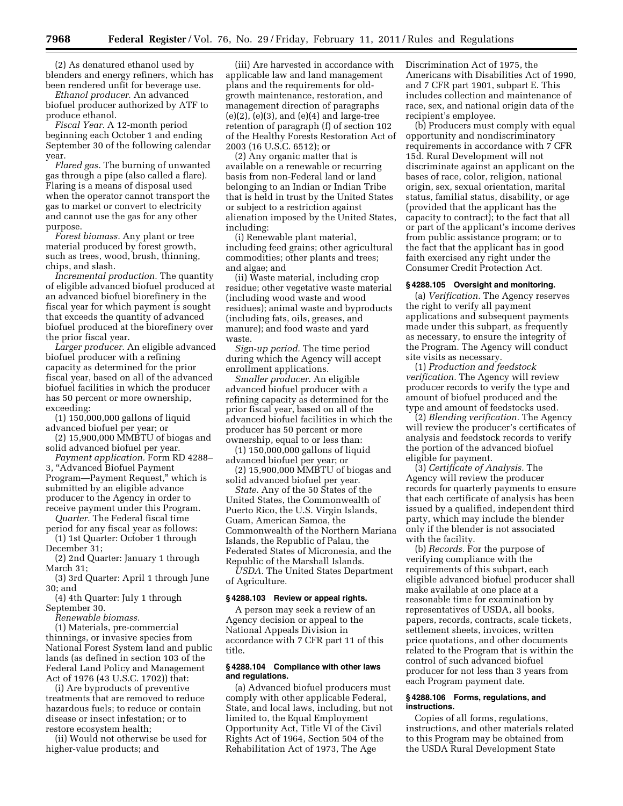(2) As denatured ethanol used by blenders and energy refiners, which has been rendered unfit for beverage use.

*Ethanol producer.* An advanced biofuel producer authorized by ATF to produce ethanol.

*Fiscal Year.* A 12-month period beginning each October 1 and ending September 30 of the following calendar year.

*Flared gas.* The burning of unwanted gas through a pipe (also called a flare). Flaring is a means of disposal used when the operator cannot transport the gas to market or convert to electricity and cannot use the gas for any other purpose.

*Forest biomass.* Any plant or tree material produced by forest growth, such as trees, wood, brush, thinning, chips, and slash.

*Incremental production.* The quantity of eligible advanced biofuel produced at an advanced biofuel biorefinery in the fiscal year for which payment is sought that exceeds the quantity of advanced biofuel produced at the biorefinery over the prior fiscal year.

*Larger producer.* An eligible advanced biofuel producer with a refining capacity as determined for the prior fiscal year, based on all of the advanced biofuel facilities in which the producer has 50 percent or more ownership, exceeding:

(1) 150,000,000 gallons of liquid advanced biofuel per year; or

(2) 15,900,000 MMBTU of biogas and solid advanced biofuel per year.

*Payment application.* Form RD 4288– 3, ''Advanced Biofuel Payment Program—Payment Request,'' which is submitted by an eligible advance producer to the Agency in order to receive payment under this Program.

*Quarter.* The Federal fiscal time period for any fiscal year as follows: (1) 1st Quarter: October 1 through

December 31;

(2) 2nd Quarter: January 1 through March 31;

(3) 3rd Quarter: April 1 through June 30; and

(4) 4th Quarter: July 1 through September 30.

*Renewable biomass.* 

(1) Materials, pre-commercial thinnings, or invasive species from National Forest System land and public lands (as defined in section 103 of the Federal Land Policy and Management Act of 1976 (43 U.S.C. 1702)) that:

(i) Are byproducts of preventive treatments that are removed to reduce hazardous fuels; to reduce or contain disease or insect infestation; or to restore ecosystem health;

(ii) Would not otherwise be used for higher-value products; and

(iii) Are harvested in accordance with applicable law and land management plans and the requirements for oldgrowth maintenance, restoration, and management direction of paragraphs  $(e)(2)$ ,  $(e)(3)$ , and  $(e)(4)$  and large-tree retention of paragraph (f) of section 102 of the Healthy Forests Restoration Act of 2003 (16 U.S.C. 6512); or

(2) Any organic matter that is available on a renewable or recurring basis from non-Federal land or land belonging to an Indian or Indian Tribe that is held in trust by the United States or subject to a restriction against alienation imposed by the United States, including:

(i) Renewable plant material, including feed grains; other agricultural commodities; other plants and trees; and algae; and

(ii) Waste material, including crop residue; other vegetative waste material (including wood waste and wood residues); animal waste and byproducts (including fats, oils, greases, and manure); and food waste and yard waste.

*Sign-up period.* The time period during which the Agency will accept enrollment applications.

*Smaller producer.* An eligible advanced biofuel producer with a refining capacity as determined for the prior fiscal year, based on all of the advanced biofuel facilities in which the producer has 50 percent or more ownership, equal to or less than:

(1) 150,000,000 gallons of liquid advanced biofuel per year; or

(2) 15,900,000 MMBTU of biogas and solid advanced biofuel per year.

*State.* Any of the 50 States of the United States, the Commonwealth of Puerto Rico, the U.S. Virgin Islands, Guam, American Samoa, the Commonwealth of the Northern Mariana Islands, the Republic of Palau, the Federated States of Micronesia, and the Republic of the Marshall Islands.

*USDA.* The United States Department of Agriculture.

## **§ 4288.103 Review or appeal rights.**

A person may seek a review of an Agency decision or appeal to the National Appeals Division in accordance with 7 CFR part 11 of this title.

## **§ 4288.104 Compliance with other laws and regulations.**

(a) Advanced biofuel producers must comply with other applicable Federal, State, and local laws, including, but not limited to, the Equal Employment Opportunity Act, Title VI of the Civil Rights Act of 1964, Section 504 of the Rehabilitation Act of 1973, The Age

Discrimination Act of 1975, the Americans with Disabilities Act of 1990, and 7 CFR part 1901, subpart E. This includes collection and maintenance of race, sex, and national origin data of the recipient's employee.

(b) Producers must comply with equal opportunity and nondiscriminatory requirements in accordance with 7 CFR 15d. Rural Development will not discriminate against an applicant on the bases of race, color, religion, national origin, sex, sexual orientation, marital status, familial status, disability, or age (provided that the applicant has the capacity to contract); to the fact that all or part of the applicant's income derives from public assistance program; or to the fact that the applicant has in good faith exercised any right under the Consumer Credit Protection Act.

## **§ 4288.105 Oversight and monitoring.**

(a) *Verification.* The Agency reserves the right to verify all payment applications and subsequent payments made under this subpart, as frequently as necessary, to ensure the integrity of the Program. The Agency will conduct site visits as necessary.

(1) *Production and feedstock verification.* The Agency will review producer records to verify the type and amount of biofuel produced and the type and amount of feedstocks used.

(2) *Blending verification.* The Agency will review the producer's certificates of analysis and feedstock records to verify the portion of the advanced biofuel eligible for payment.

(3) *Certificate of Analysis.* The Agency will review the producer records for quarterly payments to ensure that each certificate of analysis has been issued by a qualified, independent third party, which may include the blender only if the blender is not associated with the facility.

(b) *Records.* For the purpose of verifying compliance with the requirements of this subpart, each eligible advanced biofuel producer shall make available at one place at a reasonable time for examination by representatives of USDA, all books, papers, records, contracts, scale tickets, settlement sheets, invoices, written price quotations, and other documents related to the Program that is within the control of such advanced biofuel producer for not less than 3 years from each Program payment date.

## **§ 4288.106 Forms, regulations, and instructions.**

Copies of all forms, regulations, instructions, and other materials related to this Program may be obtained from the USDA Rural Development State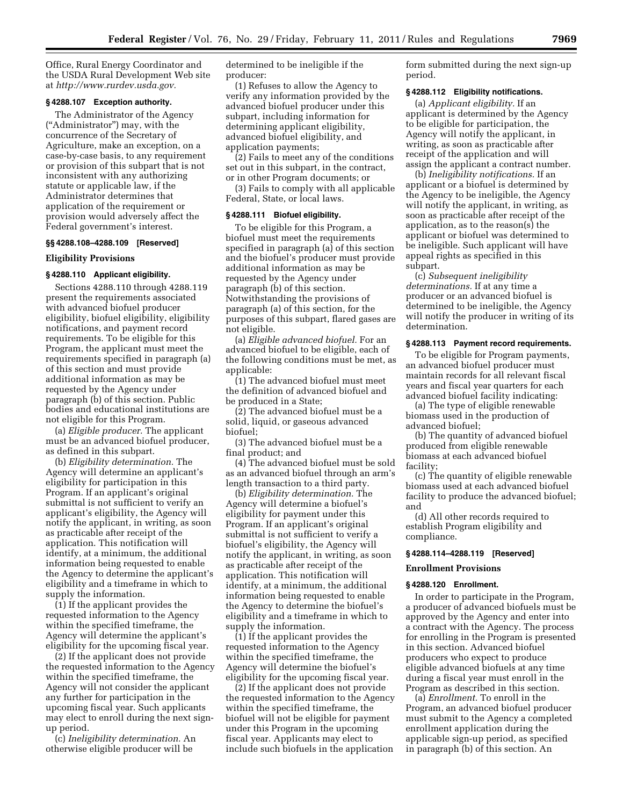Office, Rural Energy Coordinator and the USDA Rural Development Web site at *[http://www.rurdev.usda.gov.](http://www.rurdev.usda.gov)* 

## **§ 4288.107 Exception authority.**

The Administrator of the Agency (''Administrator'') may, with the concurrence of the Secretary of Agriculture, make an exception, on a case-by-case basis, to any requirement or provision of this subpart that is not inconsistent with any authorizing statute or applicable law, if the Administrator determines that application of the requirement or provision would adversely affect the Federal government's interest.

## **§§ 4288.108–4288.109 [Reserved]**

## **Eligibility Provisions**

#### **§ 4288.110 Applicant eligibility.**

Sections 4288.110 through 4288.119 present the requirements associated with advanced biofuel producer eligibility, biofuel eligibility, eligibility notifications, and payment record requirements. To be eligible for this Program, the applicant must meet the requirements specified in paragraph (a) of this section and must provide additional information as may be requested by the Agency under paragraph (b) of this section. Public bodies and educational institutions are not eligible for this Program.

(a) *Eligible producer.* The applicant must be an advanced biofuel producer, as defined in this subpart.

(b) *Eligibility determination.* The Agency will determine an applicant's eligibility for participation in this Program. If an applicant's original submittal is not sufficient to verify an applicant's eligibility, the Agency will notify the applicant, in writing, as soon as practicable after receipt of the application. This notification will identify, at a minimum, the additional information being requested to enable the Agency to determine the applicant's eligibility and a timeframe in which to supply the information.

(1) If the applicant provides the requested information to the Agency within the specified timeframe, the Agency will determine the applicant's eligibility for the upcoming fiscal year.

(2) If the applicant does not provide the requested information to the Agency within the specified timeframe, the Agency will not consider the applicant any further for participation in the upcoming fiscal year. Such applicants may elect to enroll during the next signup period.

(c) *Ineligibility determination.* An otherwise eligible producer will be

determined to be ineligible if the producer:

(1) Refuses to allow the Agency to verify any information provided by the advanced biofuel producer under this subpart, including information for determining applicant eligibility, advanced biofuel eligibility, and application payments;

(2) Fails to meet any of the conditions set out in this subpart, in the contract, or in other Program documents; or

(3) Fails to comply with all applicable Federal, State, or local laws.

#### **§ 4288.111 Biofuel eligibility.**

To be eligible for this Program, a biofuel must meet the requirements specified in paragraph (a) of this section and the biofuel's producer must provide additional information as may be requested by the Agency under paragraph (b) of this section. Notwithstanding the provisions of paragraph (a) of this section, for the purposes of this subpart, flared gases are not eligible.

(a) *Eligible advanced biofuel.* For an advanced biofuel to be eligible, each of the following conditions must be met, as applicable:

(1) The advanced biofuel must meet the definition of advanced biofuel and be produced in a State;

(2) The advanced biofuel must be a solid, liquid, or gaseous advanced biofuel;

(3) The advanced biofuel must be a final product; and

(4) The advanced biofuel must be sold as an advanced biofuel through an arm's length transaction to a third party.

(b) *Eligibility determination.* The Agency will determine a biofuel's eligibility for payment under this Program. If an applicant's original submittal is not sufficient to verify a biofuel's eligibility, the Agency will notify the applicant, in writing, as soon as practicable after receipt of the application. This notification will identify, at a minimum, the additional information being requested to enable the Agency to determine the biofuel's eligibility and a timeframe in which to supply the information.

(1) If the applicant provides the requested information to the Agency within the specified timeframe, the Agency will determine the biofuel's eligibility for the upcoming fiscal year.

(2) If the applicant does not provide the requested information to the Agency within the specified timeframe, the biofuel will not be eligible for payment under this Program in the upcoming fiscal year. Applicants may elect to include such biofuels in the application

form submitted during the next sign-up period.

## **§ 4288.112 Eligibility notifications.**

(a) *Applicant eligibility.* If an applicant is determined by the Agency to be eligible for participation, the Agency will notify the applicant, in writing, as soon as practicable after receipt of the application and will assign the applicant a contract number.

(b) *Ineligibility notifications.* If an applicant or a biofuel is determined by the Agency to be ineligible, the Agency will notify the applicant, in writing, as soon as practicable after receipt of the application, as to the reason(s) the applicant or biofuel was determined to be ineligible. Such applicant will have appeal rights as specified in this subpart.

(c) *Subsequent ineligibility determinations.* If at any time a producer or an advanced biofuel is determined to be ineligible, the Agency will notify the producer in writing of its determination.

#### **§ 4288.113 Payment record requirements.**

To be eligible for Program payments, an advanced biofuel producer must maintain records for all relevant fiscal years and fiscal year quarters for each advanced biofuel facility indicating:

(a) The type of eligible renewable biomass used in the production of advanced biofuel;

(b) The quantity of advanced biofuel produced from eligible renewable biomass at each advanced biofuel facility;

(c) The quantity of eligible renewable biomass used at each advanced biofuel facility to produce the advanced biofuel; and

(d) All other records required to establish Program eligibility and compliance.

## **§ 4288.114–4288.119 [Reserved]**

## **Enrollment Provisions**

## **§ 4288.120 Enrollment.**

In order to participate in the Program, a producer of advanced biofuels must be approved by the Agency and enter into a contract with the Agency. The process for enrolling in the Program is presented in this section. Advanced biofuel producers who expect to produce eligible advanced biofuels at any time during a fiscal year must enroll in the Program as described in this section.

(a) *Enrollment.* To enroll in the Program, an advanced biofuel producer must submit to the Agency a completed enrollment application during the applicable sign-up period, as specified in paragraph (b) of this section. An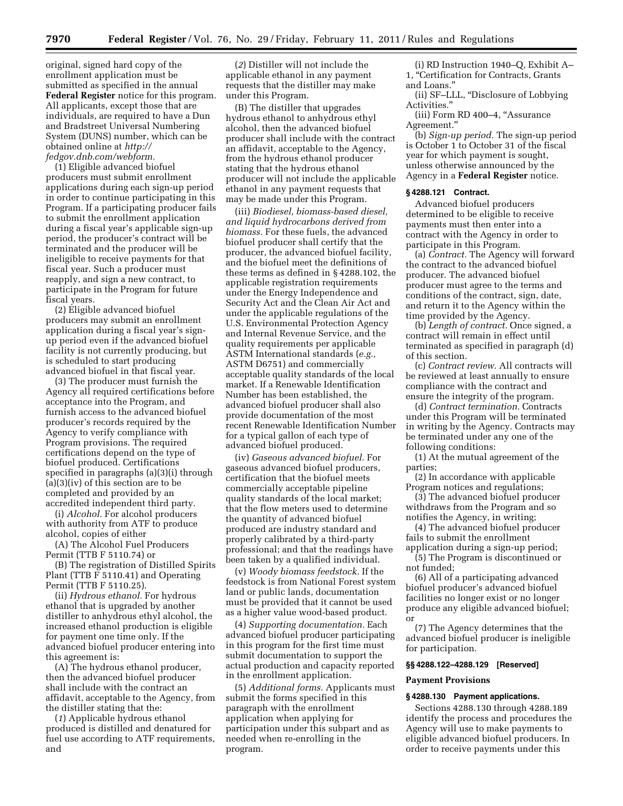original, signed hard copy of the enrollment application must be submitted as specified in the annual **Federal Register** notice for this program. All applicants, except those that are individuals, are required to have a Dun and Bradstreet Universal Numbering System (DUNS) number, which can be obtained online at *[http://](http://fedgov.dnb.com/webform)  [fedgov.dnb.com/webform.](http://fedgov.dnb.com/webform)* 

(1) Eligible advanced biofuel producers must submit enrollment applications during each sign-up period in order to continue participating in this Program. If a participating producer fails to submit the enrollment application during a fiscal year's applicable sign-up period, the producer's contract will be terminated and the producer will be ineligible to receive payments for that fiscal year. Such a producer must reapply, and sign a new contract, to participate in the Program for future fiscal years.

(2) Eligible advanced biofuel producers may submit an enrollment application during a fiscal year's signup period even if the advanced biofuel facility is not currently producing, but is scheduled to start producing advanced biofuel in that fiscal year.

(3) The producer must furnish the Agency all required certifications before acceptance into the Program, and furnish access to the advanced biofuel producer's records required by the Agency to verify compliance with Program provisions. The required certifications depend on the type of biofuel produced. Certifications specified in paragraphs (a)(3)(i) through (a)(3)(iv) of this section are to be completed and provided by an accredited independent third party.

(i) *Alcohol.* For alcohol producers with authority from ATF to produce alcohol, copies of either

(A) The Alcohol Fuel Producers Permit (TTB F 5110.74) or

(B) The registration of Distilled Spirits Plant (TTB F 5110.41) and Operating Permit (TTB F 5110.25).

(ii) *Hydrous ethanol.* For hydrous ethanol that is upgraded by another distiller to anhydrous ethyl alcohol, the increased ethanol production is eligible for payment one time only. If the advanced biofuel producer entering into this agreement is:

(A) The hydrous ethanol producer, then the advanced biofuel producer shall include with the contract an affidavit, acceptable to the Agency, from the distiller stating that the:

(*1*) Applicable hydrous ethanol produced is distilled and denatured for fuel use according to ATF requirements, and

(*2*) Distiller will not include the applicable ethanol in any payment requests that the distiller may make under this Program.

(B) The distiller that upgrades hydrous ethanol to anhydrous ethyl alcohol, then the advanced biofuel producer shall include with the contract an affidavit, acceptable to the Agency, from the hydrous ethanol producer stating that the hydrous ethanol producer will not include the applicable ethanol in any payment requests that may be made under this Program.

(iii) *Biodiesel, biomass-based diesel, and liquid hydrocarbons derived from biomass.* For these fuels, the advanced biofuel producer shall certify that the producer, the advanced biofuel facility, and the biofuel meet the definitions of these terms as defined in § 4288.102, the applicable registration requirements under the Energy Independence and Security Act and the Clean Air Act and under the applicable regulations of the U.S. Environmental Protection Agency and Internal Revenue Service, and the quality requirements per applicable ASTM International standards (*e.g.,*  ASTM D6751) and commercially acceptable quality standards of the local market. If a Renewable Identification Number has been established, the advanced biofuel producer shall also provide documentation of the most recent Renewable Identification Number for a typical gallon of each type of advanced biofuel produced.

(iv) *Gaseous advanced biofuel.* For gaseous advanced biofuel producers, certification that the biofuel meets commercially acceptable pipeline quality standards of the local market; that the flow meters used to determine the quantity of advanced biofuel produced are industry standard and properly calibrated by a third-party professional; and that the readings have been taken by a qualified individual.

(v) *Woody biomass feedstock.* If the feedstock is from National Forest system land or public lands, documentation must be provided that it cannot be used as a higher value wood-based product.

(4) *Supporting documentation.* Each advanced biofuel producer participating in this program for the first time must submit documentation to support the actual production and capacity reported in the enrollment application.

(5) *Additional forms.* Applicants must submit the forms specified in this paragraph with the enrollment application when applying for participation under this subpart and as needed when re-enrolling in the program.

(i) RD Instruction 1940–Q, Exhibit A– 1, ''Certification for Contracts, Grants and Loans.''

(ii) SF–LLL, ''Disclosure of Lobbying Activities.''

(iii) Form RD 400–4, "Assurance Agreement.''

(b) *Sign-up period.* The sign-up period is October 1 to October 31 of the fiscal year for which payment is sought, unless otherwise announced by the Agency in a **Federal Register** notice.

#### **§ 4288.121 Contract.**

Advanced biofuel producers determined to be eligible to receive payments must then enter into a contract with the Agency in order to participate in this Program.

(a) *Contract.* The Agency will forward the contract to the advanced biofuel producer. The advanced biofuel producer must agree to the terms and conditions of the contract, sign, date, and return it to the Agency within the time provided by the Agency.

(b) *Length of contract.* Once signed, a contract will remain in effect until terminated as specified in paragraph (d) of this section.

(c) *Contract review.* All contracts will be reviewed at least annually to ensure compliance with the contract and ensure the integrity of the program.

(d) *Contract termination.* Contracts under this Program will be terminated in writing by the Agency. Contracts may be terminated under any one of the following conditions:

(1) At the mutual agreement of the parties;

(2) In accordance with applicable Program notices and regulations;

(3) The advanced biofuel producer withdraws from the Program and so notifies the Agency, in writing;

(4) The advanced biofuel producer fails to submit the enrollment

application during a sign-up period; (5) The Program is discontinued or not funded;

(6) All of a participating advanced biofuel producer's advanced biofuel facilities no longer exist or no longer produce any eligible advanced biofuel; or

(7) The Agency determines that the advanced biofuel producer is ineligible for participation.

## **§§ 4288.122–4288.129 [Reserved]**

#### **Payment Provisions**

## **§ 4288.130 Payment applications.**

Sections 4288.130 through 4288.189 identify the process and procedures the Agency will use to make payments to eligible advanced biofuel producers. In order to receive payments under this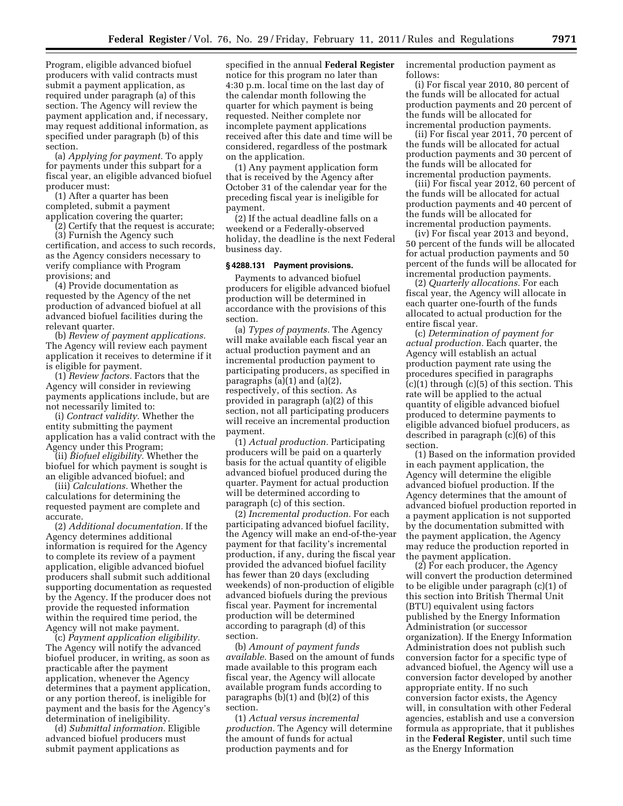Program, eligible advanced biofuel producers with valid contracts must submit a payment application, as required under paragraph (a) of this section. The Agency will review the payment application and, if necessary, may request additional information, as specified under paragraph (b) of this section.

(a) *Applying for payment.* To apply for payments under this subpart for a fiscal year, an eligible advanced biofuel producer must:

(1) After a quarter has been completed, submit a payment application covering the quarter;

(2) Certify that the request is accurate; (3) Furnish the Agency such certification, and access to such records, as the Agency considers necessary to verify compliance with Program provisions; and

(4) Provide documentation as requested by the Agency of the net production of advanced biofuel at all advanced biofuel facilities during the relevant quarter.

(b) *Review of payment applications.*  The Agency will review each payment application it receives to determine if it is eligible for payment.

(1) *Review factors.* Factors that the Agency will consider in reviewing payments applications include, but are not necessarily limited to:

(i) *Contract validity.* Whether the entity submitting the payment application has a valid contract with the Agency under this Program;

(ii) *Biofuel eligibility.* Whether the biofuel for which payment is sought is an eligible advanced biofuel; and

(iii) *Calculations.* Whether the calculations for determining the requested payment are complete and accurate.

(2) *Additional documentation.* If the Agency determines additional information is required for the Agency to complete its review of a payment application, eligible advanced biofuel producers shall submit such additional supporting documentation as requested by the Agency. If the producer does not provide the requested information within the required time period, the Agency will not make payment.

(c) *Payment application eligibility.*  The Agency will notify the advanced biofuel producer, in writing, as soon as practicable after the payment application, whenever the Agency determines that a payment application, or any portion thereof, is ineligible for payment and the basis for the Agency's determination of ineligibility.

(d) *Submittal information.* Eligible advanced biofuel producers must submit payment applications as

specified in the annual **Federal Register**  notice for this program no later than 4:30 p.m. local time on the last day of the calendar month following the quarter for which payment is being requested. Neither complete nor incomplete payment applications received after this date and time will be considered, regardless of the postmark on the application.

(1) Any payment application form that is received by the Agency after October 31 of the calendar year for the preceding fiscal year is ineligible for payment.

(2) If the actual deadline falls on a weekend or a Federally-observed holiday, the deadline is the next Federal business day.

#### **§ 4288.131 Payment provisions.**

Payments to advanced biofuel producers for eligible advanced biofuel production will be determined in accordance with the provisions of this section.

(a) *Types of payments.* The Agency will make available each fiscal year an actual production payment and an incremental production payment to participating producers, as specified in paragraphs (a)(1) and (a)(2), respectively, of this section. As provided in paragraph (a)(2) of this section, not all participating producers will receive an incremental production payment.

(1) *Actual production.* Participating producers will be paid on a quarterly basis for the actual quantity of eligible advanced biofuel produced during the quarter. Payment for actual production will be determined according to paragraph (c) of this section.

(2) *Incremental production.* For each participating advanced biofuel facility, the Agency will make an end-of-the-year payment for that facility's incremental production, if any, during the fiscal year provided the advanced biofuel facility has fewer than 20 days (excluding weekends) of non-production of eligible advanced biofuels during the previous fiscal year. Payment for incremental production will be determined according to paragraph (d) of this section.

(b) *Amount of payment funds available.* Based on the amount of funds made available to this program each fiscal year, the Agency will allocate available program funds according to paragraphs (b)(1) and (b)(2) of this section.

(1) *Actual versus incremental production.* The Agency will determine the amount of funds for actual production payments and for

incremental production payment as follows:

(i) For fiscal year 2010, 80 percent of the funds will be allocated for actual production payments and 20 percent of the funds will be allocated for incremental production payments.

(ii) For fiscal year 2011, 70 percent of the funds will be allocated for actual production payments and 30 percent of the funds will be allocated for incremental production payments.

(iii) For fiscal year 2012, 60 percent of the funds will be allocated for actual production payments and 40 percent of the funds will be allocated for incremental production payments.

(iv) For fiscal year 2013 and beyond, 50 percent of the funds will be allocated for actual production payments and 50 percent of the funds will be allocated for incremental production payments.

(2) *Quarterly allocations.* For each fiscal year, the Agency will allocate in each quarter one-fourth of the funds allocated to actual production for the entire fiscal year.

(c) *Determination of payment for actual production.* Each quarter, the Agency will establish an actual production payment rate using the procedures specified in paragraphs  $(c)(1)$  through  $(c)(5)$  of this section. This rate will be applied to the actual quantity of eligible advanced biofuel produced to determine payments to eligible advanced biofuel producers, as described in paragraph (c)(6) of this section.

(1) Based on the information provided in each payment application, the Agency will determine the eligible advanced biofuel production. If the Agency determines that the amount of advanced biofuel production reported in a payment application is not supported by the documentation submitted with the payment application, the Agency may reduce the production reported in the payment application.

(2) For each producer, the Agency will convert the production determined to be eligible under paragraph (c)(1) of this section into British Thermal Unit (BTU) equivalent using factors published by the Energy Information Administration (or successor organization). If the Energy Information Administration does not publish such conversion factor for a specific type of advanced biofuel, the Agency will use a conversion factor developed by another appropriate entity. If no such conversion factor exists, the Agency will, in consultation with other Federal agencies, establish and use a conversion formula as appropriate, that it publishes in the **Federal Register**, until such time as the Energy Information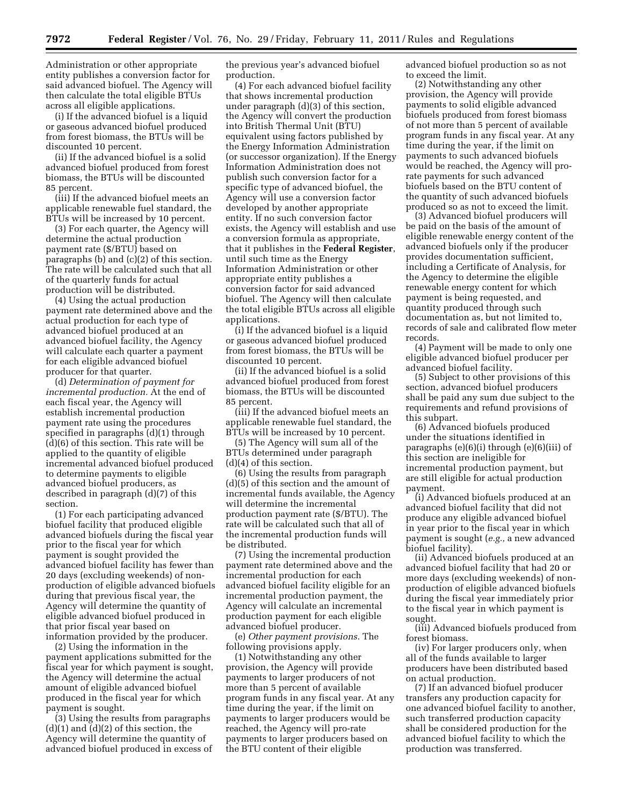Administration or other appropriate entity publishes a conversion factor for said advanced biofuel. The Agency will then calculate the total eligible BTUs across all eligible applications.

(i) If the advanced biofuel is a liquid or gaseous advanced biofuel produced from forest biomass, the BTUs will be discounted 10 percent.

(ii) If the advanced biofuel is a solid advanced biofuel produced from forest biomass, the BTUs will be discounted 85 percent.

(iii) If the advanced biofuel meets an applicable renewable fuel standard, the BTUs will be increased by 10 percent.

(3) For each quarter, the Agency will determine the actual production payment rate (\$/BTU) based on paragraphs (b) and (c)(2) of this section. The rate will be calculated such that all of the quarterly funds for actual production will be distributed.

(4) Using the actual production payment rate determined above and the actual production for each type of advanced biofuel produced at an advanced biofuel facility, the Agency will calculate each quarter a payment for each eligible advanced biofuel producer for that quarter.

(d) *Determination of payment for incremental production.* At the end of each fiscal year, the Agency will establish incremental production payment rate using the procedures specified in paragraphs (d)(1) through (d)(6) of this section. This rate will be applied to the quantity of eligible incremental advanced biofuel produced to determine payments to eligible advanced biofuel producers, as described in paragraph (d)(7) of this section.

(1) For each participating advanced biofuel facility that produced eligible advanced biofuels during the fiscal year prior to the fiscal year for which payment is sought provided the advanced biofuel facility has fewer than 20 days (excluding weekends) of nonproduction of eligible advanced biofuels during that previous fiscal year, the Agency will determine the quantity of eligible advanced biofuel produced in that prior fiscal year based on information provided by the producer.

(2) Using the information in the payment applications submitted for the fiscal year for which payment is sought, the Agency will determine the actual amount of eligible advanced biofuel produced in the fiscal year for which payment is sought.

(3) Using the results from paragraphs  $(d)(1)$  and  $(d)(2)$  of this section, the Agency will determine the quantity of advanced biofuel produced in excess of the previous year's advanced biofuel production.

(4) For each advanced biofuel facility that shows incremental production under paragraph (d)(3) of this section, the Agency will convert the production into British Thermal Unit (BTU) equivalent using factors published by the Energy Information Administration (or successor organization). If the Energy Information Administration does not publish such conversion factor for a specific type of advanced biofuel, the Agency will use a conversion factor developed by another appropriate entity. If no such conversion factor exists, the Agency will establish and use a conversion formula as appropriate, that it publishes in the **Federal Register**, until such time as the Energy Information Administration or other appropriate entity publishes a conversion factor for said advanced biofuel. The Agency will then calculate the total eligible BTUs across all eligible applications.

(i) If the advanced biofuel is a liquid or gaseous advanced biofuel produced from forest biomass, the BTUs will be discounted 10 percent.

(ii) If the advanced biofuel is a solid advanced biofuel produced from forest biomass, the BTUs will be discounted 85 percent.

(iii) If the advanced biofuel meets an applicable renewable fuel standard, the BTUs will be increased by 10 percent.

(5) The Agency will sum all of the BTUs determined under paragraph (d)(4) of this section.

(6) Using the results from paragraph (d)(5) of this section and the amount of incremental funds available, the Agency will determine the incremental production payment rate (\$/BTU). The rate will be calculated such that all of the incremental production funds will be distributed.

(7) Using the incremental production payment rate determined above and the incremental production for each advanced biofuel facility eligible for an incremental production payment, the Agency will calculate an incremental production payment for each eligible advanced biofuel producer.

(e) *Other payment provisions.* The following provisions apply.

(1) Notwithstanding any other provision, the Agency will provide payments to larger producers of not more than 5 percent of available program funds in any fiscal year. At any time during the year, if the limit on payments to larger producers would be reached, the Agency will pro-rate payments to larger producers based on the BTU content of their eligible

advanced biofuel production so as not to exceed the limit.

(2) Notwithstanding any other provision, the Agency will provide payments to solid eligible advanced biofuels produced from forest biomass of not more than 5 percent of available program funds in any fiscal year. At any time during the year, if the limit on payments to such advanced biofuels would be reached, the Agency will prorate payments for such advanced biofuels based on the BTU content of the quantity of such advanced biofuels produced so as not to exceed the limit.

(3) Advanced biofuel producers will be paid on the basis of the amount of eligible renewable energy content of the advanced biofuels only if the producer provides documentation sufficient, including a Certificate of Analysis, for the Agency to determine the eligible renewable energy content for which payment is being requested, and quantity produced through such documentation as, but not limited to, records of sale and calibrated flow meter records.

(4) Payment will be made to only one eligible advanced biofuel producer per advanced biofuel facility.

(5) Subject to other provisions of this section, advanced biofuel producers shall be paid any sum due subject to the requirements and refund provisions of this subpart.

(6) Advanced biofuels produced under the situations identified in paragraphs (e)(6)(i) through (e)(6)(iii) of this section are ineligible for incremental production payment, but are still eligible for actual production payment.

(i) Advanced biofuels produced at an advanced biofuel facility that did not produce any eligible advanced biofuel in year prior to the fiscal year in which payment is sought (*e.g.,* a new advanced biofuel facility).

(ii) Advanced biofuels produced at an advanced biofuel facility that had 20 or more days (excluding weekends) of nonproduction of eligible advanced biofuels during the fiscal year immediately prior to the fiscal year in which payment is sought.

(iii) Advanced biofuels produced from forest biomass.

(iv) For larger producers only, when all of the funds available to larger producers have been distributed based on actual production.

(7) If an advanced biofuel producer transfers any production capacity for one advanced biofuel facility to another, such transferred production capacity shall be considered production for the advanced biofuel facility to which the production was transferred.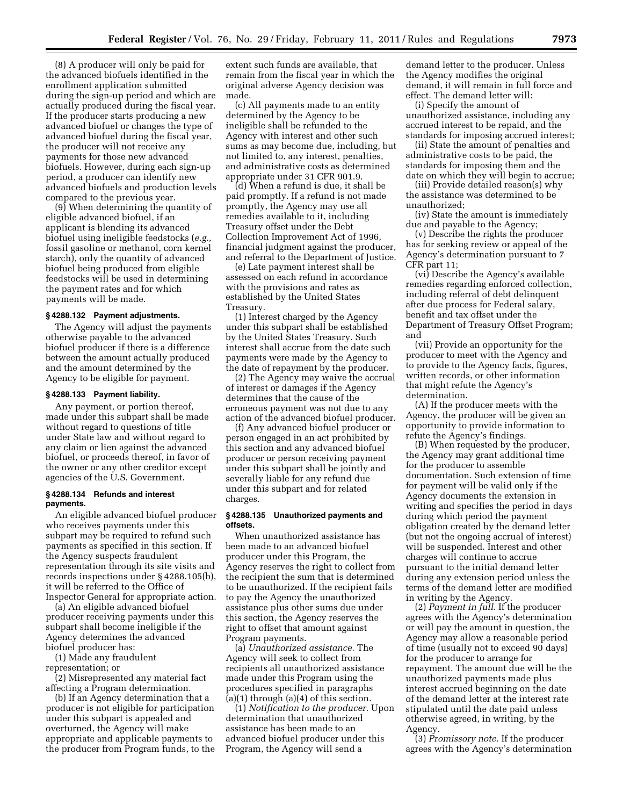(8) A producer will only be paid for the advanced biofuels identified in the enrollment application submitted during the sign-up period and which are actually produced during the fiscal year. If the producer starts producing a new advanced biofuel or changes the type of advanced biofuel during the fiscal year, the producer will not receive any payments for those new advanced biofuels. However, during each sign-up period, a producer can identify new advanced biofuels and production levels compared to the previous year.

(9) When determining the quantity of eligible advanced biofuel, if an applicant is blending its advanced biofuel using ineligible feedstocks (*e.g.,*  fossil gasoline or methanol, corn kernel starch), only the quantity of advanced biofuel being produced from eligible feedstocks will be used in determining the payment rates and for which payments will be made.

## **§ 4288.132 Payment adjustments.**

The Agency will adjust the payments otherwise payable to the advanced biofuel producer if there is a difference between the amount actually produced and the amount determined by the Agency to be eligible for payment.

#### **§ 4288.133 Payment liability.**

Any payment, or portion thereof, made under this subpart shall be made without regard to questions of title under State law and without regard to any claim or lien against the advanced biofuel, or proceeds thereof, in favor of the owner or any other creditor except agencies of the U.S. Government.

## **§ 4288.134 Refunds and interest payments.**

An eligible advanced biofuel producer who receives payments under this subpart may be required to refund such payments as specified in this section. If the Agency suspects fraudulent representation through its site visits and records inspections under § 4288.105(b), it will be referred to the Office of Inspector General for appropriate action.

(a) An eligible advanced biofuel producer receiving payments under this subpart shall become ineligible if the Agency determines the advanced biofuel producer has:

(1) Made any fraudulent representation; or

(2) Misrepresented any material fact

affecting a Program determination. (b) If an Agency determination that a producer is not eligible for participation under this subpart is appealed and overturned, the Agency will make appropriate and applicable payments to the producer from Program funds, to the

extent such funds are available, that remain from the fiscal year in which the original adverse Agency decision was made.

(c) All payments made to an entity determined by the Agency to be ineligible shall be refunded to the Agency with interest and other such sums as may become due, including, but not limited to, any interest, penalties, and administrative costs as determined appropriate under 31 CFR 901.9.

(d) When a refund is due, it shall be paid promptly. If a refund is not made promptly, the Agency may use all remedies available to it, including Treasury offset under the Debt Collection Improvement Act of 1996, financial judgment against the producer, and referral to the Department of Justice.

(e) Late payment interest shall be assessed on each refund in accordance with the provisions and rates as established by the United States Treasury.

(1) Interest charged by the Agency under this subpart shall be established by the United States Treasury. Such interest shall accrue from the date such payments were made by the Agency to the date of repayment by the producer.

(2) The Agency may waive the accrual of interest or damages if the Agency determines that the cause of the erroneous payment was not due to any action of the advanced biofuel producer.

(f) Any advanced biofuel producer or person engaged in an act prohibited by this section and any advanced biofuel producer or person receiving payment under this subpart shall be jointly and severally liable for any refund due under this subpart and for related charges.

## **§ 4288.135 Unauthorized payments and offsets.**

When unauthorized assistance has been made to an advanced biofuel producer under this Program, the Agency reserves the right to collect from the recipient the sum that is determined to be unauthorized. If the recipient fails to pay the Agency the unauthorized assistance plus other sums due under this section, the Agency reserves the right to offset that amount against Program payments.

(a) *Unauthorized assistance.* The Agency will seek to collect from recipients all unauthorized assistance made under this Program using the procedures specified in paragraphs  $(a)(1)$  through  $(a)(4)$  of this section.

(1) *Notification to the producer.* Upon determination that unauthorized assistance has been made to an advanced biofuel producer under this Program, the Agency will send a

demand letter to the producer. Unless the Agency modifies the original demand, it will remain in full force and effect. The demand letter will:

(i) Specify the amount of unauthorized assistance, including any accrued interest to be repaid, and the standards for imposing accrued interest;

(ii) State the amount of penalties and administrative costs to be paid, the standards for imposing them and the date on which they will begin to accrue;

(iii) Provide detailed reason(s) why the assistance was determined to be unauthorized;

(iv) State the amount is immediately due and payable to the Agency;

(v) Describe the rights the producer has for seeking review or appeal of the Agency's determination pursuant to 7 CFR part 11;

(vi) Describe the Agency's available remedies regarding enforced collection, including referral of debt delinquent after due process for Federal salary, benefit and tax offset under the Department of Treasury Offset Program; and

(vii) Provide an opportunity for the producer to meet with the Agency and to provide to the Agency facts, figures, written records, or other information that might refute the Agency's determination.

(A) If the producer meets with the Agency, the producer will be given an opportunity to provide information to refute the Agency's findings.

(B) When requested by the producer, the Agency may grant additional time for the producer to assemble documentation. Such extension of time for payment will be valid only if the Agency documents the extension in writing and specifies the period in days during which period the payment obligation created by the demand letter (but not the ongoing accrual of interest) will be suspended. Interest and other charges will continue to accrue pursuant to the initial demand letter during any extension period unless the terms of the demand letter are modified in writing by the Agency.

(2) *Payment in full.* If the producer agrees with the Agency's determination or will pay the amount in question, the Agency may allow a reasonable period of time (usually not to exceed 90 days) for the producer to arrange for repayment. The amount due will be the unauthorized payments made plus interest accrued beginning on the date of the demand letter at the interest rate stipulated until the date paid unless otherwise agreed, in writing, by the Agency.

(3) *Promissory note.* If the producer agrees with the Agency's determination